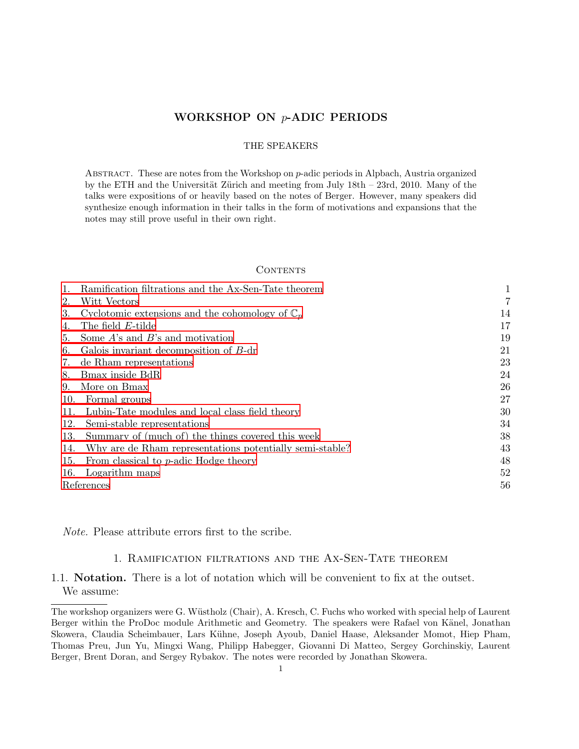## WORKSHOP ON p-ADIC PERIODS

### THE SPEAKERS

ABSTRACT. These are notes from the Workshop on  $p$ -adic periods in Alpbach, Austria organized by the ETH and the Universität Zürich and meeting from July  $18th - 23rd$ , 2010. Many of the talks were expositions of or heavily based on the notes of Berger. However, many speakers did synthesize enough information in their talks in the form of motivations and expansions that the notes may still prove useful in their own right.

#### **CONTENTS**

|            | Ramification filtrations and the Ax-Sen-Tate theorem       |    |
|------------|------------------------------------------------------------|----|
| 2.         | Witt Vectors                                               |    |
| 3.         | Cyclotomic extensions and the cohomology of $\mathbb{C}_p$ | 14 |
|            | The field E-tilde                                          | 17 |
| 5.         | Some $A$ 's and $B$ 's and motivation                      | 19 |
| 6.         | Galois invariant decomposition of B-dr                     | 21 |
| 7.         | de Rham representations                                    | 23 |
| 8.         | Bmax inside BdR                                            | 24 |
| 9.         | More on Bmax                                               | 26 |
| 10.        | Formal groups                                              | 27 |
| 11.        | Lubin-Tate modules and local class field theory            | 30 |
| 12.        | Semi-stable representations                                | 34 |
| 13.        | Summary of (much of) the things covered this week          | 38 |
| 14.        | Why are de Rham representations potentially semi-stable?   | 43 |
| 15.        | From classical to $p$ -adic Hodge theory                   | 48 |
| 16.        | Logarithm maps                                             | 52 |
| References |                                                            | 56 |

<span id="page-0-0"></span>Note. Please attribute errors first to the scribe.

### 1. Ramification filtrations and the Ax-Sen-Tate theorem

## 1.1. Notation. There is a lot of notation which will be convenient to fix at the outset. We assume:

The workshop organizers were G. Wüstholz (Chair), A. Kresch, C. Fuchs who worked with special help of Laurent Berger within the ProDoc module Arithmetic and Geometry. The speakers were Rafael von Känel, Jonathan Skowera, Claudia Scheimbauer, Lars Kühne, Joseph Ayoub, Daniel Haase, Aleksander Momot, Hiep Pham, Thomas Preu, Jun Yu, Mingxi Wang, Philipp Habegger, Giovanni Di Matteo, Sergey Gorchinskiy, Laurent Berger, Brent Doran, and Sergey Rybakov. The notes were recorded by Jonathan Skowera.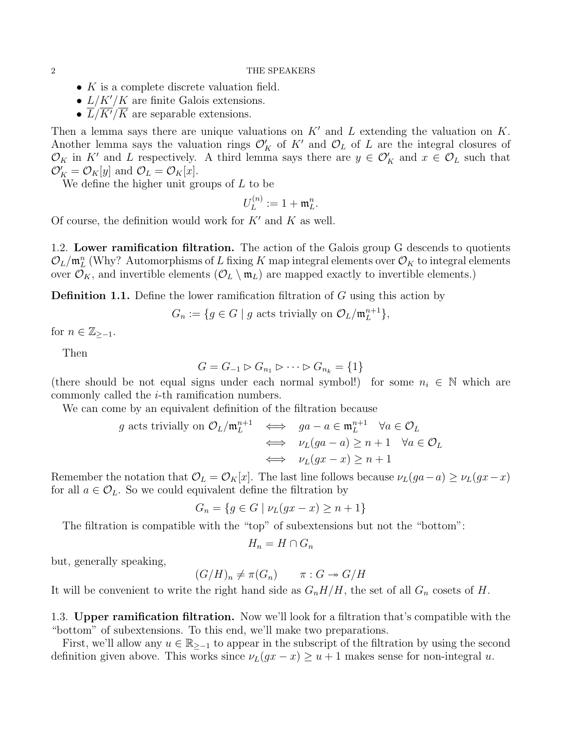- $K$  is a complete discrete valuation field.
- $L/K'/K$  are finite Galois extensions.
- $L/K'/K$  are separable extensions.

Then a lemma says there are unique valuations on  $K'$  and  $L$  extending the valuation on  $K$ . Another lemma says the valuation rings  $\mathcal{O}'_K$  of  $K'$  and  $\mathcal{O}_L$  of  $L$  are the integral closures of  $\mathcal{O}_K$  in K' and L respectively. A third lemma says there are  $y \in \mathcal{O}'_K$  and  $x \in \mathcal{O}_L$  such that  $\mathcal{O}'_K = \mathcal{O}_K[y]$  and  $\mathcal{O}_L = \mathcal{O}_K[x]$ .

We define the higher unit groups of  $L$  to be

$$
U_L^{(n)}:=1+\mathfrak{m}_L^n.
$$

Of course, the definition would work for  $K'$  and  $K$  as well.

1.2. Lower ramification filtration. The action of the Galois group G descends to quotients  $\mathcal{O}_L/\mathfrak{m}_L^n$  (Why? Automorphisms of L fixing K map integral elements over  $\mathcal{O}_K$  to integral elements over  $\mathcal{O}_K$ , and invertible elements  $(\mathcal{O}_L \setminus \mathfrak{m}_L)$  are mapped exactly to invertible elements.)

**Definition 1.1.** Define the lower ramification filtration of  $G$  using this action by

 $G_n := \{ g \in G \mid g \text{ acts trivially on } \mathcal{O}_L / \mathfrak{m}_L^{n+1} \}$  $_{L}^{n+1}$ ,

for  $n \in \mathbb{Z}_{\ge-1}$ .

Then

$$
G = G_{-1} \triangleright G_{n_1} \triangleright \cdots \triangleright G_{n_k} = \{1\}
$$

(there should be not equal signs under each normal symbol!) for some  $n_i \in \mathbb{N}$  which are commonly called the i-th ramification numbers.

We can come by an equivalent definition of the filtration because

$$
g \text{ acts trivially on } \mathcal{O}_L/\mathfrak{m}_L^{n+1} \iff ga - a \in \mathfrak{m}_L^{n+1} \quad \forall a \in \mathcal{O}_L
$$

$$
\iff \nu_L(ga - a) \ge n + 1 \quad \forall a \in \mathcal{O}_L
$$

$$
\iff \nu_L(gx - x) \ge n + 1
$$

Remember the notation that  $\mathcal{O}_L = \mathcal{O}_K[x]$ . The last line follows because  $\nu_L(ga-a) \geq \nu_L(gx-x)$ for all  $a \in \mathcal{O}_L$ . So we could equivalent define the filtration by

$$
G_n = \{ g \in G \mid \nu_L(gx - x) \ge n + 1 \}
$$

The filtration is compatible with the "top" of subextensions but not the "bottom":

$$
H_n = H \cap G_n
$$

but, generally speaking,

$$
(G/H)_n \neq \pi(G_n) \qquad \pi: G \twoheadrightarrow G/H
$$

It will be convenient to write the right hand side as  $G_nH/H$ , the set of all  $G_n$  cosets of H.

1.3. Upper ramification filtration. Now we'll look for a filtration that's compatible with the "bottom" of subextensions. To this end, we'll make two preparations.

First, we'll allow any  $u \in \mathbb{R}_{\geq -1}$  to appear in the subscript of the filtration by using the second definition given above. This works since  $\nu_L(gx-x) \ge u+1$  makes sense for non-integral u.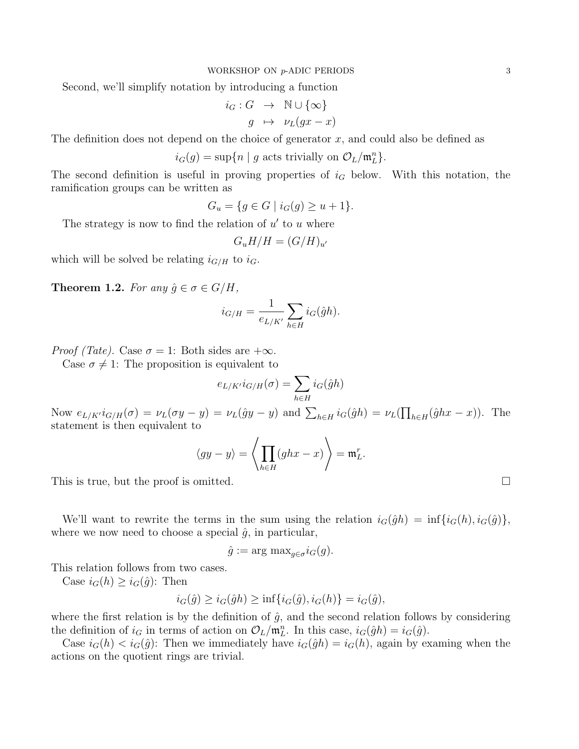Second, we'll simplify notation by introducing a function

$$
i_G: G \rightarrow \mathbb{N} \cup \{\infty\}
$$

$$
g \rightarrow \nu_L(gx - x)
$$

The definition does not depend on the choice of generator  $x$ , and could also be defined as

$$
i_G(g) = \sup\{n \mid g \text{ acts trivially on } \mathcal{O}_L/\mathfrak{m}_L^n\}.
$$

The second definition is useful in proving properties of  $i_G$  below. With this notation, the ramification groups can be written as

$$
G_u = \{ g \in G \mid i_G(g) \ge u + 1 \}.
$$

The strategy is now to find the relation of  $u'$  to  $u$  where

$$
G_u H/H = (G/H)_{u'}
$$

which will be solved be relating  $i_{G/H}$  to  $i_G$ .

**Theorem 1.2.** For any  $\hat{g} \in \sigma \in G/H$ ,

$$
i_{G/H} = \frac{1}{e_{L/K'}} \sum_{h \in H} i_G(\hat{g}h).
$$

*Proof (Tate)*. Case  $\sigma = 1$ : Both sides are  $+\infty$ .

Case  $\sigma \neq 1$ : The proposition is equivalent to

$$
e_{L/K'}i_{G/H}(\sigma) = \sum_{h \in H} i_G(\hat{g}h)
$$

Now  $e_{L/K'} i_{G/H}(\sigma) = \nu_L(\sigma y - y) = \nu_L(\hat{g}y - y)$  and  $\sum_{h \in H} i_G(\hat{g}h) = \nu_L(\prod_{h \in H} (\hat{g}hx - x))$ . The statement is then equivalent to

$$
\langle gy - y \rangle = \left\langle \prod_{h \in H} (ghx - x) \right\rangle = \mathfrak{m}_L^r.
$$

This is true, but the proof is omitted.  $\square$ 

We'll want to rewrite the terms in the sum using the relation  $i_G(\hat{g}h) = \inf\{i_G(h), i_G(\hat{g})\},\$ where we now need to choose a special  $\hat{g}$ , in particular,

$$
\hat{g} := \arg \max_{g \in \sigma} i_G(g).
$$

This relation follows from two cases.

Case  $i_G(h) \geq i_G(\hat{g})$ : Then

$$
i_G(\hat{g}) \ge i_G(\hat{g}h) \ge \inf\{i_G(\hat{g}), i_G(h)\} = i_G(\hat{g}),
$$

where the first relation is by the definition of  $\hat{g}$ , and the second relation follows by considering the definition of  $i_G$  in terms of action on  $\mathcal{O}_L/\mathfrak{m}_L^n$ . In this case,  $i_G(\hat{g}h) = i_G(\hat{g})$ .

Case  $i_G(h) < i_G(\hat{g})$ : Then we immediately have  $i_G(\hat{g}h) = i_G(h)$ , again by examing when the actions on the quotient rings are trivial.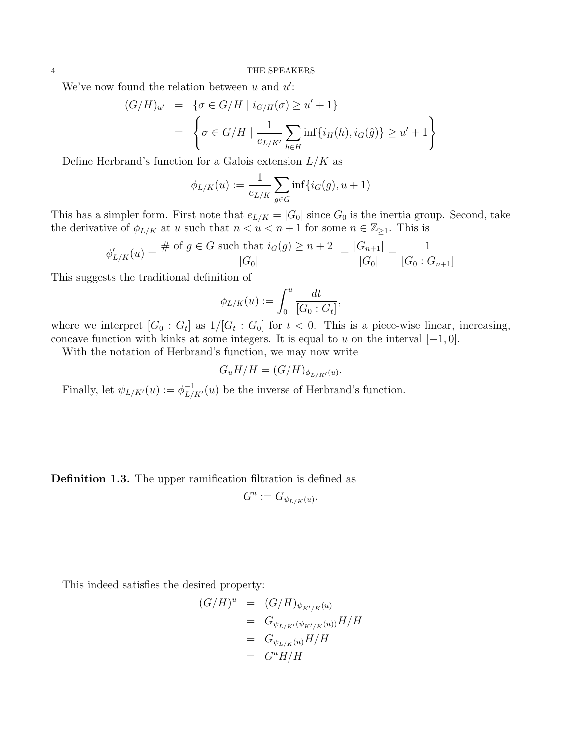We've now found the relation between  $u$  and  $u'$ :

$$
(G/H)_{u'} = \{ \sigma \in G/H \mid i_{G/H}(\sigma) \ge u' + 1 \}
$$
  
= 
$$
\left\{ \sigma \in G/H \mid \frac{1}{e_{L/K'}} \sum_{h \in H} \inf\{i_H(h), i_G(\hat{g})\} \ge u' + 1 \right\}
$$

Define Herbrand's function for a Galois extension  $L/K$  as

$$
\phi_{L/K}(u) := \frac{1}{e_{L/K}} \sum_{g \in G} \inf \{ i_G(g), u + 1 \}
$$

This has a simpler form. First note that  $e_{L/K} = |G_0|$  since  $G_0$  is the inertia group. Second, take the derivative of  $\phi_{L/K}$  at u such that  $n < u < n + 1$  for some  $n \in \mathbb{Z}_{\geq 1}$ . This is

$$
\phi'_{L/K}(u) = \frac{\# \text{ of } g \in G \text{ such that } i_G(g) \ge n+2}{|G_0|} = \frac{|G_{n+1}|}{|G_0|} = \frac{1}{[G_0:G_{n+1}]}
$$

This suggests the traditional definition of

$$
\phi_{L/K}(u) := \int_0^u \frac{dt}{[G_0:G_t]},
$$

where we interpret  $[G_0: G_t]$  as  $1/[G_t: G_0]$  for  $t < 0$ . This is a piece-wise linear, increasing, concave function with kinks at some integers. It is equal to u on the interval  $[-1, 0]$ .

With the notation of Herbrand's function, we may now write

$$
G_u H/H = (G/H)_{\phi_{L/K'}(u)}.
$$

Finally, let  $\psi_{L/K'}(u) := \phi_{L/K'}^{-1}(u)$  be the inverse of Herbrand's function.

Definition 1.3. The upper ramification filtration is defined as

$$
G^u := G_{\psi_{L/K}(u)}.
$$

This indeed satisfies the desired property:

$$
(G/H)^u = (G/H)_{\psi_{K'/K}(u)}
$$
  
=  $G_{\psi_{L/K'}(\psi_{K'/K}(u))}H/H$   
=  $G_{\psi_{L/K}(u)}H/H$   
=  $G^uH/H$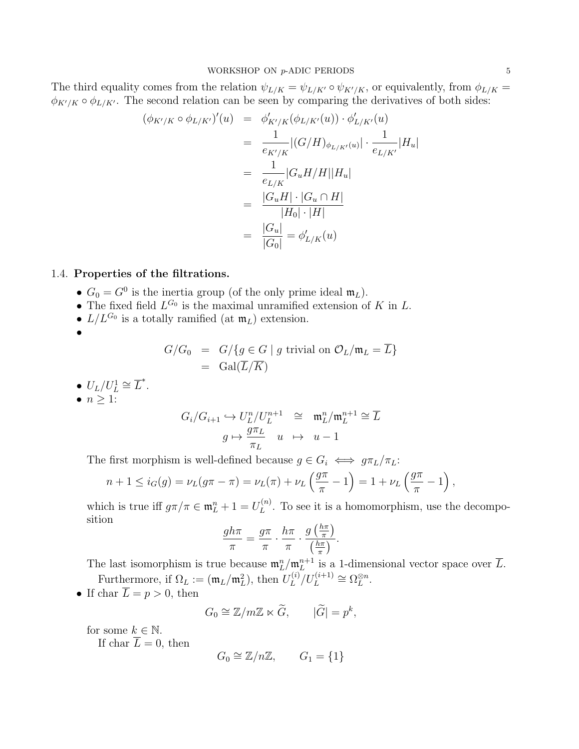The third equality comes from the relation  $\psi_{L/K} = \psi_{L/K'} \circ \psi_{K'/K}$ , or equivalently, from  $\phi_{L/K} =$  $\phi_{K'/K} \circ \phi_{L/K'}$ . The second relation can be seen by comparing the derivatives of both sides:

$$
(\phi_{K'/K} \circ \phi_{L/K'})'(u) = \phi'_{K'/K}(\phi_{L/K'}(u)) \cdot \phi'_{L/K'}(u)
$$
  
\n
$$
= \frac{1}{e_{K'/K}} |(G/H)_{\phi_{L/K'}(u)}| \cdot \frac{1}{e_{L/K'}} |H_u|
$$
  
\n
$$
= \frac{1}{e_{L/K}} |G_u H/H||H_u|
$$
  
\n
$$
= \frac{|G_u H| \cdot |G_u \cap H|}{|H_0| \cdot |H|}
$$
  
\n
$$
= \frac{|G_u|}{|G_0|} = \phi'_{L/K}(u)
$$

## 1.4. Properties of the filtrations.

- $G_0 = G^0$  is the inertia group (of the only prime ideal  $\mathfrak{m}_L$ ).
- The fixed field  $L^{G_0}$  is the maximal unramified extension of K in L.
- $L/L^{G_0}$  is a totally ramified (at  $\mathfrak{m}_L$ ) extension.
- •

$$
G/G_0 = G/{g \in G | g \text{ trivial on } \mathcal{O}_L/\mathfrak{m}_L = \overline{L}}
$$
  
= Gal( $\overline{L}/\overline{K}$ )

- $U_L/U_L^1 \cong \overline{L}^*$ .
- $n \geq 1$ :

$$
G_i/G_{i+1} \hookrightarrow U_L^n/U_L^{n+1} \cong \mathfrak{m}_L^n/\mathfrak{m}_L^{n+1} \cong \overline{L}
$$

$$
g \mapsto \frac{g\pi_L}{\pi_L} \quad u \quad \mapsto \quad u - 1
$$

The first morphism is well-defined because  $g \in G_i \iff g\pi_L/\pi_L$ :

$$
n + 1 \le i_G(g) = \nu_L(g\pi - \pi) = \nu_L(\pi) + \nu_L\left(\frac{g\pi}{\pi} - 1\right) = 1 + \nu_L\left(\frac{g\pi}{\pi} - 1\right)
$$

which is true iff  $g\pi/\pi \in \mathfrak{m}_L^n + 1 = U_L^{(n)}$  $L^{(n)}$ . To see it is a homomorphism, use the decomposition

$$
\frac{gh\pi}{\pi} = \frac{g\pi}{\pi} \cdot \frac{h\pi}{\pi} \cdot \frac{g\left(\frac{h\pi}{\pi}\right)}{\left(\frac{h\pi}{\pi}\right)}.
$$

The last isomorphism is true because  $\mathfrak{m}_L^n/\mathfrak{m}_L^{n+1}$  $L^{n+1}$  is a 1-dimensional vector space over L. Furthermore, if  $\Omega_L := (\mathfrak{m}_L / \mathfrak{m}_L^2)$ , then  $U_L^{(i)}$  $L^{(i)}/U_L^{(i+1)} \cong \Omega_L^{\otimes n}$  $_{L}^{\otimes n}.$ 

• If char  $\overline{L} = p > 0$ , then

$$
G_0 \cong \mathbb{Z}/m\mathbb{Z} \ltimes \widetilde{G}, \qquad |\widetilde{G}| = p^k,
$$

for some  $k \in \mathbb{N}$ .

If char  $\overline{L} = 0$ , then

$$
G_0 \cong \mathbb{Z}/n\mathbb{Z}, \qquad G_1 = \{1\}
$$

,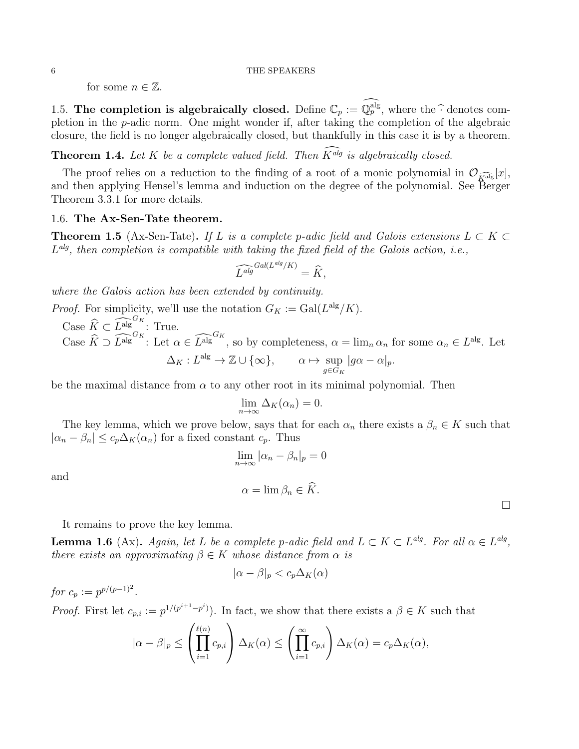for some  $n \in \mathbb{Z}$ .

1.5. The completion is algebraically closed. Define  $\mathbb{C}_p := \mathbb{Q}_p^{\text{alg}}$ , where the  $\hat{\cdot}$  denotes completion in the p-adic norm. One might wonder if, after taking the completion of the algebraic closure, the field is no longer algebraically closed, but thankfully in this case it is by a theorem.

**Theorem 1.4.** Let K be a complete valued field. Then  $\widehat{K^{alg}}$  is algebraically closed.

The proof relies on a reduction to the finding of a root of a monic polynomial in  $\mathcal{O}_{\widehat{K}^{\text{alg}}}[x],$ and then applying Hensel's lemma and induction on the degree of the polynomial. See Berger Theorem 3.3.1 for more details.

### 1.6. The Ax-Sen-Tate theorem.

**Theorem 1.5** (Ax-Sen-Tate). If L is a complete p-adic field and Galois extensions  $L \subset K \subset$  $L<sup>alg</sup>$ , then completion is compatible with taking the fixed field of the Galois action, i.e.,

$$
\widehat{L^{alg}}^{Gal(L^{alg}/K)} = \widehat{K},
$$

where the Galois action has been extended by continuity.

*Proof.* For simplicity, we'll use the notation  $G_K := \text{Gal}(L^{\text{alg}}/K)$ . Case  $\widehat{K} \subset \widehat{L}_{\text{alg}}^{G_K}$ : True.

Case  $\widehat{K} \supset \widehat{L}^{\text{alg}}^{\text{G}_{K}}$ : Let  $\alpha \in \widehat{L}^{\text{alg}}^{\text{G}_{K}}$ , so by completeness,  $\alpha = \lim_{n \to \infty} \alpha_n$  for some  $\alpha_n \in L^{\text{alg}}$ . Let  $\Delta_K : L^{\text{alg}} \to \mathbb{Z} \cup \{\infty\}, \quad \alpha \mapsto \text{sup}$  $g∈G_K$  $|g\alpha-\alpha|_p.$ 

be the maximal distance from  $\alpha$  to any other root in its minimal polynomial. Then

$$
\lim_{n \to \infty} \Delta_K(\alpha_n) = 0.
$$

The key lemma, which we prove below, says that for each  $\alpha_n$  there exists a  $\beta_n \in K$  such that  $|\alpha_n - \beta_n| \leq c_p \Delta_K(\alpha_n)$  for a fixed constant  $c_p$ . Thus

and

$$
\alpha = \lim \beta_n \in \widehat{K}.
$$

 $\lim_{n\to\infty} |\alpha_n - \beta_n|_p = 0$ 

It remains to prove the key lemma.

**Lemma 1.6** (Ax). Again, let L be a complete p-adic field and  $L \subset K \subset L^{alg}$ . For all  $\alpha \in L^{alg}$ , there exists an approximating  $\beta \in K$  whose distance from  $\alpha$  is

$$
|\alpha - \beta|_p < c_p \Delta_K(\alpha)
$$

for  $c_p := p^{p/(p-1)^2}$ .

*Proof.* First let  $c_{p,i} := p^{1/(p^{i+1}-p^i)}$ . In fact, we show that there exists a  $\beta \in K$  such that

$$
|\alpha-\beta|_p\leq \left(\prod_{i=1}^{\ell(n)}c_{p,i}\right)\Delta_K(\alpha)\leq \left(\prod_{i=1}^\infty c_{p,i}\right)\Delta_K(\alpha)=c_p\Delta_K(\alpha),
$$

 $\Box$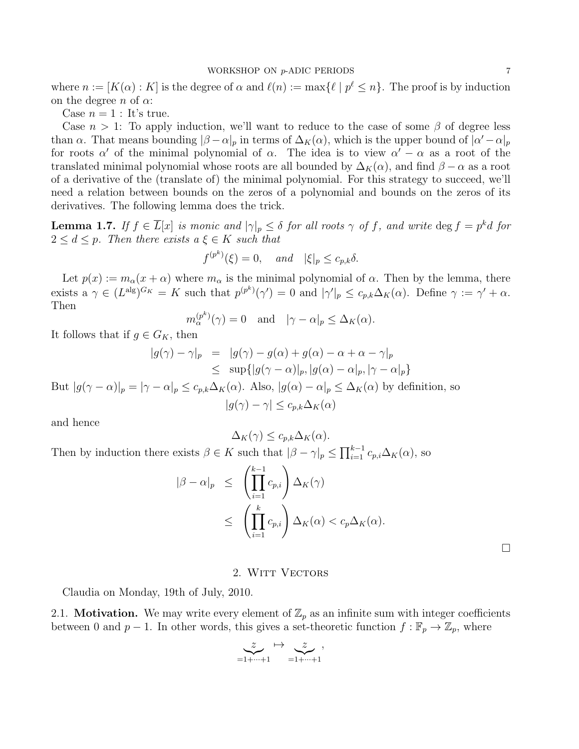where  $n := [K(\alpha) : K]$  is the degree of  $\alpha$  and  $\ell(n) := \max\{\ell \mid p^{\ell} \leq n\}.$  The proof is by induction on the degree n of  $\alpha$ :

Case  $n = 1$  : It's true.

Case  $n > 1$ : To apply induction, we'll want to reduce to the case of some  $\beta$  of degree less than  $\alpha$ . That means bounding  $|\beta-\alpha|_p$  in terms of  $\Delta_K(\alpha)$ , which is the upper bound of  $|\alpha'-\alpha|_p$ for roots  $\alpha'$  of the minimal polynomial of  $\alpha$ . The idea is to view  $\alpha' - \alpha$  as a root of the translated minimal polynomial whose roots are all bounded by  $\Delta_K(\alpha)$ , and find  $\beta - \alpha$  as a root of a derivative of the (translate of) the minimal polynomial. For this strategy to succeed, we'll need a relation between bounds on the zeros of a polynomial and bounds on the zeros of its derivatives. The following lemma does the trick.

**Lemma 1.7.** If  $f \in \overline{L}[x]$  is monic and  $|\gamma|_p \leq \delta$  for all roots  $\gamma$  of f, and write  $\deg f = p^k d$  for  $2 \leq d \leq p$ . Then there exists  $a \xi \in K$  such that

$$
f^{(p^k)}(\xi) = 0, \quad and \quad |\xi|_p \le c_{p,k}\delta.
$$

Let  $p(x) := m_\alpha(x + \alpha)$  where  $m_\alpha$  is the minimal polynomial of  $\alpha$ . Then by the lemma, there exists a  $\gamma \in (L^{\text{alg}})^{G_K} = K$  such that  $p^{(p^k)}(\gamma') = 0$  and  $|\gamma'|_p \leq c_{p,k}\Delta_K(\alpha)$ . Define  $\gamma := \gamma' + \alpha$ . Then

$$
m_{\alpha}^{(p^k)}(\gamma) = 0
$$
 and  $|\gamma - \alpha|_p \leq \Delta_K(\alpha)$ .

It follows that if  $g \in G_K$ , then

$$
|g(\gamma) - \gamma|_p = |g(\gamma) - g(\alpha) + g(\alpha) - \alpha + \alpha - \gamma|_p
$$
  
\n
$$
\leq \sup\{|g(\gamma - \alpha)|_p, |g(\alpha) - \alpha|_p, |\gamma - \alpha|_p\}
$$

But  $|g(\gamma - \alpha)|_p = |\gamma - \alpha|_p \leq c_{p,k}\Delta_K(\alpha)$ . Also,  $|g(\alpha) - \alpha|_p \leq \Delta_K(\alpha)$  by definition, so  $|q(\gamma) - \gamma| \leq c_{n,k} \Delta_K(\alpha)$ 

and hence

$$
\Delta_K(\gamma) \leq c_{p,k} \Delta_K(\alpha).
$$

Then by induction there exists  $\beta \in K$  such that  $|\beta - \gamma|_p \le \prod_{i=1}^{k-1} c_{p,i} \Delta_K(\alpha)$ , so

$$
\begin{array}{rcl} |\beta - \alpha|_p & \leq & \left(\prod_{i=1}^{k-1} c_{p,i}\right) \Delta_K(\gamma) \\ & \leq & \left(\prod_{i=1}^k c_{p,i}\right) \Delta_K(\alpha) < c_p \Delta_K(\alpha). \end{array}
$$

 $\Box$ 

### 2. WITT VECTORS

<span id="page-6-0"></span>Claudia on Monday, 19th of July, 2010.

2.1. **Motivation.** We may write every element of  $\mathbb{Z}_p$  as an infinite sum with integer coefficients between 0 and  $p-1$ . In other words, this gives a set-theoretic function  $f : \mathbb{F}_p \to \mathbb{Z}_p$ , where

$$
\underbrace{z}_{=1+\cdots+1}\mapsto\underbrace{z}_{=1+\cdots+1},
$$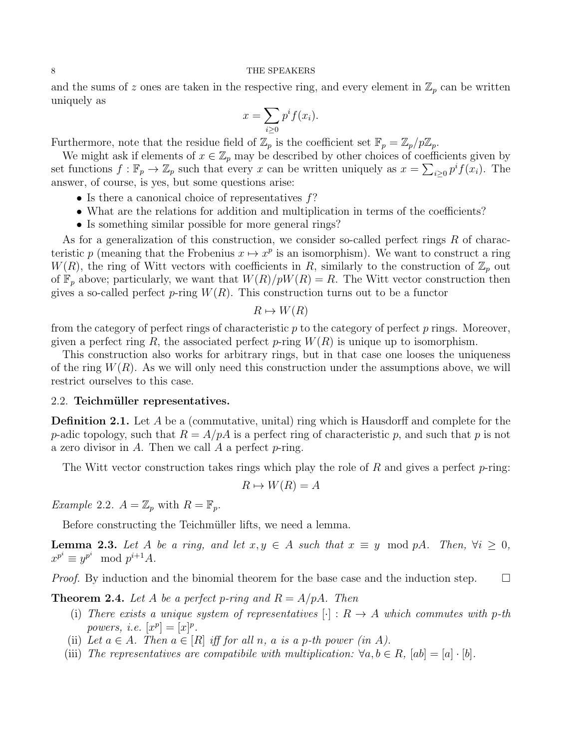and the sums of z ones are taken in the respective ring, and every element in  $\mathbb{Z}_p$  can be written uniquely as

$$
x = \sum_{i \geq 0} p^i f(x_i).
$$

Furthermore, note that the residue field of  $\mathbb{Z}_p$  is the coefficient set  $\mathbb{F}_p = \mathbb{Z}_p/p\mathbb{Z}_p$ .

We might ask if elements of  $x \in \mathbb{Z}_p$  may be described by other choices of coefficients given by set functions  $f: \mathbb{F}_p \to \mathbb{Z}_p$  such that every x can be written uniquely as  $x = \sum_{i \geq 0} p^i f(x_i)$ . The answer, of course, is yes, but some questions arise:

- Is there a canonical choice of representatives  $f$ ?
- What are the relations for addition and multiplication in terms of the coefficients?
- Is something similar possible for more general rings?

As for a generalization of this construction, we consider so-called perfect rings  $R$  of characteristic p (meaning that the Frobenius  $x \mapsto x^p$  is an isomorphism). We want to construct a ring  $W(R)$ , the ring of Witt vectors with coefficients in R, similarly to the construction of  $\mathbb{Z}_p$  out of  $\mathbb{F}_p$  above; particularly, we want that  $W(R)/pW(R) = R$ . The Witt vector construction then gives a so-called perfect p-ring  $W(R)$ . This construction turns out to be a functor

$$
R \mapsto W(R)
$$

from the category of perfect rings of characteristic  $p$  to the category of perfect  $p$  rings. Moreover, given a perfect ring R, the associated perfect p-ring  $W(R)$  is unique up to isomorphism.

This construction also works for arbitrary rings, but in that case one looses the uniqueness of the ring  $W(R)$ . As we will only need this construction under the assumptions above, we will restrict ourselves to this case.

### 2.2. Teichmüller representatives.

**Definition 2.1.** Let A be a (commutative, unital) ring which is Hausdorff and complete for the p-adic topology, such that  $R = A/pA$  is a perfect ring of characteristic p, and such that p is not a zero divisor in  $A$ . Then we call  $A$  a perfect  $p$ -ring.

The Witt vector construction takes rings which play the role of R and gives a perfect  $p$ -ring:

$$
R \mapsto W(R) = A
$$

Example 2.2.  $A = \mathbb{Z}_p$  with  $R = \mathbb{F}_p$ .

Before constructing the Teichmüller lifts, we need a lemma.

**Lemma 2.3.** Let A be a ring, and let  $x, y \in A$  such that  $x \equiv y \mod pA$ . Then,  $\forall i \geq 0$ ,  $x^{p^i} \equiv y^{p^i} \mod p^{i+1}A.$ 

*Proof.* By induction and the binomial theorem for the base case and the induction step.  $\Box$ 

**Theorem 2.4.** Let A be a perfect p-ring and  $R = A/pA$ . Then

- (i) There exists a unique system of representatives  $[\cdot] : R \rightarrow A$  which commutes with p-th powers, i.e.  $[x^p] = [x]^p$ .
- (ii) Let  $a \in A$ . Then  $a \in [R]$  iff for all n, a is a p-th power (in A).
- (iii) The representatives are compatibile with multiplication:  $\forall a, b \in R$ ,  $|ab| = |a| \cdot |b|$ .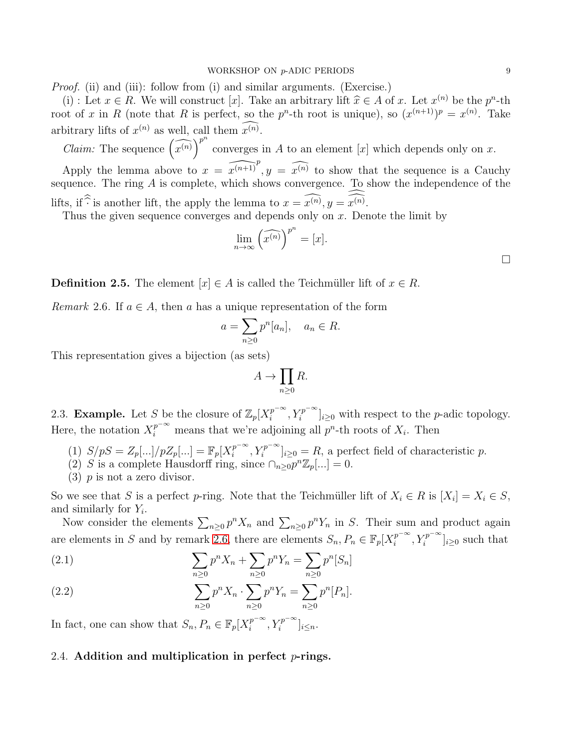*Proof.* (ii) and (iii): follow from (i) and similar arguments. (Exercise.)

(i) : Let  $x \in R$ . We will construct [x]. Take an arbitrary lift  $\hat{x} \in A$  of x. Let  $x^{(n)}$  be the  $p^n$ -th root of x in R (note that R is perfect, so the  $p^{n}$ -th root is unique), so  $(x^{(n+1)})^{p} = x^{(n)}$ . Take arbitrary lifts of  $x^{(n)}$  as well, call them  $x^{(n)}$ .

*Claim:* The sequence  $\left(\widehat{x^{(n)}}\right)^{p^n}$ converges in  $A$  to an element  $[x]$  which depends only on  $x$ . Apply the lemma above to  $x = \widehat{x^{(n+1)}}^p$ ,  $y = \widehat{x^{(n)}}$  to show that the sequence is a Cauchy sequence. The ring A is complete, which shows convergence. To show the independence of the lifts, if  $\hat{\cdot}$  is another lift, the apply the lemma to  $x = x^{(n)}$ ,  $y = x^{(n)}$ .

Thus the given sequence converges and depends only on  $x$ . Denote the limit by

$$
\lim_{n \to \infty} \left( \widehat{x^{(n)}} \right)^{p^n} = [x].
$$

**Definition 2.5.** The element  $[x] \in A$  is called the Teichmüller lift of  $x \in R$ .

<span id="page-8-0"></span>*Remark* 2.6. If  $a \in A$ , then a has a unique representation of the form

$$
a = \sum_{n\geq 0} p^n [a_n], \quad a_n \in R.
$$

This representation gives a bijection (as sets)

$$
A \to \prod_{n \ge 0} R.
$$

2.3. **Example.** Let S be the closure of  $\mathbb{Z}_p[X_i^{p^{-\infty}}]$  $\left[T_i^{p^{-\infty}}, Y_i^{p^{-\infty}}\right]_{i\geq 0}$  with respect to the *p*-adic topology. Here, the notation  $X_i^{p^{-\infty}}$  means that we're adjoining all  $p^n$ -th roots of  $X_i$ . Then

- (1)  $S/pS = Z_p[\ldots]/pZ_p[\ldots] = \mathbb{F}_p[X_i^{p^{-\infty}}]$  $\prod_i^{p-\infty}$ ,  $Y_i^{p-\infty}$ <sub>i</sub><sub>20</sub> = R, a perfect field of characteristic p.
- (2) S is a complete Hausdorff ring, since  $\bigcap_{n\geq 0} p^n \mathbb{Z}_p[...] = 0$ .
- $(3)$  p is not a zero divisor.

So we see that S is a perfect p-ring. Note that the Teichmüller lift of  $X_i \in R$  is  $[X_i] = X_i \in S$ , and similarly for  $Y_i$ .

Now consider the elements  $\sum_{n\geq 0} p^n X_n$  and  $\sum_{n\geq 0} p^n Y_n$  in S. Their sum and product again are elements in S and by remark [2.6,](#page-8-0) there are elements  $S_n, P_n \in \mathbb{F}_p[X_i^{p^{-\infty}}]$  $\left. \sum_{i=1}^{p^{-\infty}} Y_i^{p^{-\infty}} \right]_{i \geq 0}$  such that

<span id="page-8-1"></span>(2.1) 
$$
\sum_{n\geq 0} p^n X_n + \sum_{n\geq 0} p^n Y_n = \sum_{n\geq 0} p^n [S_n]
$$

(2.2) 
$$
\sum_{n\geq 0} p^n X_n \cdot \sum_{n\geq 0} p^n Y_n = \sum_{n\geq 0} p^n [P_n].
$$

In fact, one can show that  $S_n, P_n \in \mathbb{F}_p[X_i^{p^{-\infty}}]$  $\sum_{i}^{p^{-\infty}}, Y_i^{p^{-\infty}}]_{i \leq n}.$ 

### 2.4. Addition and multiplication in perfect  $p$ -rings.

 $\Box$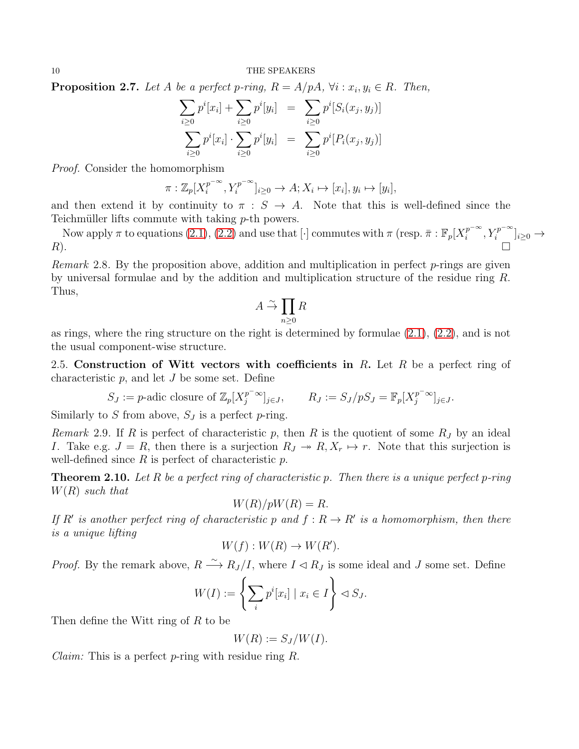**Proposition 2.7.** Let A be a perfect p-ring,  $R = A/pA$ ,  $\forall i : x_i, y_i \in R$ . Then,

$$
\sum_{i\geq 0} p^i [x_i] + \sum_{i\geq 0} p^i [y_i] = \sum_{i\geq 0} p^i [S_i(x_j, y_j)]
$$
  

$$
\sum_{i\geq 0} p^i [x_i] \cdot \sum_{i\geq 0} p^i [y_i] = \sum_{i\geq 0} p^i [P_i(x_j, y_j)]
$$

Proof. Consider the homomorphism

$$
\pi: \mathbb{Z}_p[X_i^{p^{-\infty}}, Y_i^{p^{-\infty}}]_{i \geq 0} \to A; X_i \mapsto [x_i], y_i \mapsto [y_i],
$$

and then extend it by continuity to  $\pi : S \to A$ . Note that this is well-defined since the Teichmüller lifts commute with taking  $p$ -th powers.

Now apply  $\pi$  to equations [\(2.1\)](#page-8-1), [\(2.2\)](#page-8-1) and use that [·] commutes with  $\pi$  (resp.  $\bar{\pi}$  :  $\mathbb{F}_p[X_i^{p-\infty}]$  $i^{p^{-\infty}}, Y_i^{p^{-\infty}}]_{i\geq 0} \to$  $R$ ).

*Remark* 2.8. By the proposition above, addition and multiplication in perfect  $p$ -rings are given by universal formulae and by the addition and multiplication structure of the residue ring R. Thus,

$$
A \stackrel{\sim}{\rightarrow} \prod_{n\geq 0} R
$$

as rings, where the ring structure on the right is determined by formulae [\(2.1\)](#page-8-1), [\(2.2\)](#page-8-1), and is not the usual component-wise structure.

2.5. Construction of Witt vectors with coefficients in R. Let R be a perfect ring of characteristic  $p$ , and let  $J$  be some set. Define

$$
S_J := p\text{-adic closure of } \mathbb{Z}_p[X_j^{p^{-\infty}}]_{j\in J}, \qquad R_J := S_J/pS_J = \mathbb{F}_p[X_j^{p^{-\infty}}]_{j\in J}.
$$

Similarly to S from above,  $S_J$  is a perfect p-ring.

Remark 2.9. If R is perfect of characteristic p, then R is the quotient of some  $R_J$  by an ideal I. Take e.g.  $J = R$ , then there is a surjection  $R_J \twoheadrightarrow R, X_r \mapsto r$ . Note that this surjection is well-defined since  $R$  is perfect of characteristic  $p$ .

**Theorem 2.10.** Let R be a perfect ring of characteristic p. Then there is a unique perfect p-ring  $W(R)$  such that

$$
W(R)/pW(R) = R.
$$

If R' is another perfect ring of characteristic p and  $f: R \to R'$  is a homomorphism, then there is a unique lifting

$$
W(f): W(R) \to W(R').
$$

*Proof.* By the remark above,  $R \stackrel{\sim}{\longrightarrow} R_J/I$ , where  $I \lhd R_J$  is some ideal and J some set. Define

$$
W(I) := \left\{ \sum_{i} p^{i}[x_{i}] \mid x_{i} \in I \right\} \lhd S_{J}.
$$

Then define the Witt ring of R to be

$$
W(R) := S_J/W(I).
$$

*Claim:* This is a perfect *p*-ring with residue ring R.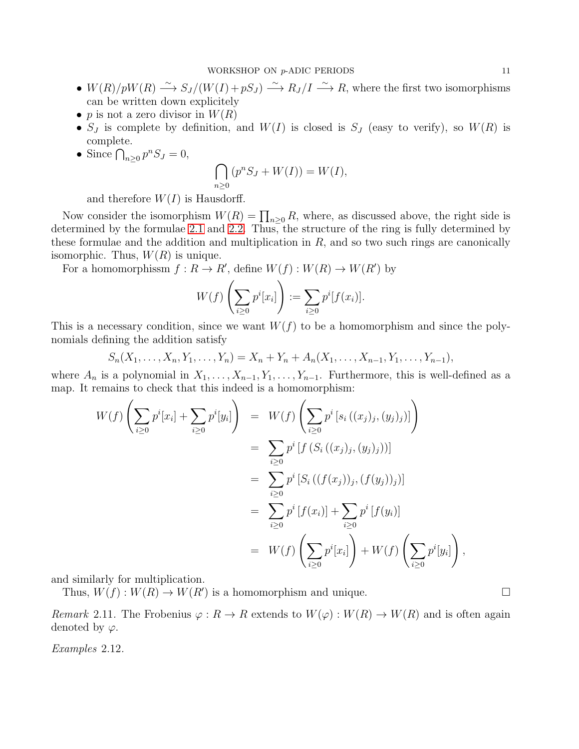- $W(R)/pW(R) \longrightarrow S_J/(W(I) + pS_J) \longrightarrow R_J/I \longrightarrow R$ , where the first two isomorphisms can be written down explicitely
- p is not a zero divisor in  $W(R)$
- $S_J$  is complete by definition, and  $W(I)$  is closed is  $S_J$  (easy to verify), so  $W(R)$  is complete.
- Since  $\bigcap_{n\geq 0} p^n S_J = 0$ ,

$$
\bigcap_{n\geq 0} (p^n S_J + W(I)) = W(I),
$$

and therefore  $W(I)$  is Hausdorff.

Now consider the isomorphism  $W(R) = \prod_{n\geq 0} R$ , where, as discussed above, the right side is determined by the formulae [2.1](#page-8-1) and [2.2.](#page-8-1) Thus, the structure of the ring is fully determined by these formulae and the addition and multiplication in  $R$ , and so two such rings are canonically isomorphic. Thus,  $W(R)$  is unique.

For a homomorphissm  $f: R \to R'$ , define  $W(f): W(R) \to W(R')$  by

$$
W(f)\left(\sum_{i\geq 0}p^i[x_i]\right) := \sum_{i\geq 0}p^i[f(x_i)].
$$

This is a necessary condition, since we want  $W(f)$  to be a homomorphism and since the polynomials defining the addition satisfy

$$
S_n(X_1, \ldots, X_n, Y_1, \ldots, Y_n) = X_n + Y_n + A_n(X_1, \ldots, X_{n-1}, Y_1, \ldots, Y_{n-1}),
$$

where  $A_n$  is a polynomial in  $X_1, \ldots, X_{n-1}, Y_1, \ldots, Y_{n-1}$ . Furthermore, this is well-defined as a map. It remains to check that this indeed is a homomorphism:

$$
W(f) \left( \sum_{i\geq 0} p^{i}[x_{i}] + \sum_{i\geq 0} p^{i}[y_{i}] \right) = W(f) \left( \sum_{i\geq 0} p^{i}[s_{i}((x_{j})_{j}, (y_{j})_{j})] \right)
$$
  
\n
$$
= \sum_{i\geq 0} p^{i}[f(S_{i}((x_{j})_{j}, (y_{j})_{j}))]
$$
  
\n
$$
= \sum_{i\geq 0} p^{i}[S_{i}((f(x_{j}))_{j}, (f(y_{j}))_{j})]
$$
  
\n
$$
= \sum_{i\geq 0} p^{i}[f(x_{i})] + \sum_{i\geq 0} p^{i}[f(y_{i})]
$$
  
\n
$$
= W(f) \left( \sum_{i\geq 0} p^{i}[x_{i}] \right) + W(f) \left( \sum_{i\geq 0} p^{i}[y_{i}] \right),
$$

and similarly for multiplication.

Thus,  $W(f) : W(R) \to W(R')$  is a homomorphism and unique.

Remark 2.11. The Frobenius  $\varphi: R \to R$  extends to  $W(\varphi): W(R) \to W(R)$  and is often again denoted by  $\varphi$ .

Examples 2.12.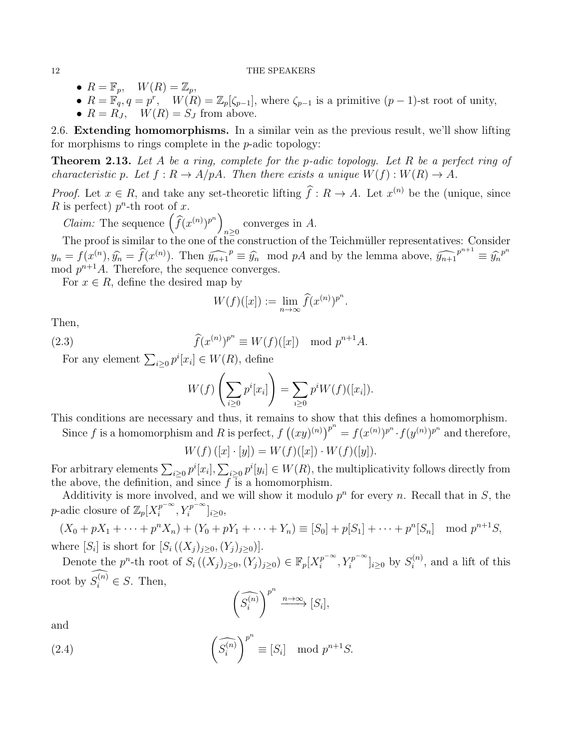- $R = \mathbb{F}_p$ ,  $W(R) = \mathbb{Z}_p$ ,
- $R = \mathbb{F}_q, q = p^r$ ,  $W(R) = \mathbb{Z}_p[\zeta_{p-1}]$ , where  $\zeta_{p-1}$  is a primitive  $(p-1)$ -st root of unity,
- $R = R_J$ ,  $W(R) = S_J$  from above.

2.6. Extending homomorphisms. In a similar vein as the previous result, we'll show lifting for morphisms to rings complete in the p-adic topology:

**Theorem 2.13.** Let A be a ring, complete for the p-adic topology. Let R be a perfect ring of characteristic p. Let  $f: R \to A/pA$ . Then there exists a unique  $W(f): W(R) \to A$ .

*Proof.* Let  $x \in R$ , and take any set-theoretic lifting  $f: R \to A$ . Let  $x^{(n)}$  be the (unique, since R is perfect)  $p^n$ -th root of x.

*Claim:* The sequence  $\left(\widehat{f}(x^{(n)})^{p^n}\right)$ converges in  $A$ .

The proof is similar to the one of the construction of the Teichmüller representatives: Consider  $y_n = f(x^{(n)}, \hat{y}_n = \hat{f}(x^{(n)})$ . Then  $\widehat{y_{n+1}}^p \equiv \hat{y}_n \mod pA$  and by the lemma above,  $\widehat{y_{n+1}}^{p^{n+1}} \equiv \hat{y}_n^{p^n}$ mod  $p^{n+1}A$ . Therefore, the sequence converges.

For  $x \in R$ , define the desired map by

$$
W(f)([x]) := \lim_{n \to \infty} \widehat{f}(x^{(n)})^{p^n}.
$$

Then,

(2.3) 
$$
\widehat{f}(x^{(n)})^{p^n} \equiv W(f)([x]) \mod p^{n+1}A.
$$

For any element  $\sum_{i\geq 0} p^i [x_i] \in W(R)$ , define

<span id="page-11-0"></span>
$$
W(f)\left(\sum_{i\geq 0}p^i[x_i]\right)=\sum_{i\geq 0}p^iW(f)([x_i]).
$$

This conditions are necessary and thus, it remains to show that this defines a homomorphism.

Since f is a homomorphism and R is perfect,  $f((xy)^{(n)})^{p^n} = f(x^{(n)})^{p^n} \cdot f(y^{(n)})^{p^n}$  and therefore,

$$
W(f) ([x] \cdot [y]) = W(f) ([x]) \cdot W(f) ([y]).
$$

For arbitrary elements  $\sum_{i\geq 0} p^i[x_i], \sum_{i\geq 0} p^i[y_i] \in W(R)$ , the multiplicativity follows directly from the above, the definition, and since  $f$  is a homomorphism.

Additivity is more involved, and we will show it modulo  $p<sup>n</sup>$  for every n. Recall that in S, the p-adic closure of  $\mathbb{Z}_p[X_i^{p^{-\infty}}]$  $\sum_{i}^{p^{-\infty}}, Y_i^{p^{-\infty}}]_{i\geq 0},$ 

 $(X_0 + pX_1 + \dots + p^n X_n) + (Y_0 + pY_1 + \dots + Y_n) \equiv [S_0] + p[S_1] + \dots + p^n[S_n] \mod p^{n+1}S,$ where  $[S_i]$  is short for  $[S_i((X_j)_{j\geq 0}, (Y_j)_{j\geq 0})].$ 

Denote the  $p^n$ -th root of  $S_i((X_j)_{j\geq 0}, (Y_j)_{j\geq 0}) \in \mathbb{F}_p[X_i^{p^{-\infty}}]$  $[i]_i^{p^{-\infty}}, Y_i^{p^{-\infty}}]_{i \geq 0}$  by  $S_i^{(n)}$  $i^{(n)}$ , and a lift of this root by  $S_i^{(n)} \in S$ . Then,

<span id="page-11-1"></span>
$$
\left(\widehat{S_i^{(n)}}\right)^{p^n} \xrightarrow{n \to \infty} [S_i],
$$

and

(2.4) 
$$
\left(\widehat{S_i^{(n)}}\right)^{p^n} \equiv [S_i] \mod p^{n+1}S.
$$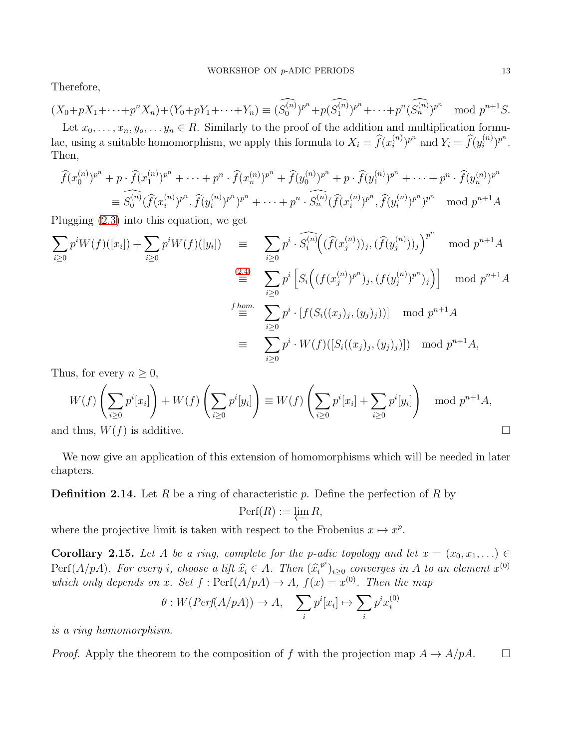Therefore,

$$
(X_0 + pX_1 + \dots + p^n X_n) + (Y_0 + pY_1 + \dots + Y_n) \equiv (\widehat{S_0^{(n)}})^{p^n} + p(\widehat{S_1^{(n)}})^{p^n} + \dots + p^n(\widehat{S_n^{(n)}})^{p^n}
$$
 mod  $p^{n+1}S$ .  
Let  $x_0, \dots, x_n, y_0, \dots y_n \in R$ . Similarly to the proof of the addition and multiplication formulae, using a suitable homomorphism, we apply this formula to  $X_i = \widehat{f}(x_i^{(n)})^{p^n}$  and  $Y_i = \widehat{f}(y_i^{(n)})^{p^n}$ .  
Then,

$$
\widehat{f}(x_0^{(n)})^{p^n} + p \cdot \widehat{f}(x_1^{(n)})^{p^n} + \dots + p^n \cdot \widehat{f}(x_n^{(n)})^{p^n} + \widehat{f}(y_0^{(n)})^{p^n} + p \cdot \widehat{f}(y_1^{(n)})^{p^n} + \dots + p^n \cdot \widehat{f}(y_n^{(n)})^{p^n}
$$
\n
$$
\equiv \widehat{S_0^{(n)}}(\widehat{f}(x_i^{(n)})^{p^n}, \widehat{f}(y_i^{(n)})^{p^n})^{p^n} + \dots + p^n \cdot \widehat{S_n^{(n)}}(\widehat{f}(x_i^{(n)})^{p^n}, \widehat{f}(y_i^{(n)})^{p^n})^{p^n} \mod p^{n+1}A
$$

Plugging [\(2.3\)](#page-11-0) into this equation, we get

$$
\sum_{i\geq 0} p^i W(f)([x_i]) + \sum_{i\geq 0} p^i W(f)([y_i]) = \sum_{i\geq 0} p^i \cdot \widehat{S_i^{(n)}} \Big( (\widehat{f}(x_j^{(n)}))_j, (\widehat{f}(y_j^{(n)}))_j \Big)^{p^n} \mod p^{n+1}A
$$
  
\n
$$
\stackrel{(2.4)}{\equiv} \sum_{i\geq 0} p^i \left[ S_i \Big( (f(x_j^{(n)})^{p^n})_j, (f(y_j^{(n)})^{p^n})_j \Big) \right] \mod p^{n+1}A
$$
  
\n
$$
\stackrel{f \text{ hom.}}{\equiv} \sum_{i\geq 0} p^i \cdot [f(S_i((x_j)_j, (y_j)_j))] \mod p^{n+1}A
$$
  
\n
$$
\equiv \sum_{i\geq 0} p^i \cdot W(f)([S_i((x_j)_j, (y_j)_j)]) \mod p^{n+1}A,
$$

Thus, for every  $n \geq 0$ ,

$$
W(f)\left(\sum_{i\geq 0} p^i[x_i]\right) + W(f)\left(\sum_{i\geq 0} p^i[y_i]\right) \equiv W(f)\left(\sum_{i\geq 0} p^i[x_i] + \sum_{i\geq 0} p^i[y_i]\right) \mod p^{n+1}A,
$$
  
and thus,  $W(f)$  is additive.

We now give an application of this extension of homomorphisms which will be needed in later chapters.

**Definition 2.14.** Let R be a ring of characteristic p. Define the perfection of R by

$$
\operatorname{Perf}(R) := \varprojlim R,
$$

where the projective limit is taken with respect to the Frobenius  $x \mapsto x^p$ .

Corollary 2.15. Let A be a ring, complete for the p-adic topology and let  $x = (x_0, x_1, ...) \in$ Perf $(A/pA)$ . For every i, choose a lift  $\hat{x}_i \in A$ . Then  $(\hat{x}_i^{p^i})_{i \geq 0}$  converges in A to an element  $x^{(0)}$ which only depends on x. Set  $f: \text{Perf}(A/pA) \to A$ ,  $f(x) = x^{(0)}$ . Then the map

$$
\theta: W(Perf(A/pA)) \to A, \quad \sum_{i} p^{i}[x_{i}] \mapsto \sum_{i} p^{i} x_{i}^{(0)}
$$

is a ring homomorphism.

*Proof.* Apply the theorem to the composition of f with the projection map  $A \to A/pA$ .  $\Box$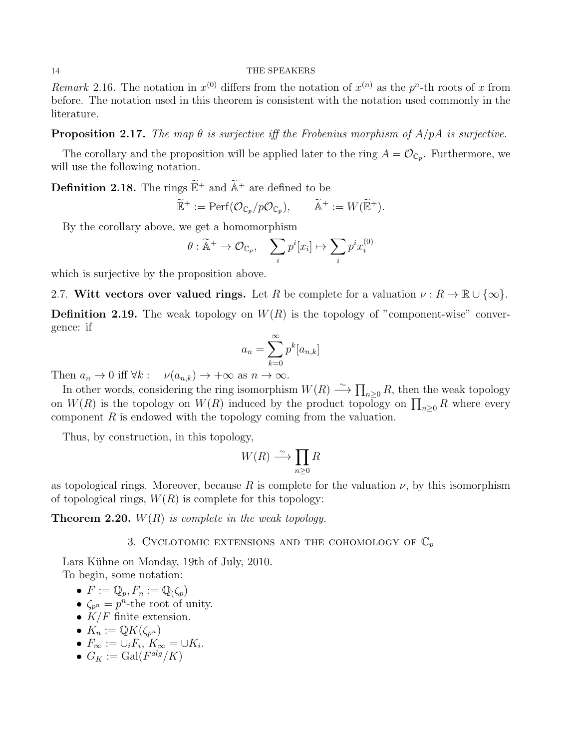Remark 2.16. The notation in  $x^{(0)}$  differs from the notation of  $x^{(n)}$  as the  $p^{n}$ -th roots of x from before. The notation used in this theorem is consistent with the notation used commonly in the literature.

**Proposition 2.17.** The map  $\theta$  is surjective iff the Frobenius morphism of  $A/pA$  is surjective.

The corollary and the proposition will be applied later to the ring  $A = \mathcal{O}_{\mathbb{C}_p}$ . Furthermore, we will use the following notation.

**Definition 2.18.** The rings  $\widetilde{\mathbb{E}}^+$  and  $\widetilde{\mathbb{A}}^+$  are defined to be

$$
\widetilde{\mathbb{E}}^+ := \mathrm{Perf}(\mathcal{O}_{\mathbb{C}_p}/p\mathcal{O}_{\mathbb{C}_p}), \qquad \widetilde{\mathbb{A}}^+ := W(\widetilde{\mathbb{E}}^+).
$$

By the corollary above, we get a homomorphism

$$
\theta : \widetilde{\mathbb{A}}^+ \to \mathcal{O}_{\mathbb{C}_p}, \quad \sum_i p^i [x_i] \mapsto \sum_i p^i x_i^{(0)}
$$

which is surjective by the proposition above.

2.7. Witt vectors over valued rings. Let R be complete for a valuation  $\nu : R \to \mathbb{R} \cup \{\infty\}.$ 

**Definition 2.19.** The weak topology on  $W(R)$  is the topology of "component-wise" convergence: if

$$
a_n = \sum_{k=0}^{\infty} p^k [a_{n,k}]
$$

Then  $a_n \to 0$  iff  $\forall k : \nu(a_{n,k}) \to +\infty$  as  $n \to \infty$ .

In other words, considering the ring isomorphism  $W(R) \longrightarrow \prod_{n\geq 0} R$ , then the weak topology on  $W(R)$  is the topology on  $W(R)$  induced by the product topology on  $\prod_{n\geq 0} R$  where every component  $R$  is endowed with the topology coming from the valuation.

Thus, by construction, in this topology,

$$
W(R) \xrightarrow{\sim} \prod_{n \ge 0} R
$$

as topological rings. Moreover, because R is complete for the valuation  $\nu$ , by this isomorphism of topological rings,  $W(R)$  is complete for this topology:

<span id="page-13-0"></span>**Theorem 2.20.**  $W(R)$  is complete in the weak topology.

## 3. CYCLOTOMIC EXTENSIONS AND THE COHOMOLOGY OF  $\mathbb{C}_p$

Lars Kühne on Monday, 19th of July, 2010. To begin, some notation:

- $F := \mathbb{Q}_p, F_n := \mathbb{Q}(\zeta_p)$
- $\zeta_{p^n} = p^n$ -the root of unity.
- $K/F$  finite extension.

• 
$$
K_n := \mathbb{Q}K(\zeta_{p^n})
$$

- $\bullet$   $F_{\infty} := \cup_i F_i, K_{\infty} = \cup K_i.$
- $G_K := \text{Gal}(F^{alg}/K)$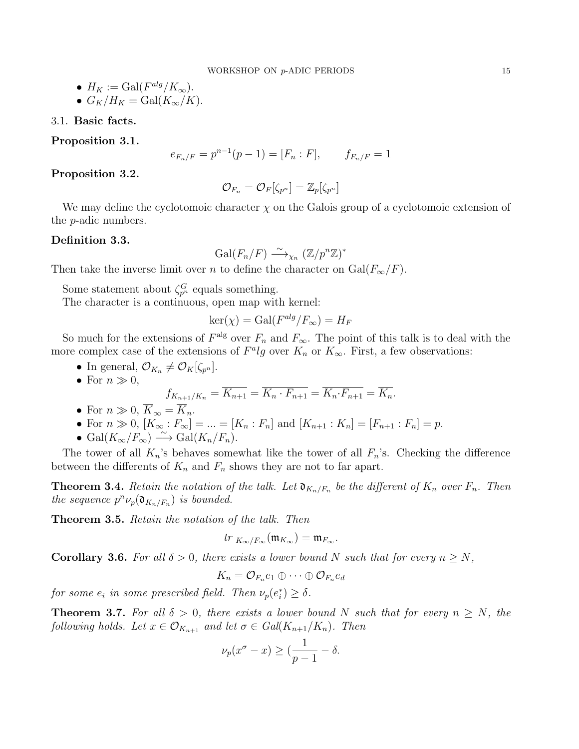\n- \n
$$
H_K := \text{Gal}(F^{alg}/K_\infty).
$$
\n
\n- \n $G_K/H_K = \text{Gal}(K_\infty/K).$ \n
\n

3.1. Basic facts.

Proposition 3.1.

$$
e_{F_n/F} = p^{n-1}(p-1) = [F_n : F], \qquad f_{F_n/F} = 1
$$

Proposition 3.2.

$$
\mathcal{O}_{F_n}=\mathcal{O}_F[\zeta_{p^n}]=\mathbb{Z}_p[\zeta_{p^n}]
$$

We may define the cyclotomoic character  $\chi$  on the Galois group of a cyclotomoic extension of the p-adic numbers.

#### Definition 3.3.

$$
\mathrm{Gal}(F_n/F) \xrightarrow{\sim} \chi_n \left( \mathbb{Z}/p^n \mathbb{Z} \right)^*
$$

Then take the inverse limit over n to define the character on  $Gal(F_{\infty}/F)$ .

Some statement about  $\zeta_{p^n}^G$  equals something.

The character is a continuous, open map with kernel:

$$
\ker(\chi) = \text{Gal}(F^{alg}/F_{\infty}) = H_F
$$

So much for the extensions of  $F^{\text{alg}}$  over  $F_n$  and  $F_{\infty}$ . The point of this talk is to deal with the more complex case of the extensions of  $F^{\alpha}lg$  over  $K_n$  or  $K_{\infty}$ . First, a few observations:

• In general,  $\mathcal{O}_{K_n} \neq \mathcal{O}_K[\zeta_{p^n}].$ 

• For 
$$
n \gg 0
$$
,  
\n
$$
f_{K_{n+1}/K_n} = \overline{K_{n+1}} = \overline{K_n \cdot F_{n+1}} = \overline{K_n \cdot F_{n+1}} = \overline{K_n}.
$$

- For  $n \gg 0$ ,  $\overline{K}_{\infty} = \overline{K}_n$ .
- For  $n \gg 0$ ,  $[K_{\infty} : F_{\infty}] = ... = [K_n : F_n]$  and  $[K_{n+1} : K_n] = [F_{n+1} : F_n] = p$ .
- Gal $(K_\infty/F_\infty) \stackrel{\sim}{\longrightarrow}$  Gal $(K_n/F_n)$ .

The tower of all  $K_n$ 's behaves somewhat like the tower of all  $F_n$ 's. Checking the difference between the differents of  $K_n$  and  $F_n$  shows they are not to far apart.

**Theorem 3.4.** Retain the notation of the talk. Let  $\mathfrak{d}_{K_n/F_n}$  be the different of  $K_n$  over  $F_n$ . Then the sequence  $p^n \nu_p(\mathfrak{d}_{K_n/F_n})$  is bounded.

Theorem 3.5. Retain the notation of the talk. Then

$$
tr_{K_{\infty}/F_{\infty}}(\mathfrak{m}_{K_{\infty}})=\mathfrak{m}_{F_{\infty}}.
$$

**Corollary 3.6.** For all  $\delta > 0$ , there exists a lower bound N such that for every  $n \geq N$ ,

$$
K_n = \mathcal{O}_{F_n}e_1 \oplus \cdots \oplus \mathcal{O}_{F_n}e_d
$$

for some  $e_i$  in some prescribed field. Then  $\nu_p(e_i^*) \geq \delta$ .

**Theorem 3.7.** For all  $\delta > 0$ , there exists a lower bound N such that for every  $n \geq N$ , the following holds. Let  $x \in \mathcal{O}_{K_{n+1}}$  and let  $\sigma \in Gal(K_{n+1}/K_n)$ . Then

$$
\nu_p(x^{\sigma}-x) \geq \left(\frac{1}{p-1} - \delta\right).
$$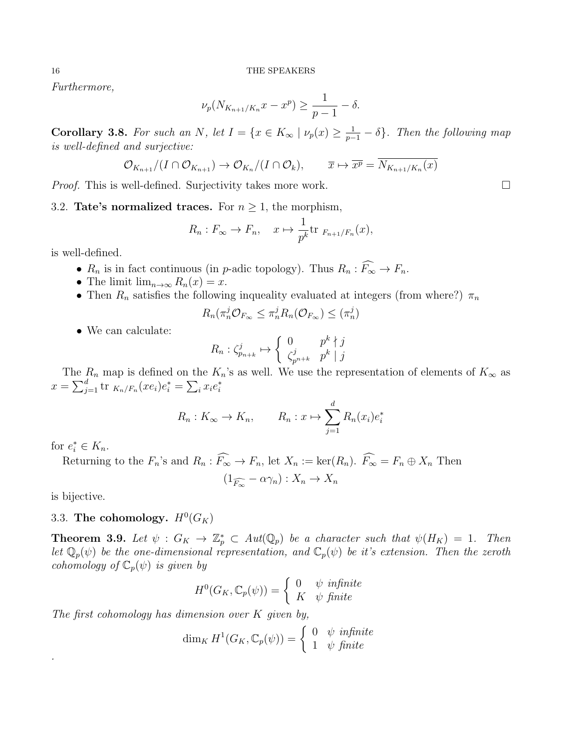Furthermore,

$$
\nu_p(N_{K_{n+1}/K_n}x - x^p) \ge \frac{1}{p-1} - \delta.
$$

**Corollary 3.8.** For such an N, let  $I = \{x \in K_\infty \mid \nu_p(x) \geq \frac{1}{p-1} - \delta\}$ . Then the following map is well-defined and surjective:

$$
\mathcal{O}_{K_{n+1}}/(I \cap \mathcal{O}_{K_{n+1}}) \to \mathcal{O}_{K_n}/(I \cap \mathcal{O}_k), \qquad \overline{x} \mapsto \overline{x^p} = \overline{N_{K_{n+1}/K_n}(x)}
$$

*Proof.* This is well-defined. Surjectivity takes more work.  $\Box$ 

3.2. Tate's normalized traces. For  $n \geq 1$ , the morphism,

$$
R_n: F_{\infty} \to F_n, \quad x \mapsto \frac{1}{p^k} \text{tr }_{F_{n+1}/F_n}(x),
$$

is well-defined.

- $R_n$  is in fact continuous (in p-adic topology). Thus  $R_n : \widehat{F_{\infty}} \to F_n$ .
- The limit  $\lim_{n\to\infty} R_n(x) = x$ .
- Then  $R_n$  satisfies the following inqueality evaluated at integers (from where?)  $\pi_n$

$$
R_n(\pi_n^j \mathcal{O}_{F_\infty} \leq \pi_n^j R_n(\mathcal{O}_{F_\infty}) \leq (\pi_n^j)
$$

• We can calculate:

$$
R_n : \zeta_{p_{n+k}}^j \mapsto \left\{ \begin{array}{ll} 0 & p^k \nmid j \\ \zeta_{p^{n+k}}^j & p^k \mid j \end{array} \right.
$$

The  $R_n$  map is defined on the  $K_n$ 's as well. We use the representation of elements of  $K_\infty$  as  $x = \sum_{j=1}^{d} \text{tr}_{K_n/F_n}(xe_i)e_i^* = \sum_i x_i e_i^*$ 

$$
R_n: K_{\infty} \to K_n, \qquad R_n: x \mapsto \sum_{j=1}^d R_n(x_i)e_i^*
$$

for  $e_i^* \in K_n$ .

Returning to the  $F_n$ 's and  $R_n : \widehat{F_{\infty}} \to F_n$ , let  $X_n := \text{ker}(R_n)$ .  $\widehat{F_{\infty}} = F_n \oplus X_n$  Then

$$
(1_{\widehat{F_{\infty}}}-\alpha\gamma_n):X_n\to X_n
$$

is bijective.

.

# 3.3. The cohomology.  $H^0(G_K)$

**Theorem 3.9.** Let  $\psi$  :  $G_K \to \mathbb{Z}_p^* \subset Aut(\mathbb{Q}_p)$  be a character such that  $\psi(H_K) = 1$ . Then let  $\mathbb{Q}_p(\psi)$  be the one-dimensional representation, and  $\mathbb{C}_p(\psi)$  be it's extension. Then the zeroth cohomology of  $\mathbb{C}_p(\psi)$  is given by

$$
H^{0}(G_{K}, \mathbb{C}_{p}(\psi)) = \begin{cases} 0 & \psi \text{ infinite} \\ K & \psi \text{ finite} \end{cases}
$$

The first cohomology has dimension over  $K$  given by,

$$
\dim_K H^1(G_K, \mathbb{C}_p(\psi)) = \begin{cases} 0 & \text{if } \text{infinite} \\ 1 & \text{if } \text{finite} \end{cases}
$$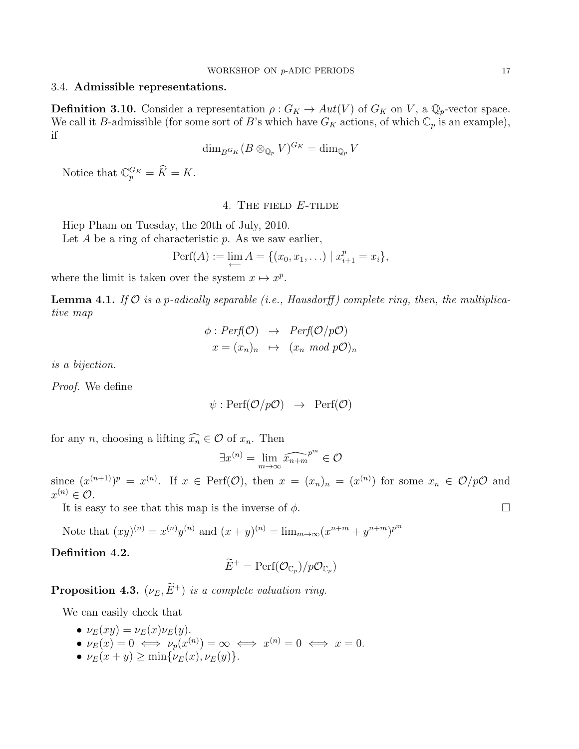## 3.4. Admissible representations.

**Definition 3.10.** Consider a representation  $\rho: G_K \to Aut(V)$  of  $G_K$  on V, a  $\mathbb{Q}_p$ -vector space. We call it B-admissible (for some sort of B's which have  $G_K$  actions, of which  $\mathbb{C}_p$  is an example), if

$$
\dim_{B^{G_K}} (B \otimes_{\mathbb{Q}_p} V)^{G_K} = \dim_{\mathbb{Q}_p} V
$$

<span id="page-16-0"></span>Notice that  $\mathbb{C}_p^{G_K} = \hat{K} = K$ .

### 4. The field E-tilde

Hiep Pham on Tuesday, the 20th of July, 2010.

Let  $A$  be a ring of characteristic  $p$ . As we saw earlier,

$$
Perf(A) := \lim_{\longleftarrow} A = \{ (x_0, x_1, \ldots) \mid x_{i+1}^p = x_i \},
$$

where the limit is taken over the system  $x \mapsto x^p$ .

**Lemma 4.1.** If  $\mathcal{O}$  is a p-adically separable (i.e., Hausdorff) complete ring, then, the multiplicative map

$$
\begin{array}{rcl}\n\phi: Perf(\mathcal{O}) & \rightarrow & Perf(\mathcal{O}/p\mathcal{O}) \\
x = (x_n)_n & \mapsto & (x_n \mod p\mathcal{O})_n\n\end{array}
$$

is a bijection.

Proof. We define

$$
\psi : \mathrm{Perf}(\mathcal{O}/p\mathcal{O}) \rightarrow \mathrm{Perf}(\mathcal{O})
$$

for any *n*, choosing a lifting  $\widehat{x_n} \in \mathcal{O}$  of  $x_n$ . Then

$$
\exists x^{(n)} = \lim_{m \to \infty} \widehat{x_{n+m}}^{p^m} \in \mathcal{O}
$$

since  $(x^{(n+1)})^p = x^{(n)}$ . If  $x \in \text{Perf}(\mathcal{O})$ , then  $x = (x_n)_n = (x^{(n)})$  for some  $x_n \in \mathcal{O}/p\mathcal{O}$  and  $x^{(n)} \in \mathcal{O}.$ 

It is easy to see that this map is the inverse of  $\phi$ .

Note that  $(xy)^{(n)} = x^{(n)}y^{(n)}$  and  $(x+y)^{(n)} = \lim_{m \to \infty} (x^{n+m} + y^{n+m})^{p^m}$ 

# Definition 4.2.

$$
\widetilde{E}^+ = \mathrm{Perf}(\mathcal{O}_{\mathbb{C}_p})/p\mathcal{O}_{\mathbb{C}_p})
$$

**Proposition 4.3.** ( $\nu_E, \widetilde{E}^+$ ) is a complete valuation ring.

We can easily check that

- $\nu_E(xy) = \nu_E(x)\nu_E(y)$ .
- $\nu_E(x) = 0 \iff \nu_p(x^{(n)}) = \infty \iff x^{(n)} = 0 \iff x = 0.$
- $\nu_E(x+y) \ge \min{\{\nu_E(x), \nu_E(y)\}}$ .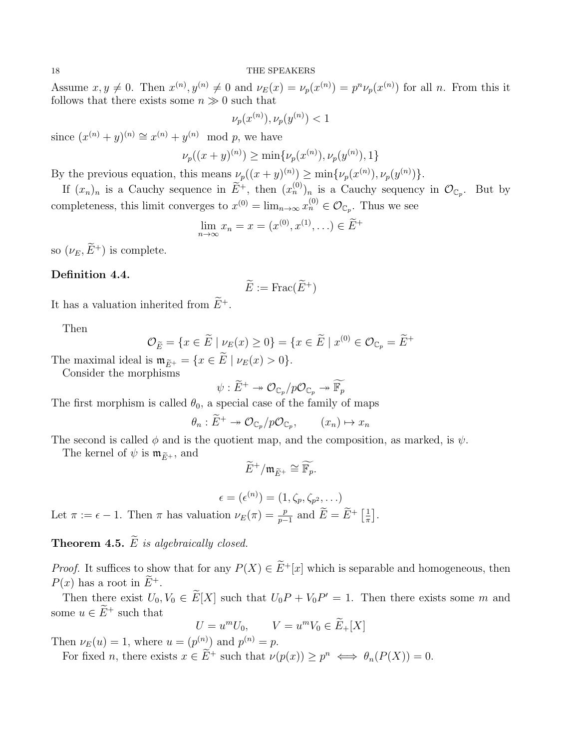Assume  $x, y \neq 0$ . Then  $x^{(n)}, y^{(n)} \neq 0$  and  $\nu_E(x) = \nu_p(x^{(n)}) = p^n \nu_p(x^{(n)})$  for all n. From this it follows that there exists some  $n \gg 0$  such that

$$
\nu_p(x^{(n)}), \nu_p(y^{(n)}) < 1
$$

since  $(x^{(n)} + y)^{(n)} \cong x^{(n)} + y^{(n)} \mod p$ , we have

$$
\nu_p((x+y)^{(n)}) \ge \min{\{\nu_p(x^{(n)}), \nu_p(y^{(n)}), 1\}}
$$

By the previous equation, this means  $\nu_p((x+y)^{(n)}) \ge \min{\{\nu_p(x^{(n)}), \nu_p(y^{(n)})\}}$ .

If  $(x_n)_n$  is a Cauchy sequence in  $\widetilde{E}^+$ , then  $(x_n^{(0)})_n$  is a Cauchy sequency in  $\mathcal{O}_{\mathbb{C}_p}$ . But by completeness, this limit converges to  $x^{(0)} = \lim_{n \to \infty} x_n^{(0)} \in \mathcal{O}_{\mathbb{C}_p}$ . Thus we see

$$
\lim_{n \to \infty} x_n = x = (x^{(0)}, x^{(1)}, \ldots) \in \widetilde{E}^+
$$

so  $(\nu_E, \widetilde{E}^+)$  is complete.

### Definition 4.4.

$$
\widetilde{E} := \operatorname{Frac}(\widetilde{E}^+)
$$

It has a valuation inherited from  $\widetilde{E}^+$ .

Then

$$
\mathcal{O}_{\widetilde{E}} = \{ x \in \widetilde{E} \mid \underset{\sim}{\nu_E(x)} \ge 0 \} = \{ x \in \widetilde{E} \mid x^{(0)} \in \mathcal{O}_{\mathbb{C}_p} = \widetilde{E}^+ \}
$$

The maximal ideal is  $\mathfrak{m}_{\widetilde{E}^+} = \{x \in \widetilde{E} \mid \nu_E(x) > 0\}.$ 

Consider the morphisms

$$
\psi: \widetilde{E}^+ \twoheadrightarrow \mathcal{O}_{\mathbb{C}_p}/p\mathcal{O}_{\mathbb{C}_p} \twoheadrightarrow \widetilde{\mathbb{F}_p}
$$

The first morphism is called  $\theta_0$ , a special case of the family of maps

$$
\theta_n : \widetilde{E}^+ \to \mathcal{O}_{\mathbb{C}_p}/p\mathcal{O}_{\mathbb{C}_p}, \qquad (x_n) \mapsto x_n
$$

The second is called  $\phi$  and is the quotient map, and the composition, as marked, is  $\psi$ .

The kernel of  $\psi$  is  $\mathfrak{m}_{\widetilde{E}^+}$ , and

$$
\widetilde{E}^+/\mathfrak{m}_{\widetilde{E}^+}\cong \widetilde{\mathbb{F}_p}.
$$

$$
\epsilon = (\epsilon^{(n)}) = (1, \zeta_p, \zeta_{p^2}, \dots)
$$
  
Let  $\pi := \epsilon - 1$ . Then  $\pi$  has valuation  $\nu_E(\pi) = \frac{p}{p-1}$  and  $\widetilde{E} = \widetilde{E}^+ \left[ \frac{1}{\pi} \right]$ .

**Theorem 4.5.**  $\widetilde{E}$  is algebraically closed.

*Proof.* It suffices to show that for any  $P(X) \in \widetilde{E}^+[x]$  which is separable and homogeneous, then  $P(x)$  has a root in  $\widetilde{E}^+$ .

Then there exist  $U_0, V_0 \in E[X]$  such that  $U_0 P + V_0 P' = 1$ . Then there exists some m and some  $u \in \widetilde{E}^+$  such that

$$
U = um U0, \qquad V = um V0 \in \widetilde{E}_+[X]
$$

Then  $\nu_E(u) = 1$ , where  $u = (p^{(n)})$  and  $p^{(n)} = p$ .

For fixed *n*, there exists  $x \in E^+$  such that  $\nu(p(x)) \geq p^n \iff \theta_n(P(X)) = 0$ .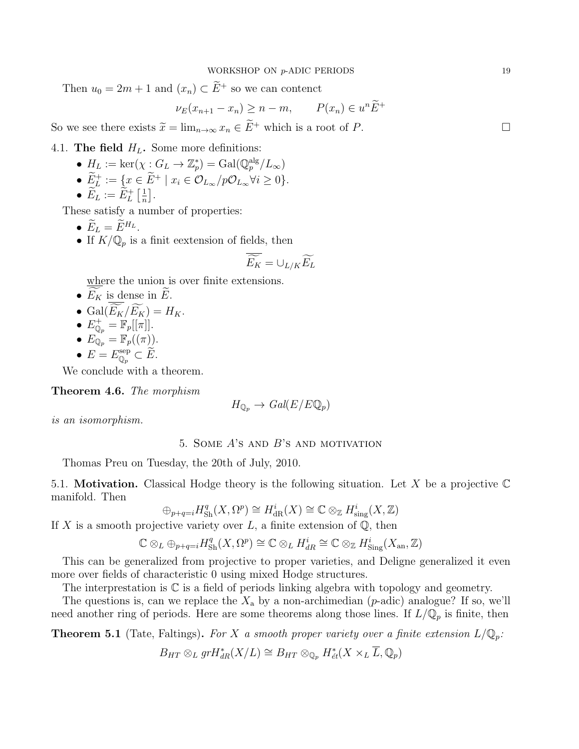Then  $u_0 = 2m + 1$  and  $(x_n) \subset \widetilde{E}^+$  so we can contenct

$$
\nu_E(x_{n+1} - x_n) \ge n - m, \qquad P(x_n) \in u^n \widetilde{E}^+
$$

So we see there exists  $\widetilde{x} = \lim_{n \to \infty} x_n \in \widetilde{E}^+$  which is a root of P.

4.1. The field  $H_L$ . Some more definitions:

- $H_L := \ker(\chi : G_L \to \mathbb{Z}_p^*) = \text{Gal}(\mathbb{Q}_p^{\text{alg}}/L_\infty)$
- $E_L^+ := \{ x \in E^+ \mid x_i \in \mathcal{O}_{L_\infty}/p\mathcal{O}_{L_\infty} \forall i \geq 0 \}.$
- $\bullet$   $\widetilde{E}_L := \widetilde{E}_L^+ \left[ \frac{1}{n} \right]$  $\frac{1}{n}$ .

These satisfy a number of properties:

- $\widetilde{E}_L = \widetilde{E}^{H_L}$ .
- If  $K/\mathbb{Q}_p$  is a finit eextension of fields, then

$$
\overline{\widetilde{E_K}} = \cup_{L/K} \widetilde{E_L}
$$

where the union is over finite extensions.

- $E_K$  is dense in  $\widetilde{E}$ .
- Gal $(\widetilde{E_K}/\widetilde{E_K})=H_K.$
- $E_{\mathbb{Q}_p}^+ = \mathbb{F}_p[[\pi]].$
- $E_{\mathbb{Q}_p} = \mathbb{F}_p((\pi)).$
- $E = E_{\mathbb{Q}_p}^{\text{sep}} \subset \widetilde{E}.$

We conclude with a theorem.

Theorem 4.6. The morphism

$$
H_{\mathbb{Q}_p} \to \text{Gal}(E/E\mathbb{Q}_p)
$$

<span id="page-18-0"></span>is an isomorphism.

## 5. SOME  $A$ 's and  $B$ 's and motivation

Thomas Preu on Tuesday, the 20th of July, 2010.

5.1. **Motivation.** Classical Hodge theory is the following situation. Let X be a projective  $\mathbb C$ manifold. Then

$$
\oplus_{p+q=i} H_{\mathrm{Sh}}^q(X, \Omega^p) \cong H_{\mathrm{dR}}^i(X) \cong \mathbb{C} \otimes_{\mathbb{Z}} H_{\mathrm{sing}}^i(X, \mathbb{Z})
$$

If X is a smooth projective variety over  $L$ , a finite extension of  $\mathbb{Q}$ , then

$$
\mathbb{C} \otimes_L \oplus_{p+q=i} H_{\mathrm{Sh}}^q(X, \Omega^p) \cong \mathbb{C} \otimes_L H_{dR}^i \cong \mathbb{C} \otimes_{\mathbb{Z}} H_{\mathrm{Sing}}^i(X_{\mathrm{an}}, \mathbb{Z})
$$

This can be generalized from projective to proper varieties, and Deligne generalized it even more over fields of characteristic 0 using mixed Hodge structures.

The interprestation is C is a field of periods linking algebra with topology and geometry.

The questions is, can we replace the  $X_a$  by a non-archimedian (*p*-adic) analogue? If so, we'll need another ring of periods. Here are some theorems along those lines. If  $L/\mathbb{Q}_p$  is finite, then

**Theorem 5.1** (Tate, Faltings). For X a smooth proper variety over a finite extension  $L/\mathbb{Q}_p$ :

$$
B_{HT}\otimes_L gr H^*_{dR}(X/L)\cong B_{HT}\otimes_{\mathbb{Q}_p} H^*_{\acute{e}t}(X\times_L \overline{L}, \mathbb{Q}_p)
$$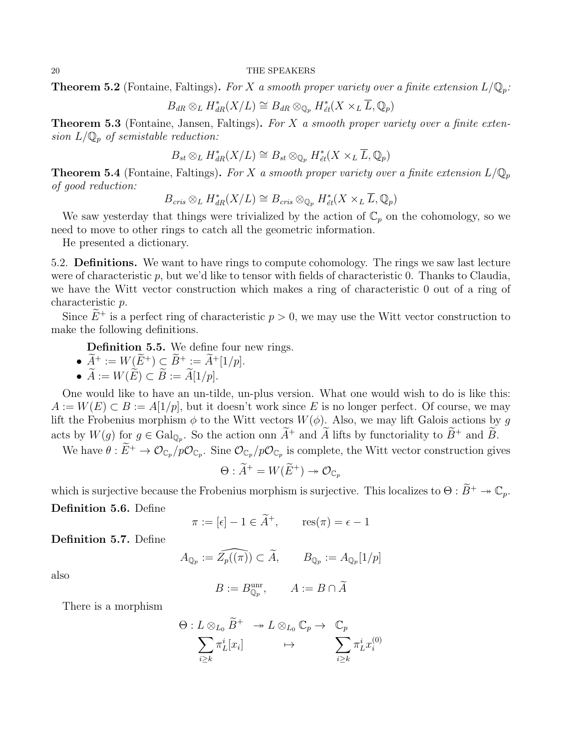**Theorem 5.2** (Fontaine, Faltings). For X a smooth proper variety over a finite extension  $L/\mathbb{Q}_p$ :

$$
B_{dR} \otimes_L H^*_{dR}(X/L) \cong B_{dR} \otimes_{\mathbb{Q}_p} H^*_{\acute{e}t}(X \times_L \overline{L}, \mathbb{Q}_p)
$$

**Theorem 5.3** (Fontaine, Jansen, Faltings). For  $X$  a smooth proper variety over a finite extension  $L/\mathbb{Q}_p$  of semistable reduction:

$$
B_{st} \otimes_L H^*_{dR}(X/L) \cong B_{st} \otimes_{\mathbb{Q}_p} H^*_{\acute{e}t}(X \times_L \overline{L}, \mathbb{Q}_p)
$$

**Theorem 5.4** (Fontaine, Faltings). For X a smooth proper variety over a finite extension  $L/\mathbb{Q}_p$ of good reduction:

$$
B_{cris} \otimes_L H_{dR}^*(X/L) \cong B_{cris} \otimes_{\mathbb{Q}_p} H_{\acute{e}t}^*(X \times_L \overline{L}, \mathbb{Q}_p)
$$

We saw yesterday that things were trivialized by the action of  $\mathbb{C}_p$  on the cohomology, so we need to move to other rings to catch all the geometric information.

He presented a dictionary.

5.2. Definitions. We want to have rings to compute cohomology. The rings we saw last lecture were of characteristic p, but we'd like to tensor with fields of characteristic 0. Thanks to Claudia, we have the Witt vector construction which makes a ring of characteristic 0 out of a ring of characteristic p.

Since  $\widetilde{E}^+$  is a perfect ring of characteristic  $p > 0$ , we may use the Witt vector construction to make the following definitions.

Definition 5.5. We define four new rings.

- $\widetilde{A}^+ := W(\widetilde{E}^+) \subset \widetilde{B}^+ := \widetilde{A}^+[1/p].$
- $\widetilde{A} := W(\widetilde{E}) \subset \widetilde{B} := \widetilde{A}[1/p].$

One would like to have an un-tilde, un-plus version. What one would wish to do is like this:  $A := W(E) \subset B := A[1/p],$  but it doesn't work since E is no longer perfect. Of course, we may lift the Frobenius morphism  $\phi$  to the Witt vectors  $W(\phi)$ . Also, we may lift Galois actions by g acts by  $W(g)$  for  $g \in \text{Gal}_{\mathbb{Q}_p}$ . So the action onn  $A^+$  and A lifts by functoriality to  $B^+$  and B.

We have  $\theta: E^+ \to \mathcal{O}_{\mathbb{C}_p}/p\mathcal{O}_{\mathbb{C}_p}$ . Sine  $\mathcal{O}_{\mathbb{C}_p}/p\mathcal{O}_{\mathbb{C}_p}$  is complete, the Witt vector construction gives

$$
\Theta : \widetilde{A}^+ = W(\widetilde{E}^+) \twoheadrightarrow \mathcal{O}_{\mathbb{C}_p}
$$

which is surjective because the Frobenius morphism is surjective. This localizes to  $\Theta : \widetilde{B}^+ \twoheadrightarrow \mathbb{C}_n$ . Definition 5.6. Define

 $\pi := [\epsilon] - 1 \in \widetilde{A}^+, \quad \operatorname{res}(\pi) = \epsilon - 1$ 

Definition 5.7. Define

$$
A_{\mathbb{Q}_p} := \widehat{Z_p((\pi))} \subset \widetilde{A}, \qquad B_{\mathbb{Q}_p} := A_{\mathbb{Q}_p}[1/p]
$$

also

$$
B := B^{\text{unr}}_{\mathbb{Q}_p}, \qquad A := B \cap \widetilde{A}
$$

There is a morphism

$$
\Theta: L\otimes_{L_0} \widetilde{B}^+\quad \twoheadrightarrow L\otimes_{L_0} \mathbb{C}_p \rightarrow \quad \mathbb{C}_p\\\sum_{i\geq k}\pi_L^i[x_i]\qquad \ \ \mapsto \qquad \sum_{i\geq k}\pi_L^i x_i^{(0)}
$$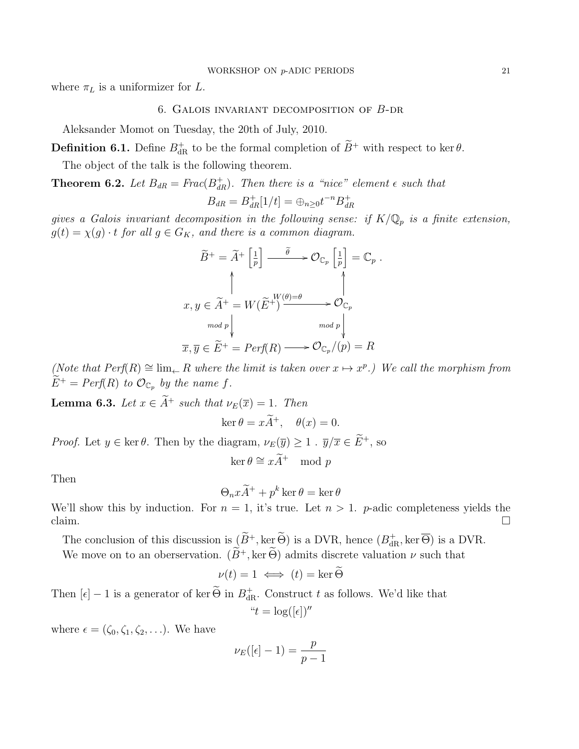<span id="page-20-0"></span>where  $\pi_L$  is a uniformizer for L.

#### 6. Galois invariant decomposition of B-dr

Aleksander Momot on Tuesday, the 20th of July, 2010.

**Definition 6.1.** Define  $B_{dR}^+$  to be the formal completion of  $B^+$  with respect to ker  $\theta$ .

The object of the talk is the following theorem.

**Theorem 6.2.** Let  $B_{dR} = Frac(B_{dR}^+)$ . Then there is a "nice" element  $\epsilon$  such that

$$
B_{dR} = B_{dR}^+[1/t] = \bigoplus_{n \geq 0} t^{-n} B_{dR}^+
$$

gives a Galois invariant decomposition in the following sense: if  $K/\mathbb{Q}_p$  is a finite extension,  $g(t) = \chi(g) \cdot t$  for all  $g \in G_K$ , and there is a common diagram.

$$
\widetilde{B}^{+} = \widetilde{A}^{+} \left[ \frac{1}{p} \right] \xrightarrow{\widetilde{\theta}} \mathcal{O}_{\mathbb{C}_{p}} \left[ \frac{1}{p} \right] = \mathbb{C}_{p} .
$$
\n
$$
\uparrow
$$
\n
$$
x, y \in \widetilde{A}^{+} = W(\widetilde{E}^{+}) \xrightarrow{\theta \in \mathbb{C}_{p}} \mathcal{O}_{\mathbb{C}_{p}}
$$
\n
$$
\uparrow
$$
\n
$$
\overline{x}, \overline{y} \in \widetilde{E}^{+} = Perf(R) \longrightarrow \mathcal{O}_{\mathbb{C}_{p}}/(p) = R
$$

(Note that  $Perf(R) \cong \lim_{\leftarrow} R$  where the limit is taken over  $x \mapsto x^p$ .) We call the morphism from  $E^+ = Perf(R)$  to  $\mathcal{O}_{\mathbb{C}_p}$  by the name f.

**Lemma 6.3.** Let  $x \in \widetilde{A}^+$  such that  $\nu_E(\overline{x}) = 1$ . Then

$$
\ker \theta = x\widetilde{A}^+, \quad \theta(x) = 0.
$$

*Proof.* Let  $y \in \ker \theta$ . Then by the diagram,  $\nu_E(\overline{y}) \ge 1$  .  $\overline{y}/\overline{x} \in \widetilde{E}^+$ , so

$$
\ker \theta \cong x\widetilde{A}^+ \mod p
$$

Then

$$
\Theta_n x \tilde{A}^+ + p^k \ker \theta = \ker \theta
$$

We'll show this by induction. For  $n = 1$ , it's true. Let  $n > 1$ . p-adic completeness yields the claim.  $\Box$ 

The conclusion of this discussion is  $(B^+, \ker \Theta)$  is a DVR, hence  $(B^+_{dR}, \ker \Theta)$  is a DVR.

We move on to an oberservation.  $(\widetilde{B}^+, \ker \widetilde{\Theta})$  admits discrete valuation  $\nu$  such that

$$
\nu(t) = 1 \iff (t) = \ker \widetilde{\Theta}
$$

Then  $[\epsilon] - 1$  is a generator of ker  $\Theta$  in  $B_{\text{dR}}^+$ . Construct t as follows. We'd like that " $t = \log([\epsilon])''$ 

where  $\epsilon = (\zeta_0, \zeta_1, \zeta_2, \ldots)$ . We have

$$
\nu_E([\epsilon]-1) = \frac{p}{p-1}
$$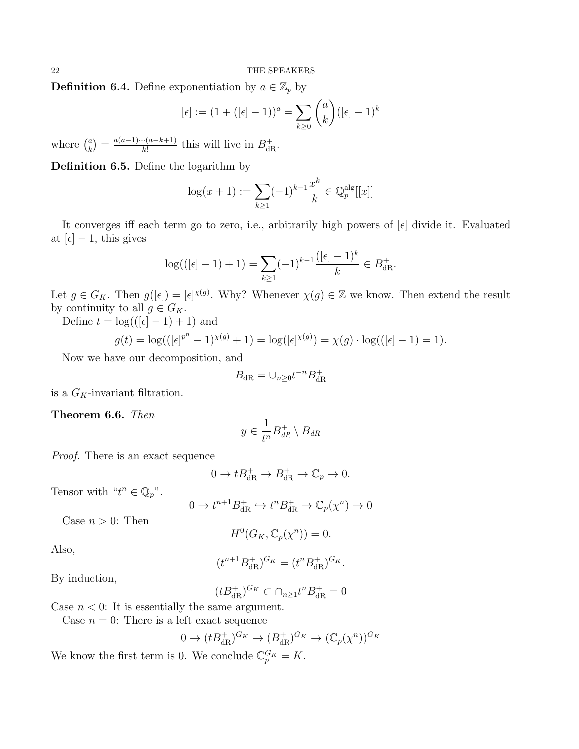**Definition 6.4.** Define exponentiation by  $a \in \mathbb{Z}_p$  by

$$
[\epsilon] := (1 + ([\epsilon] - 1))^a = \sum_{k \ge 0} {a \choose k} ([\epsilon] - 1)^k
$$

where  $\binom{a}{k}$  $\binom{a}{k} = \frac{a(a-1)\cdots(a-k+1)}{k!}$  $\frac{d(n-k+1)}{k!}$  this will live in  $B_{\text{dR}}^+$ .

Definition 6.5. Define the logarithm by

$$
\log(x+1) := \sum_{k \ge 1} (-1)^{k-1} \frac{x^k}{k} \in \mathbb{Q}_p^{\text{alg}}[[x]]
$$

It converges iff each term go to zero, i.e., arbitrarily high powers of  $[\epsilon]$  divide it. Evaluated at  $[\epsilon] - 1$ , this gives

$$
\log(([\epsilon]-1)+1) = \sum_{k\geq 1} (-1)^{k-1} \frac{([\epsilon]-1)^k}{k} \in B_{\mathrm{dR}}^+.
$$

Let  $g \in G_K$ . Then  $g([\epsilon]) = [\epsilon]^{x(g)}$ . Why? Whenever  $\chi(g) \in \mathbb{Z}$  we know. Then extend the result by continuity to all  $g \in G_K$ .

Define  $t = \log((\lbrack \epsilon \rbrack - 1) + 1)$  and

$$
g(t) = \log(([\epsilon]^{p^n} - 1)^{\chi(g)} + 1) = \log([\epsilon]^{x(g)}) = \chi(g) \cdot \log(([\epsilon] - 1) = 1).
$$

Now we have our decomposition, and

$$
B_{\mathrm{dR}} = \cup_{n \ge 0} t^{-n} B_{\mathrm{dR}}^+
$$

is a  $G_K$ -invariant filtration.

Theorem 6.6. Then

$$
y \in \frac{1}{t^n} B_{dR}^+ \setminus B_{dR}
$$

Proof. There is an exact sequence

$$
0 \to t B_{\mathrm{dR}}^+ \to B_{\mathrm{dR}}^+ \to \mathbb{C}_p \to 0.
$$

Tensor with " $t^n \in \mathbb{Q}_p$ ".

$$
0 \to t^{n+1} B_{\mathrm{dR}}^+ \hookrightarrow t^n B_{\mathrm{dR}}^+ \to \mathbb{C}_p(\chi^n) \to 0
$$

Case  $n > 0$ : Then

$$
H^0(G_K, \mathbb{C}_p(\chi^n)) = 0.
$$

Also,

$$
(t^{n+1}B_{\mathrm{dR}}^+)^{G_K} = (t^nB_{\mathrm{dR}}^+)^{G_K}.
$$

By induction,

$$
(tB_{\mathrm{dR}}^+)^{G_K} \subset \cap_{n\geq 1} t^n B_{\mathrm{dR}}^+ = 0
$$

Case  $n < 0$ : It is essentially the same argument.

Case  $n = 0$ : There is a left exact sequence

$$
0 \to (t B_{\mathrm{dR}}^+)^{G_K} \to (B_{\mathrm{dR}}^+)^{G_K} \to (\mathbb{C}_p(\chi^n))^{G_K}
$$

We know the first term is 0. We conclude  $\mathbb{C}_p^{G_K} = K$ .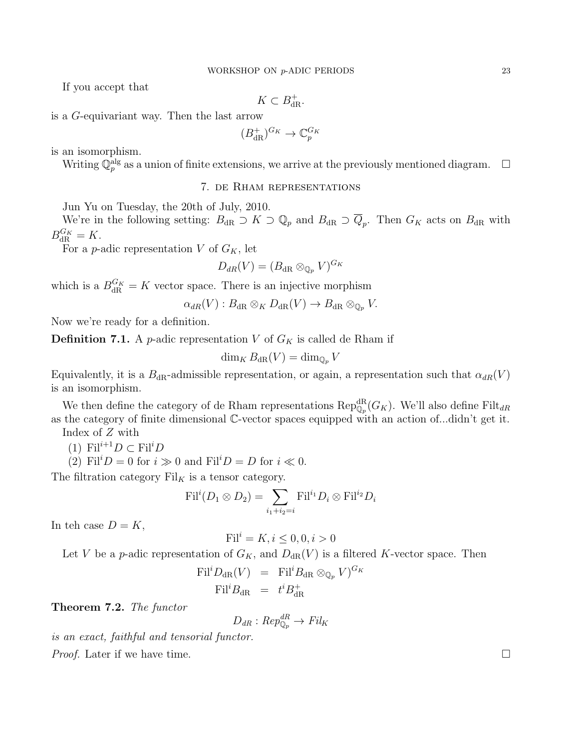If you accept that

$$
K\subset B_{\mathrm{dR}}^+.
$$

is a G-equivariant way. Then the last arrow

$$
(B_{\mathrm{dR}}^+)^{G_K} \to \mathbb{C}_p^{G_K}
$$

is an isomorphism.

<span id="page-22-0"></span>Writing  $\mathbb{Q}_p^{\text{alg}}$  as a union of finite extensions, we arrive at the previously mentioned diagram.  $\Box$ 

### 7. de Rham representations

Jun Yu on Tuesday, the 20th of July, 2010.

We're in the following setting:  $B_{\rm dR} \supset K \supset \mathbb{Q}_p$  and  $B_{\rm dR} \supset Q_p$ . Then  $G_K$  acts on  $B_{\rm dR}$  with  $B_{\text{dR}}^{G_K} = K.$ 

For a *p*-adic representation V of  $G_K$ , let

$$
D_{dR}(V)=(B_{\mathrm{dR}}\otimes_{\mathbb{Q}_p}V)^{G_K}
$$

which is a  $B_{\text{dR}}^{G_K} = K$  vector space. There is an injective morphism

$$
\alpha_{dR}(V) : B_{dR} \otimes_K D_{dR}(V) \to B_{dR} \otimes_{\mathbb{Q}_p} V.
$$

Now we're ready for a definition.

**Definition 7.1.** A *p*-adic representation V of  $G_K$  is called de Rham if

$$
\dim_K B_{\mathrm{dR}}(V) = \dim_{\mathbb{Q}_p} V
$$

Equivalently, it is a  $B_{\text{dR}}$ -admissible representation, or again, a representation such that  $\alpha_{dR}(V)$ is an isomorphism.

We then define the category of de Rham representations  $\operatorname{Rep}_{\mathbb{Q}_p}^{\text{dR}}(G_K)$ . We'll also define Filt<sub>dR</sub> as the category of finite dimensional C-vector spaces equipped with an action of...didn't get it.

Index of Z with

- (1)  $\text{Fil}^{i+1}D \subset \text{Fil}^iD$
- (2) Fil<sup>i</sup> $D = 0$  for  $i \gg 0$  and Fil<sup>i</sup> $D = D$  for  $i \ll 0$ .

The filtration category  $\text{Fil}_K$  is a tensor category.

$$
\textnormal{Fil}^i(D_1\otimes D_2)=\sum_{i_1+i_2=i}\textnormal{Fil}^{i_1}D_i\otimes \textnormal{Fil}^{i_2}D_i
$$

In teh case  $D = K$ ,

$$
\text{Fil}^i = K, i \le 0, 0, i > 0
$$

Let V be a p-adic representation of  $G_K$ , and  $D_{dR}(V)$  is a filtered K-vector space. Then

$$
\text{Fil}^i D_{\text{dR}}(V) = \text{Fil}^i B_{\text{dR}} \otimes_{\mathbb{Q}_p} V)^{G_K}
$$
  

$$
\text{Fil}^i B_{\text{dR}} = t^i B_{\text{dR}}^+
$$

Theorem 7.2. The functor

$$
D_{dR}:Rep_{\mathbb{Q}_p}^{dR} \to Fil_K
$$

is an exact, faithful and tensorial functor.

*Proof.* Later if we have time.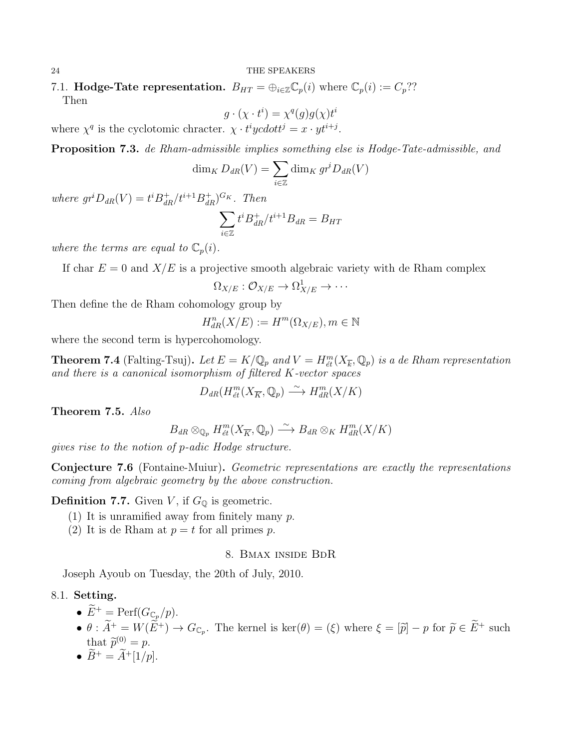7.1. **Hodge-Tate representation.**  $B_{HT} = \bigoplus_{i \in \mathbb{Z}} \mathbb{C}_p(i)$  where  $\mathbb{C}_p(i) := C_p$ ?? Then

$$
g \cdot (\chi \cdot t^i) = \chi^q(g)g(\chi)t^i
$$

where  $\chi^q$  is the cyclotomic chracter.  $\chi \cdot t^i y cdot t^j = x \cdot y t^{i+j}$ .

Proposition 7.3. de Rham-admissible implies something else is Hodge-Tate-admissible, and

$$
\dim_K D_{dR}(V) = \sum_{i \in \mathbb{Z}} \dim_K gr^i D_{dR}(V)
$$

where  $gr^iD_{dR}(V) = t^iB_{dR}^+/t^{i+1}B_{dR}^+)^{G_K}$ . Then

$$
\sum_{i\in\mathbb{Z}}t^iB^+_{dR}/t^{i+1}B_{dR}=B_{HT}
$$

where the terms are equal to  $\mathbb{C}_p(i)$ .

If char  $E = 0$  and  $X/E$  is a projective smooth algebraic variety with de Rham complex

$$
\Omega_{X/E} : \mathcal{O}_{X/E} \to \Omega^1_{X/E} \to \cdots
$$

Then define the de Rham cohomology group by

$$
H_{dR}^{n}(X/E) := H^{m}(\Omega_{X/E}), m \in \mathbb{N}
$$

where the second term is hypercohomology.

**Theorem 7.4** (Falting-Tsuj). Let  $E = K/\mathbb{Q}_p$  and  $V = H_{\acute{e}t}^m(X_{\overline{k}}, \mathbb{Q}_p)$  is a de Rham representation and there is a canonical isomorphism of filtered K-vector spaces

$$
D_{dR}(H_{\acute{e}t}^{m}(X_{\overline{K}},\mathbb{Q}_{p}) \xrightarrow{\sim} H_{dR}^{m}(X/K)
$$

Theorem 7.5. Also

$$
B_{dR} \otimes_{\mathbb{Q}_p} H^{m}_{\acute{e}t}(X_{\overline{K}}, \mathbb{Q}_p) \longrightarrow B_{dR} \otimes_K H^{m}_{dR}(X/K)
$$

gives rise to the notion of p-adic Hodge structure.

Conjecture 7.6 (Fontaine-Muiur). Geometric representations are exactly the representations coming from algebraic geometry by the above construction.

**Definition 7.7.** Given V, if  $G_{\mathbb{Q}}$  is geometric.

- (1) It is unramified away from finitely many  $p$ .
- <span id="page-23-0"></span>(2) It is de Rham at  $p = t$  for all primes p.

### 8. Bmax inside BdR

Joseph Ayoub on Tuesday, the 20th of July, 2010.

# 8.1. Setting.

- $\widetilde{E}^+$  = Perf $(G_{\mathbb{C}_p}/p)$ .
- $\theta: A^+ = W(E^+) \to G_{\mathbb{C}_p}$ . The kernel is  $\ker(\theta) = (\xi)$  where  $\xi = [\tilde{p}] p$  for  $\tilde{p} \in E^+$  such that  $\widetilde{p}^{(0)} = p$ .<br>  $\widetilde{p}^+$   $\widetilde{q}^+$   $\widetilde{q}^+$
- $\widetilde{B}^+ = \widetilde{A}^+ [1/p].$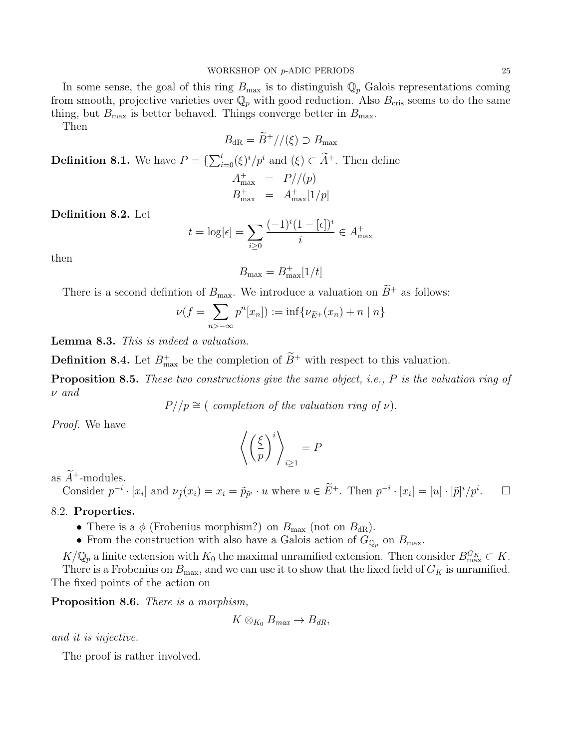In some sense, the goal of this ring  $B_{\text{max}}$  is to distinguish  $\mathbb{Q}_p$  Galois representations coming from smooth, projective varieties over  $\mathbb{Q}_p$  with good reduction. Also  $B_{\text{cris}}$  seems to do the same thing, but  $B_{\text{max}}$  is better behaved. Things converge better in  $B_{\text{max}}$ .

Then

$$
B_{\text{dR}} = \widetilde{B}^+ // (\xi) \supset B_{\text{max}}
$$
  
**Definition 8.1.** We have  $P = \{ \sum_{i=0}^t (\xi)^i / p^i \text{ and } (\xi) \subset \widetilde{A}^+.$  Then define  
 $A_{\text{max}}^+ = P // (p)$   
 $B_{\text{max}}^+ = A_{\text{max}}^+ [1/p]$ 

Definition 8.2. Let

$$
t = \log[\epsilon] = \sum_{i \ge 0} \frac{(-1)^i (1 - [\epsilon])^i}{i} \in A_{\text{max}}^+
$$

then

$$
B_{\max} = B_{\max}^+[1/t]
$$

There is a second defintion of  $B_{\text{max}}$ . We introduce a valuation on  $\widetilde{B}^+$  as follows:

$$
\nu(f = \sum_{n > -\infty} p^n[x_n]) := \inf \{ \nu_{\tilde{E}^+}(x_n) + n \mid n \}
$$

Lemma 8.3. This is indeed a valuation.

**Definition 8.4.** Let  $B_{\text{max}}^+$  be the completion of  $B^+$  with respect to this valuation.

Proposition 8.5. These two constructions give the same object, i.e., P is the valuation ring of ν and

$$
P//p \cong (completion of the valuation ring of \nu).
$$

Proof. We have

$$
\left\langle \left(\frac{\xi}{p}\right)^i \right\rangle_{i \ge 1} = P
$$

as  $\widetilde{A}^+$ -modules.

Consider  $p^{-i} \cdot [x_i]$  and  $\nu_{\tilde{f}}(x_i) = x_i = \tilde{p}_{\tilde{p}^i} \cdot u$  where  $u \in E^+$ . Then  $p^{-i} \cdot [x_i] = [u] \cdot [\tilde{p}]^i / p^i$  $\Box$ 

#### 8.2. Properties.

- There is a  $\phi$  (Frobenius morphism?) on  $B_{\text{max}}$  (not on  $B_{\text{dR}}$ ).
- From the construction with also have a Galois action of  $G_{\mathbb{Q}_p}$  on  $B_{\text{max}}$ .

 $K/\mathbb{Q}_p$  a finite extension with  $K_0$  the maximal unramified extension. Then consider  $B_{\text{max}}^{G_K} \subset K$ . There is a Frobenius on  $B_{\text{max}}$ , and we can use it to show that the fixed field of  $G_K$  is unramified. The fixed points of the action on

Proposition 8.6. There is a morphism,

$$
K \otimes_{K_0} B_{max} \to B_{dR},
$$

and it is injective.

The proof is rather involved.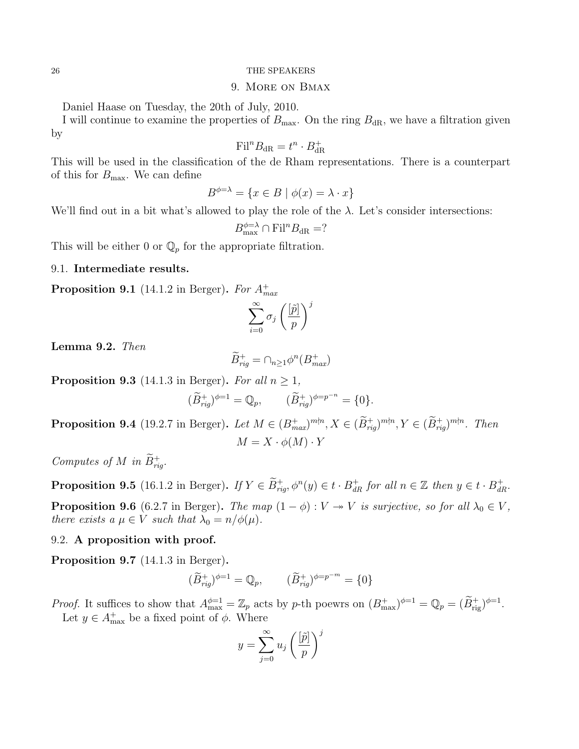### 9. More on Bmax

<span id="page-25-0"></span>Daniel Haase on Tuesday, the 20th of July, 2010.

I will continue to examine the properties of  $B_{\text{max}}$ . On the ring  $B_{\text{dR}}$ , we have a filtration given by

$$
\mathrm{Fil}^n B_{\mathrm{dR}} = t^n \cdot B_{\mathrm{dR}}^+
$$

This will be used in the classification of the de Rham representations. There is a counterpart of this for  $B_{\text{max}}$ . We can define

$$
B^{\phi=\lambda} = \{ x \in B \mid \phi(x) = \lambda \cdot x \}
$$

We'll find out in a bit what's allowed to play the role of the  $\lambda$ . Let's consider intersections:

$$
B_{\text{max}}^{\phi=\lambda} \cap \text{Fil}^n B_{\text{dR}} = ?
$$

This will be either 0 or  $\mathbb{Q}_p$  for the appropriate filtration.

## 9.1. Intermediate results.

**Proposition 9.1** (14.1.2 in Berger). For  $A^{+}_{max}$ 

$$
\sum_{i=0}^{\infty} \sigma_j \left(\frac{[\tilde{p}]}{p}\right)^j
$$

Lemma 9.2. Then

$$
\widetilde{B}^+_{rig} = \cap_{n \ge 1} \phi^n(B^+_{max})
$$

**Proposition 9.3** (14.1.3 in Berger). For all  $n \geq 1$ ,

$$
(\widetilde{B}_{rig}^+)^{\phi=1} = \mathbb{Q}_p, \qquad (\widetilde{B}_{rig}^+)^{\phi=p^{-n}} = \{0\}.
$$

**Proposition 9.4** (19.2.7 in Berger). Let  $M \in (B_{max}^+)^{m\nmid n}, X \in (B_{rig}^+)^{m\nmid n}, Y \in (B_{rig}^+)^{m\nmid n}$ . Then  $M = X \cdot \phi(M) \cdot Y$ 

Computes of M in  $\widetilde{B}^+_{rig}$ .

**Proposition 9.5** (16.1.2 in Berger). If  $Y \in \tilde{B}^+_{rig}, \phi^n(y) \in t \cdot B^+_{dR}$  for all  $n \in \mathbb{Z}$  then  $y \in t \cdot B^+_{dR}$ .

**Proposition 9.6** (6.2.7 in Berger). The map  $(1 - \phi) : V \rightarrow V$  is surjective, so for all  $\lambda_0 \in V$ , there exists a  $\mu \in V$  such that  $\lambda_0 = n/\phi(\mu)$ .

### 9.2. A proposition with proof.

Proposition 9.7 (14.1.3 in Berger).

$$
(\widetilde{B}^+_{rig})^{\phi=1} = \mathbb{Q}_p, \qquad (\widetilde{B}^+_{rig})^{\phi=p^{-m}} = \{0\}
$$

*Proof.* It suffices to show that  $A_{\text{max}}^{\phi=1} = \mathbb{Z}_p$  acts by p-th poewrs on  $(B_{\text{max}}^+)^{\phi=1} = \mathbb{Q}_p = (B_{\text{rig}}^+)^{\phi=1}$ . Let  $y \in A_{\text{max}}^+$  be a fixed point of  $\phi$ . Where

$$
y = \sum_{j=0}^{\infty} u_j \left(\frac{[\tilde{p}]}{p}\right)^j
$$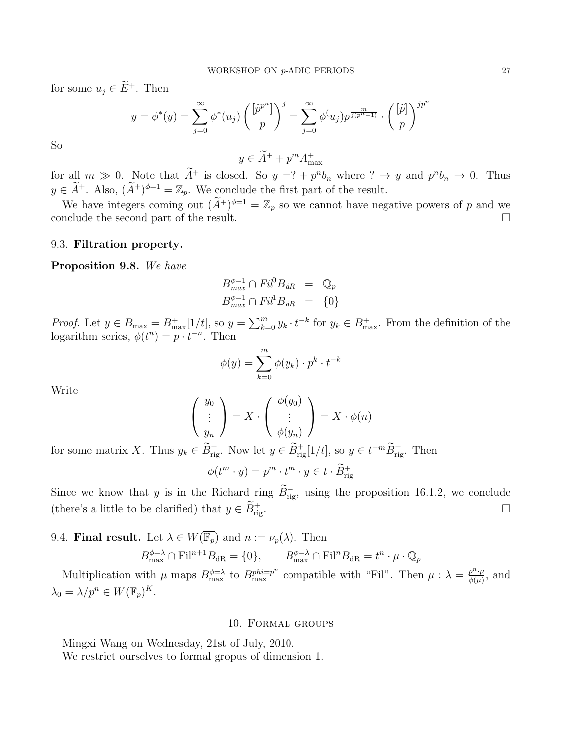for some  $u_j \in \widetilde{E}^+$ . Then

$$
y = \phi^*(y) = \sum_{j=0}^{\infty} \phi^*(u_j) \left(\frac{[\tilde{p}^{p^n}]}{p}\right)^j = \sum_{j=0}^{\infty} \phi(u_j) p^{\frac{m}{j(p^n-1)}} \cdot \left(\frac{[\tilde{p}]}{p}\right)^{jp^n}
$$

So

 $y \in \widetilde{A}^+ + p^m A_{\text{max}}^+$ 

for all  $m \gg 0$ . Note that  $A^+$  is closed. So  $y = ? + p^n b_n$  where  $? \rightarrow y$  and  $p^n b_n \rightarrow 0$ . Thus  $y \in \tilde{A}^+$ . Also,  $(\tilde{A}^+)^{\phi=1} = \mathbb{Z}_p$ . We conclude the first part of the result.

We have integers coming out  $(A^+)^{\phi=1} = \mathbb{Z}_p$  so we cannot have negative powers of p and we conclude the second part of the result.

### 9.3. Filtration property.

Proposition 9.8. We have

$$
B_{max}^{\phi=1} \cap Fil^0B_{dR} = \mathbb{Q}_p
$$
  

$$
B_{max}^{\phi=1} \cap Fil^1B_{dR} = \{0\}
$$

*Proof.* Let  $y \in B_{\max} = B_{\max}^+[1/t]$ , so  $y = \sum_{k=0}^m y_k \cdot t^{-k}$  for  $y_k \in B_{\max}^+$ . From the definition of the logarithm series,  $\phi(t^n) = p \cdot t^{-n}$ . Then

$$
\phi(y) = \sum_{k=0}^{m} \phi(y_k) \cdot p^k \cdot t^{-k}
$$

Write

$$
\begin{pmatrix} y_0 \\ \vdots \\ y_n \end{pmatrix} = X \cdot \begin{pmatrix} \phi(y_0) \\ \vdots \\ \phi(y_n) \end{pmatrix} = X \cdot \phi(n)
$$

for some matrix X. Thus  $y_k \in \tilde{B}^+_{\text{rig}}$ . Now let  $y \in \tilde{B}^+_{\text{rig}}[1/t]$ , so  $y \in t^{-m} \tilde{B}^+_{\text{rig}}$ . Then

$$
\phi(t^m \cdot y) = p^m \cdot t^m \cdot y \in t \cdot \widetilde{B}_{\mathrm{rig}}^+
$$

Since we know that y is in the Richard ring  $\tilde{B}^+_{\text{rig}}$ , using the proposition 16.1.2, we conclude (there's a little to be clarified) that  $y \in \tilde{B}^+_{\text{rig}}$ .  $r$ ing.

9.4. **Final result.** Let  $\lambda \in W(\overline{\mathbb{F}_p})$  and  $n := \nu_p(\lambda)$ . Then

$$
B_{\max}^{\phi=\lambda} \cap \text{Fil}^{n+1}B_{\text{dR}} = \{0\}, \qquad B_{\max}^{\phi=\lambda} \cap \text{Fil}^{n}B_{\text{dR}} = t^{n} \cdot \mu \cdot \mathbb{Q}_{p}
$$

Multiplication with  $\mu$  maps  $B_{\text{max}}^{\phi=\lambda}$  to  $B_{\text{max}}^{phi=p^n}$  compatible with "Fil". Then  $\mu : \lambda = \frac{p^n \cdot \mu}{\phi(\mu)}$  $\frac{p^{\alpha}\cdot\mu}{\phi(\mu)}$ , and  $\lambda_0 = \lambda/p^n \in W(\overline{\mathbb{F}_p})^K$ .

### 10. Formal groups

<span id="page-26-0"></span>Mingxi Wang on Wednesday, 21st of July, 2010.

We restrict ourselves to formal gropus of dimension 1.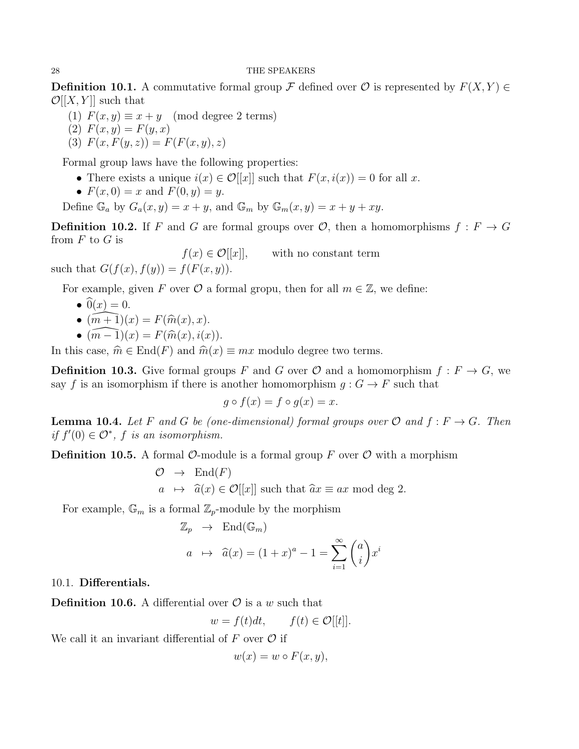**Definition 10.1.** A commutative formal group F defined over  $\mathcal{O}$  is represented by  $F(X, Y) \in$  $\mathcal{O}[[X, Y]]$  such that

- (1)  $F(x, y) \equiv x + y \pmod{\text{degree 2 terms}}$
- (2)  $F(x, y) = F(y, x)$

$$
(3) F(x, F(y, z)) = F(F(x, y), z)
$$

Formal group laws have the following properties:

- There exists a unique  $i(x) \in \mathcal{O}[[x]]$  such that  $F(x, i(x)) = 0$  for all x.
- $F(x, 0) = x$  and  $F(0, y) = y$ .

Define  $\mathbb{G}_a$  by  $G_a(x, y) = x + y$ , and  $\mathbb{G}_m$  by  $\mathbb{G}_m(x, y) = x + y + xy$ .

**Definition 10.2.** If F and G are formal groups over  $\mathcal{O}$ , then a homomorphisms  $f : F \to G$ from  $F$  to  $G$  is

 $f(x) \in \mathcal{O}[[x]]$ , with no constant term such that  $G(f(x), f(y)) = f(F(x, y)).$ 

For example, given F over  $\mathcal O$  a formal gropu, then for all  $m \in \mathbb Z$ , we define:

- $\widehat{0}(x) = 0.$
- $(\widehat{m+1})(x) = F(\widehat{m}(x), x).$
- $(m 1)(x) = F(\hat{m}(x), i(x)).$

In this case,  $\hat{m} \in \text{End}(F)$  and  $\hat{m}(x) \equiv mx$  modulo degree two terms.

**Definition 10.3.** Give formal groups F and G over  $\mathcal{O}$  and a homomorphism  $f : F \to G$ , we say f is an isomorphism if there is another homomorphism  $q: G \to F$  such that

$$
g \circ f(x) = f \circ g(x) = x.
$$

**Lemma 10.4.** Let F and G be (one-dimensional) formal groups over  $\mathcal{O}$  and  $f : F \to G$ . Then if  $f'(0) \in \mathcal{O}^*$ , f is an isomorphism.

**Definition 10.5.** A formal  $\mathcal{O}\text{-module}$  is a formal group F over  $\mathcal{O}$  with a morphism

$$
\mathcal{O} \rightarrow \text{End}(F)
$$
  

$$
a \mapsto \hat{a}(x) \in \mathcal{O}[[x]]
$$
 such that  $\hat{a}x \equiv ax \mod \deg 2$ .

For example,  $\mathbb{G}_m$  is a formal  $\mathbb{Z}_p$ -module by the morphism

$$
\mathbb{Z}_p \rightarrow \text{End}(\mathbb{G}_m)
$$
  

$$
a \rightarrow \widehat{a}(x) = (1+x)^a - 1 = \sum_{i=1}^{\infty} {a \choose i} x^i
$$

10.1. Differentials.

**Definition 10.6.** A differential over  $\mathcal{O}$  is a w such that

$$
w = f(t)dt, \qquad f(t) \in \mathcal{O}[[t]].
$$

We call it an invariant differential of  $F$  over  $\mathcal O$  if

$$
w(x) = w \circ F(x, y),
$$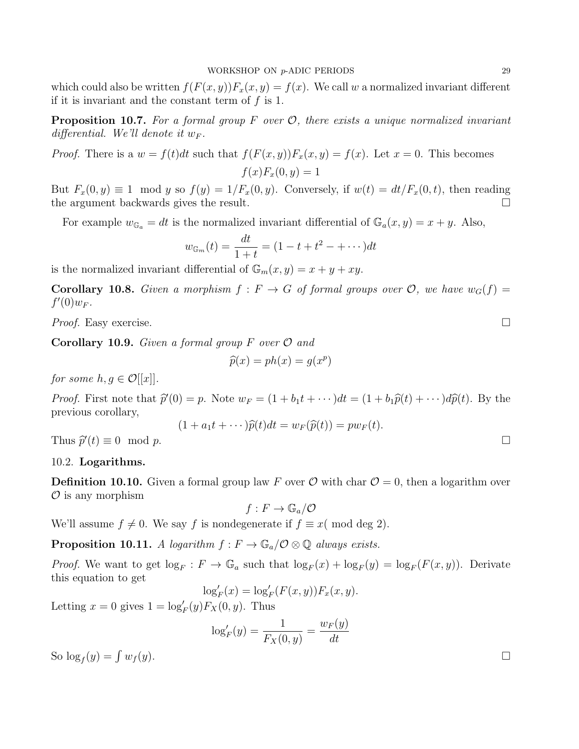which could also be written  $f(F(x, y))F_x(x, y) = f(x)$ . We call w a normalized invariant different if it is invariant and the constant term of  $f$  is 1.

**Proposition 10.7.** For a formal group F over  $\mathcal{O}$ , there exists a unique normalized invariant differential. We'll denote it  $w_F$ .

*Proof.* There is a  $w = f(t)dt$  such that  $f(F(x, y))F_x(x, y) = f(x)$ . Let  $x = 0$ . This becomes  $f(x)F_x(0, y) = 1$ 

But  $F_x(0, y) \equiv 1 \mod y$  so  $f(y) = 1/F_x(0, y)$ . Conversely, if  $w(t) = dt/F_x(0, t)$ , then reading the argument backwards gives the result.

For example  $w_{\mathbb{G}_a} = dt$  is the normalized invariant differential of  $\mathbb{G}_a(x, y) = x + y$ . Also,

$$
w_{\mathbb{G}_m}(t) = \frac{dt}{1+t} = (1 - t + t^2 - + \cdots)dt
$$

is the normalized invariant differential of  $\mathbb{G}_m(x, y) = x + y + xy$ .

**Corollary 10.8.** Given a morphism  $f : F \to G$  of formal groups over  $\mathcal{O}$ , we have  $w_G(f) =$  $f'(0)w_F$ .

*Proof.* Easy exercise.  $\Box$ 

**Corollary 10.9.** Given a formal group  $F$  over  $\mathcal{O}$  and

$$
\widehat{p}(x) = ph(x) = g(x^p)
$$

for some  $h, g \in \mathcal{O}[[x]]$ .

*Proof.* First note that  $\hat{p}'(0) = p$ . Note  $w_F = (1 + b_1t + \cdots)dt = (1 + b_1\hat{p}(t) + \cdots)d\hat{p}(t)$ . By the previous corollary,  $(1 + \lambda^2(t), t)$   $(2(t), t)$ 

$$
(1 + a_1t + \cdots)\widehat{p}(t)dt = w_F(\widehat{p}(t)) = pw_F(t).
$$

Thus  $\hat{p}'(t) \equiv 0 \mod p$ .

## 10.2. Logarithms.

**Definition 10.10.** Given a formal group law F over  $\mathcal{O}$  with char  $\mathcal{O} = 0$ , then a logarithm over  $\mathcal O$  is any morphism

 $f: F \to \mathbb{G}_a/\mathcal{O}$ 

We'll assume  $f \neq 0$ . We say f is nondegenerate if  $f \equiv x \pmod{deg 2}$ .

**Proposition 10.11.** A logarithm  $f : F \to \mathbb{G}_a/\mathcal{O} \otimes \mathbb{Q}$  always exists.

*Proof.* We want to get  $\log_F : F \to \mathbb{G}_a$  such that  $\log_F(x) + \log_F(y) = \log_F(F(x, y))$ . Derivate this equation to get

$$
\log_F'(x) = \log_F'(F(x, y)) F_x(x, y).
$$

Letting  $x = 0$  gives  $1 = \log_F'(y) F_X(0, y)$ . Thus

$$
\log_F'(y) = \frac{1}{F_X(0, y)} = \frac{w_F(y)}{dt}
$$

So  $\log_f(y) = \int$  $w_f(y)$ .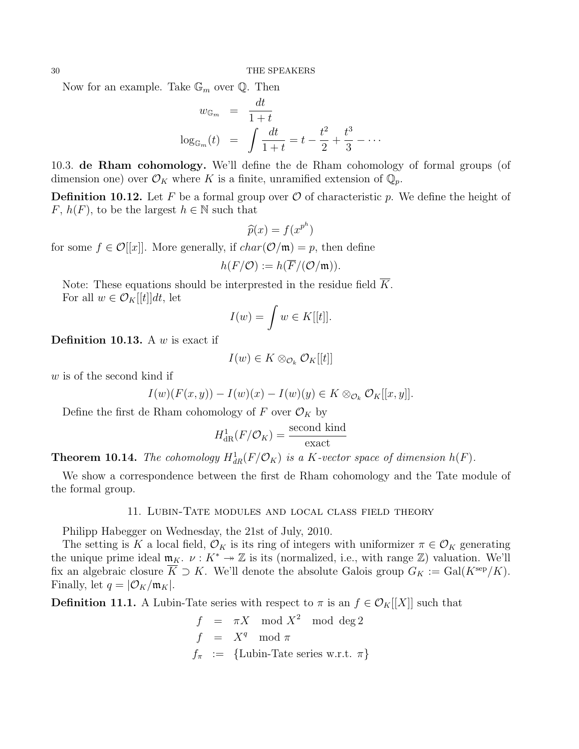Now for an example. Take  $\mathbb{G}_m$  over  $\mathbb{Q}$ . Then

$$
w_{\mathbb{G}_m} = \frac{dt}{1+t}
$$
  

$$
\log_{\mathbb{G}_m}(t) = \int \frac{dt}{1+t} = t - \frac{t^2}{2} + \frac{t^3}{3} - \cdots
$$

10.3. de Rham cohomology. We'll define the de Rham cohomology of formal groups (of dimension one) over  $\mathcal{O}_K$  where K is a finite, unramified extension of  $\mathbb{Q}_p$ .

**Definition 10.12.** Let F be a formal group over  $\mathcal{O}$  of characteristic p. We define the height of F,  $h(F)$ , to be the largest  $h \in \mathbb{N}$  such that

$$
\widehat{p}(x) = f(x^{p^h})
$$

for some  $f \in \mathcal{O}[[x]]$ . More generally, if  $char(\mathcal{O}/\mathfrak{m}) = p$ , then define

$$
h(F/O) := h(\overline{F}/(\mathcal{O}/\mathfrak{m})).
$$

Note: These equations should be interprested in the residue field  $\overline{K}$ . For all  $w \in \mathcal{O}_K[[t]]dt$ , let

$$
I(w) = \int w \in K[[t]].
$$

**Definition 10.13.** A  $w$  is exact if

$$
I(w) \in K \otimes_{\mathcal{O}_k} \mathcal{O}_K[[t]]
$$

w is of the second kind if

$$
I(w)(F(x,y)) - I(w)(x) - I(w)(y) \in K \otimes_{\mathcal{O}_k} \mathcal{O}_K[[x,y]].
$$

Define the first de Rham cohomology of F over  $\mathcal{O}_K$  by

$$
H_{\text{dR}}^1(F/\mathcal{O}_K) = \frac{\text{second kind}}{\text{exact}}
$$

**Theorem 10.14.** The cohomology  $H^1_{dR}(F/\mathcal{O}_K)$  is a K-vector space of dimension  $h(F)$ .

<span id="page-29-0"></span>We show a correspondence between the first de Rham cohomology and the Tate module of the formal group.

### 11. Lubin-Tate modules and local class field theory

Philipp Habegger on Wednesday, the 21st of July, 2010.

The setting is K a local field,  $\mathcal{O}_K$  is its ring of integers with uniformizer  $\pi \in \mathcal{O}_K$  generating the unique prime ideal  $\mathfrak{m}_K$ .  $\nu : K^* \to \mathbb{Z}$  is its (normalized, i.e., with range  $\mathbb{Z}$ ) valuation. We'll fix an algebraic closure  $\overline{K} \supset K$ . We'll denote the absolute Galois group  $G_K := \text{Gal}(K^{\text{sep}}/K)$ . Finally, let  $q = |\mathcal{O}_K/\mathfrak{m}_K|$ .

**Definition 11.1.** A Lubin-Tate series with respect to  $\pi$  is an  $f \in \mathcal{O}_K[[X]]$  such that

$$
f = \pi X \mod X^2 \mod \deg 2
$$
  
\n
$$
f = X^q \mod \pi
$$
  
\n
$$
f_{\pi} := \{\text{Lubin-Tate series w.r.t. } \pi\}
$$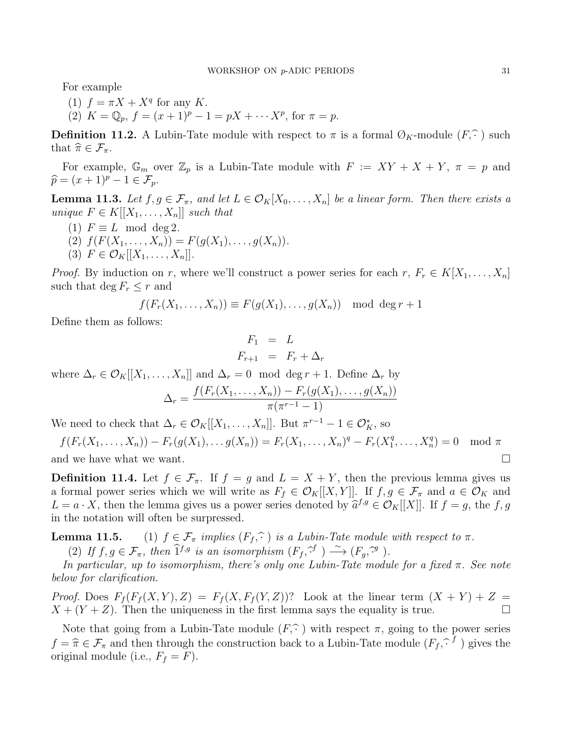For example

(1)  $f = \pi X + X^q$  for any K. (2)  $K = \mathbb{Q}_p$ ,  $f = (x+1)^p - 1 = pX + \cdots X^p$ , for  $\pi = p$ .

**Definition 11.2.** A Lubin-Tate module with respect to  $\pi$  is a formal  $\mathcal{O}_K$ -module  $(F, \hat{\cdot})$  such that  $\widehat{\pi} \in \mathcal{F}_{\pi}$ .

For example,  $\mathbb{G}_m$  over  $\mathbb{Z}_p$  is a Lubin-Tate module with  $F := XY + X + Y$ ,  $\pi = p$  and  $\widehat{p} = (x + 1)^p - 1 \in \mathcal{F}_p.$ 

**Lemma 11.3.** Let  $f, g \in \mathcal{F}_{\pi}$ , and let  $L \in \mathcal{O}_K[X_0, \ldots, X_n]$  be a linear form. Then there exists a unique  $F \in K[[X_1,\ldots,X_n]]$  such that

- (1)  $F \equiv L \mod \deg 2$ .
- (2)  $f(F(X_1, ..., X_n)) = F(g(X_1), ..., g(X_n)).$ (3)  $F \in \mathcal{O}_K[[X_1, \ldots, X_n]].$

*Proof.* By induction on r, where we'll construct a power series for each r,  $F_r \in K[X_1, \ldots, X_n]$ such that deg  $F_r \leq r$  and

$$
f(F_r(X_1,\ldots,X_n)) \equiv F(g(X_1),\ldots,g(X_n)) \mod \deg r + 1
$$

Define them as follows:

$$
F_1 = L
$$
  

$$
F_{r+1} = F_r + \Delta_r
$$

where  $\Delta_r \in \mathcal{O}_K[[X_1,\ldots,X_n]]$  and  $\Delta_r = 0 \mod \deg r + 1$ . Define  $\Delta_r$  by

$$
\Delta_r = \frac{f(F_r(X_1, ..., X_n)) - F_r(g(X_1), ..., g(X_n))}{\pi(\pi^{r-1} - 1)}
$$

We need to check that  $\Delta_r \in \mathcal{O}_K[[X_1,\ldots,X_n]].$  But  $\pi^{r-1} - 1 \in \mathcal{O}_K^*$ , so

 $f(F_r(X_1, ..., X_n)) - F_r(g(X_1), ..., g(X_n)) = F_r(X_1, ..., X_n)^q - F_r(X_1^q)$  $X_1^q, \ldots, X_n^q$  $\mod \pi$ and we have what we want.  $\square$ 

**Definition 11.4.** Let  $f \in \mathcal{F}_{\pi}$ . If  $f = g$  and  $L = X + Y$ , then the previous lemma gives us a formal power series which we will write as  $F_f \in \mathcal{O}_K[[X, Y]]$ . If  $f, g \in \mathcal{F}_{\pi}$  and  $a \in \mathcal{O}_K$  and  $L = a \cdot X$ , then the lemma gives us a power series denoted by  $\hat{a}^{f,g} \in \mathcal{O}_K[[X]]$ . If  $f = g$ , the f, g in the notation will often be surpressed.

**Lemma 11.5.** (1)  $f \in \mathcal{F}_{\pi}$  implies  $(F_f, \hat{\cdot})$  is a Lubin-Tate module with respect to  $\pi$ .

(2) If  $f, g \in \mathcal{F}_{\pi}$ , then  $\hat{\mathbf{I}}^{f,g}$  is an isomorphism  $(F_f, \hat{\mathcal{F}}') \stackrel{\sim}{\longrightarrow} (F_g, \hat{\mathcal{F}}')$ .

In particular, up to isomorphism, there's only one Lubin-Tate module for a fixed  $\pi$ . See note below for clarification.

*Proof.* Does  $F_f(F_f(X, Y), Z) = F_f(X, F_f(Y, Z))$ ? Look at the linear term  $(X + Y) + Z =$  $X + (Y + Z)$ . Then the uniqueness in the first lemma says the equality is true.

Note that going from a Lubin-Tate module  $(F,\widehat{\cdot})$  with respect  $\pi$ , going to the power series  $f = \hat{\pi} \in \mathcal{F}_{\pi}$  and then through the construction back to a Lubin-Tate module  $(F_f, \hat{\cdot}^f)$  gives the original module (i.e.,  $F_f = F$ ).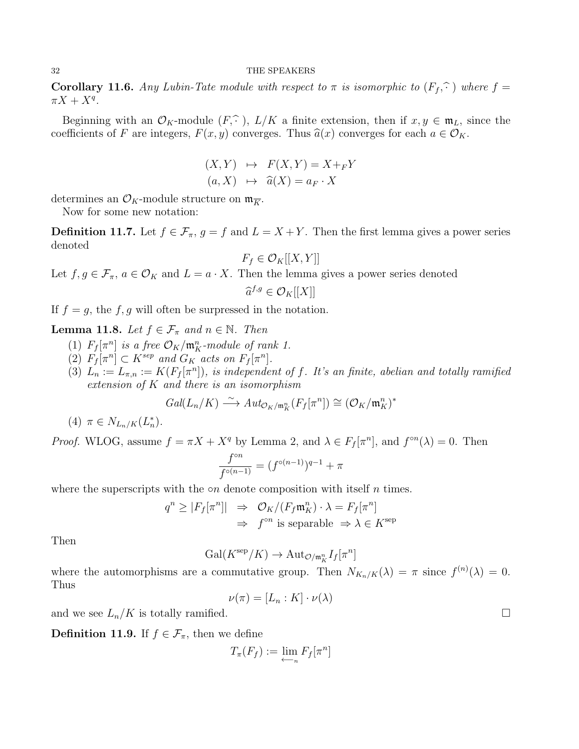**Corollary 11.6.** Any Lubin-Tate module with respect to  $\pi$  is isomorphic to  $(F_f, \hat{f})$  where  $f =$  $\pi X + X^q$ .

Beginning with an  $\mathcal{O}_K$ -module  $(F, \hat{\cdot})$ ,  $L/K$  a finite extension, then if  $x, y \in \mathfrak{m}_L$ , since the coefficients of F are integers,  $F(x, y)$  converges. Thus  $\hat{a}(x)$  converges for each  $a \in \mathcal{O}_K$ .

$$
(X,Y) \mapsto F(X,Y) = X +_F Y
$$
  

$$
(a,X) \mapsto \hat{a}(X) = a_F \cdot X
$$

determines an  $\mathcal{O}_K$ -module structure on  $\mathfrak{m}_{\overline{K}}$ .

Now for some new notation:

**Definition 11.7.** Let  $f \in \mathcal{F}_{\pi}$ ,  $g = f$  and  $L = X + Y$ . Then the first lemma gives a power series denoted

$$
F_f \in \mathcal{O}_K[[X, Y]]
$$

Let  $f, g \in \mathcal{F}_{\pi}, a \in \mathcal{O}_K$  and  $L = a \cdot X$ . Then the lemma gives a power series denoted

$$
\widehat{a}^{f,g}\in \mathcal{O}_K[[X]]
$$

If  $f = g$ , the f, g will often be surpressed in the notation.

**Lemma 11.8.** Let  $f \in \mathcal{F}_{\pi}$  and  $n \in \mathbb{N}$ . Then

- (1)  $F_f[\pi^n]$  is a free  $\mathcal{O}_K/\mathfrak{m}_K^n$ -module of rank 1.
- (2)  $F_f[\pi^n] \subset K^{sep}$  and  $G_K$  acts on  $F_f[\pi^n]$ .
- (3)  $L_n := L_{\pi,n} := K(F_f[\pi^n])$ , is independent of f. It's an finite, abelian and totally ramified extension of K and there is an isomorphism

$$
Gal(L_n/K) \xrightarrow{\sim} Aut_{\mathcal{O}_K/\mathfrak{m}_K^n}(F_f[\pi^n]) \cong (\mathcal{O}_K/\mathfrak{m}_K^n)^*
$$

(4)  $\pi \in N_{L_n/K}(L_n^*)$ .

*Proof.* WLOG, assume  $f = \pi X + X^q$  by Lemma 2, and  $\lambda \in F_f[\pi^n]$ , and  $f^{\circ n}(\lambda) = 0$ . Then

$$
\frac{f^{\circ n}}{f^{\circ(n-1)}}=(f^{\circ(n-1)})^{q-1}+\pi
$$

where the superscripts with the  $\circ n$  denote composition with itself n times.

$$
q^n \ge |F_f[\pi^n]| \Rightarrow \mathcal{O}_K/(F_f \mathfrak{m}_K^n) \cdot \lambda = F_f[\pi^n]
$$
  

$$
\Rightarrow f^{\circ n} \text{ is separable } \Rightarrow \lambda \in K^{\text{sep}}
$$

Then

$$
\mathrm{Gal}(K^{\mathrm{sep}}/K) \to \mathrm{Aut}_{\mathcal{O}/\mathfrak{m}_K^n} I_f[\pi^n]
$$

where the automorphisms are a commutative group. Then  $N_{K_n/K}(\lambda) = \pi$  since  $f^{(n)}(\lambda) = 0$ . Thus

$$
\nu(\pi) = [L_n : K] \cdot \nu(\lambda)
$$

and we see  $L_n/K$  is totally ramified.

**Definition 11.9.** If  $f \in \mathcal{F}_{\pi}$ , then we define

$$
T_{\pi}(F_f) := \lim_{n \to \infty} F_f[\pi^n]
$$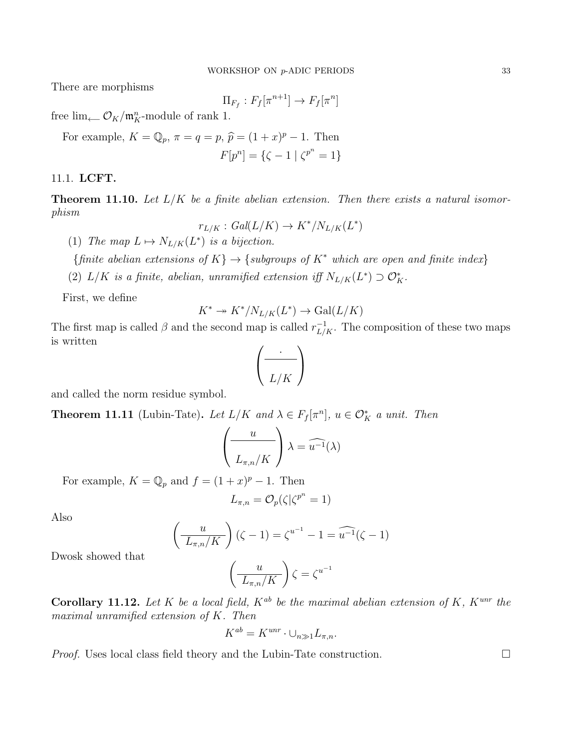There are morphisms

$$
\Pi_{F_f}: F_f[\pi^{n+1}] \to F_f[\pi^n]
$$

free lim ←  $\mathcal{O}_K/\mathfrak{m}_K^n$ -module of rank 1.

For example, 
$$
K = \mathbb{Q}_p
$$
,  $\pi = q = p$ ,  $\hat{p} = (1 + x)^p - 1$ . Then  

$$
F[p^n] = {\zeta - 1 | \zeta^{p^n} = 1}
$$

## 11.1. LCFT.

**Theorem 11.10.** Let  $L/K$  be a finite abelian extension. Then there exists a natural isomorphism

$$
r_{L/K}: Gal(L/K) \to K^*/N_{L/K}(L^*)
$$

(1) The map  $L \mapsto N_{L/K}(L^*)$  is a bijection.

{finite abelian extensions of  $K$ }  $\rightarrow$  {subgroups of  $K^*$  which are open and finite index}

(2)  $L/K$  is a finite, abelian, unramified extension iff  $N_{L/K}(L^*) \supset \mathcal{O}_K^*$ .

First, we define

$$
K^* \twoheadrightarrow K^* / N_{L/K}(L^*) \to \text{Gal}(L/K)
$$

The first map is called  $\beta$  and the second map is called  $r_{L/K}^{-1}$ . The composition of these two maps is written

$$
\left(\frac{\cdot}{L/K}\right)
$$

and called the norm residue symbol.

**Theorem 11.11** (Lubin-Tate). Let  $L/K$  and  $\lambda \in F_f[\pi^n], u \in \mathcal{O}_K^*$  a unit. Then

$$
\left(\frac{u}{L_{\pi,n}/K}\right)\lambda = \widehat{u^{-1}}(\lambda)
$$

For example,  $K = \mathbb{Q}_p$  and  $f = (1+x)^p - 1$ . Then

$$
L_{\pi,n} = \mathcal{O}_p(\zeta | \zeta^{p^n} = 1)
$$

Also

$$
\left(\frac{u}{L_{\pi,n}/K}\right)(\zeta - 1) = \zeta^{u^{-1}} - 1 = \widehat{u^{-1}}(\zeta - 1)
$$

Dwosk showed that

$$
\left(\frac{u}{L_{\pi,n}/K}\right)\zeta = \zeta^{u^{-1}}
$$

Corollary 11.12. Let K be a local field,  $K^{ab}$  be the maximal abelian extension of K,  $K^{unr}$  the maximal unramified extension of K. Then

$$
K^{ab} = K^{unr} \cdot \cup_{n \gg 1} L_{\pi, n}.
$$

*Proof.* Uses local class field theory and the Lubin-Tate construction.  $\Box$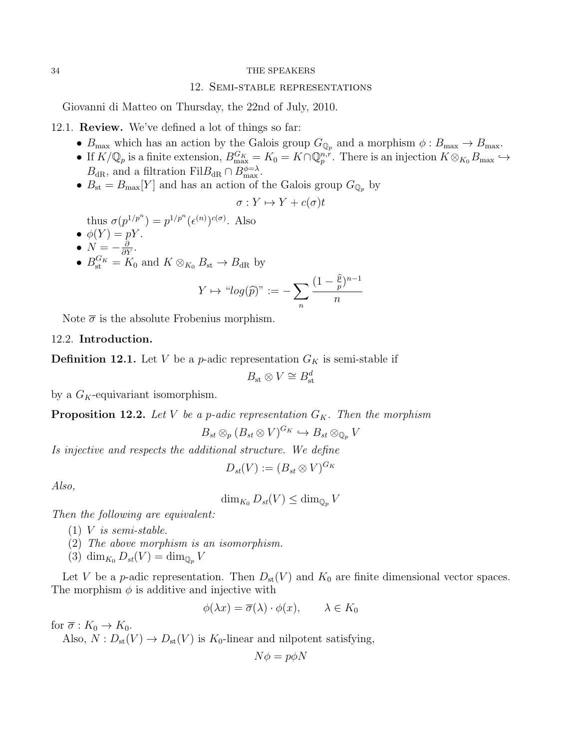### 12. Semi-stable representations

<span id="page-33-0"></span>Giovanni di Matteo on Thursday, the 22nd of July, 2010.

12.1. Review. We've defined a lot of things so far:

- $B_{\text{max}}$  which has an action by the Galois group  $G_{\mathbb{Q}_p}$  and a morphism  $\phi : B_{\text{max}} \to B_{\text{max}}$ .
- If  $K/\mathbb{Q}_p$  is a finite extension,  $B_{\text{max}}^{G_K} = K_0 = K \cap \mathbb{Q}_p^{n,r}$ . There is an injection  $K \otimes_{K_0} B_{\text{max}} \hookrightarrow$  $B_{\text{dR}}$ , and a filtration Fil $B_{\text{dR}} \cap B_{\text{max}}^{\phi=\lambda}$ .
- $B_{\rm st} = B_{\rm max}[Y]$  and has an action of the Galois group  $G_{\mathbb{Q}_p}$  by

$$
\sigma: Y \mapsto Y + c(\sigma)t
$$

thus  $\sigma(p^{1/p^n}) = p^{1/p^n} (\epsilon^{(n)})^{c(\sigma)}$ . Also

- $\bullet$   $\phi(Y) = pY$ .
- $N = -\frac{\partial}{\partial Y}$ .
- $B_{\text{st}}^{G_K} = K_0$  and  $K \otimes_{K_0} B_{\text{st}} \to B_{\text{dR}}$  by

$$
Y \mapsto \text{``log}(\widehat{p})\text{''} := -\sum_{n} \frac{(1 - \frac{\widehat{p}}{p})^{n-1}}{n}
$$

Note  $\bar{\sigma}$  is the absolute Frobenius morphism.

### 12.2. Introduction.

**Definition 12.1.** Let V be a p-adic representation  $G_K$  is semi-stable if

$$
B_{\rm st} \otimes V \cong B^d_{\rm st}
$$

by a  $G_K$ -equivariant isomorphism.

**Proposition 12.2.** Let V be a p-adic representation  $G_K$ . Then the morphism

$$
B_{st}\otimes_p(B_{st}\otimes V)^{G_K}\hookrightarrow B_{st}\otimes_{\mathbb{Q}_p}V
$$

Is injective and respects the additional structure. We define

$$
D_{st}(V) := (B_{st} \otimes V)^{G_K}
$$

Also,

$$
\dim_{K_0} D_{st}(V) \le \dim_{\mathbb{Q}_p} V
$$

Then the following are equivalent:

- $(1)$  V is semi-stable.
- (2) The above morphism is an isomorphism.
- (3)  $\dim_{K_0} D_{st}(V) = \dim_{\mathbb{Q}_p} V$

Let V be a p-adic representation. Then  $D_{st}(V)$  and  $K_0$  are finite dimensional vector spaces. The morphism  $\phi$  is additive and injective with

$$
\phi(\lambda x) = \overline{\sigma}(\lambda) \cdot \phi(x), \qquad \lambda \in K_0
$$

for  $\overline{\sigma}: K_0 \to K_0$ .

Also,  $N: D_{st}(V) \to D_{st}(V)$  is  $K_0$ -linear and nilpotent satisfying,

$$
N\phi = p\phi N
$$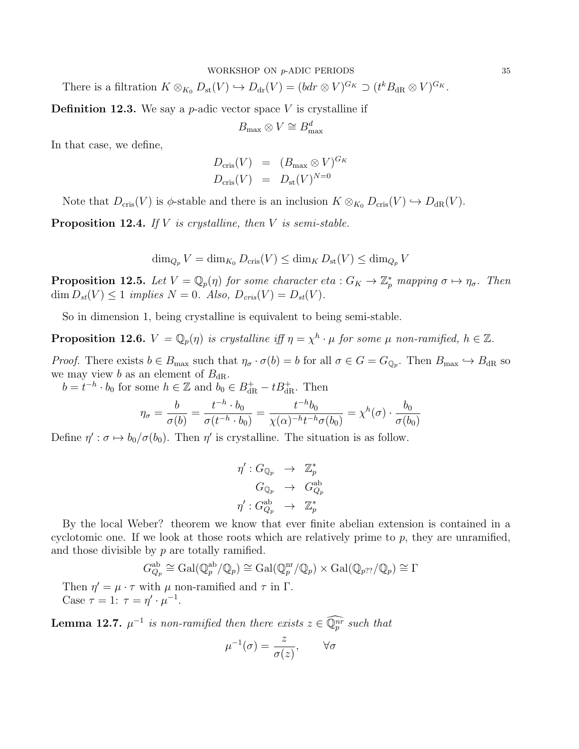There is a filtration  $K \otimes_{K_0} D_{\text{st}}(V) \hookrightarrow D_{\text{dr}}(V) = (bdr \otimes V)^{G_K} \supset (t^k B_{\text{dR}} \otimes V)^{G_K}.$ 

**Definition 12.3.** We say a *p*-adic vector space V is crystalline if

$$
B_{\max}\otimes V\cong B_{\max}^d
$$

In that case, we define,

$$
D_{\text{cris}}(V) = (B_{\text{max}} \otimes V)^{G_K}
$$
  

$$
D_{\text{cris}}(V) = D_{\text{st}}(V)^{N=0}
$$

Note that  $D_{\text{cris}}(V)$  is  $\phi$ -stable and there is an inclusion  $K \otimes_{K_0} D_{\text{cris}}(V) \hookrightarrow D_{\text{dR}}(V)$ .

**Proposition 12.4.** If  $V$  is crystalline, then  $V$  is semi-stable.

$$
\dim_{Q_p} V = \dim_{K_0} D_{\mathrm{cris}}(V) \le \dim_K D_{\mathrm{st}}(V) \le \dim_{Q_p} V
$$

**Proposition 12.5.** Let  $V = \mathbb{Q}_p(\eta)$  for some character eta :  $G_K \to \mathbb{Z}_p^*$  mapping  $\sigma \mapsto \eta_{\sigma}$ . Then  $\dim D_{st}(V) \leq 1$  implies  $N = 0$ . Also,  $D_{cris}(V) = D_{st}(V)$ .

So in dimension 1, being crystalline is equivalent to being semi-stable.

**Proposition 12.6.**  $V = \mathbb{Q}_p(\eta)$  is crystalline iff  $\eta = \chi^h \cdot \mu$  for some  $\mu$  non-ramified,  $h \in \mathbb{Z}$ .

*Proof.* There exists  $b \in B_{\text{max}}$  such that  $\eta_{\sigma} \cdot \sigma(b) = b$  for all  $\sigma \in G = G_{\mathbb{Q}_p}$ . Then  $B_{\text{max}} \hookrightarrow B_{\text{dR}}$  so we may view b as an element of  $B_{\rm dR}$ .

 $b = t^{-h} \cdot b_0$  for some  $h \in \mathbb{Z}$  and  $b_0 \in B_{\text{dR}}^+ - tB_{\text{dR}}^+$ . Then

$$
\eta_{\sigma} = \frac{b}{\sigma(b)} = \frac{t^{-h} \cdot b_0}{\sigma(t^{-h} \cdot b_0)} = \frac{t^{-h}b_0}{\chi(\alpha)^{-h}t^{-h}\sigma(b_0)} = \chi^h(\sigma) \cdot \frac{b_0}{\sigma(b_0)}
$$

Define  $\eta' : \sigma \mapsto b_0/\sigma(b_0)$ . Then  $\eta'$  is crystalline. The situation is as follow.

$$
\eta': G_{\mathbb{Q}_p} \rightarrow \mathbb{Z}_p^*
$$
  
\n
$$
G_{\mathbb{Q}_p} \rightarrow G_{Q_p}^{ab}
$$
  
\n
$$
\eta': G_{Q_p}^{ab} \rightarrow \mathbb{Z}_p^*
$$

By the local Weber? theorem we know that ever finite abelian extension is contained in a cyclotomic one. If we look at those roots which are relatively prime to p, they are unramified, and those divisible by  $p$  are totally ramified.

$$
G_{Q_p}^{\text{ab}} \cong \text{Gal}(\mathbb{Q}_p^{\text{ab}}/\mathbb{Q}_p) \cong \text{Gal}(\mathbb{Q}_p^{\text{nr}}/\mathbb{Q}_p) \times \text{Gal}(\mathbb{Q}_{p??}/\mathbb{Q}_p) \cong \Gamma
$$

Then  $\eta' = \mu \cdot \tau$  with  $\mu$  non-ramified and  $\tau$  in  $\Gamma$ . Case  $\tau = 1$ :  $\tau = \eta' \cdot \mu^{-1}$ .

**Lemma 12.7.**  $\mu^{-1}$  is non-ramified then there exists  $z \in \mathbb{Q}_p^{nr}$  such that

$$
\mu^{-1}(\sigma) = \frac{z}{\sigma(z)}, \qquad \forall \sigma
$$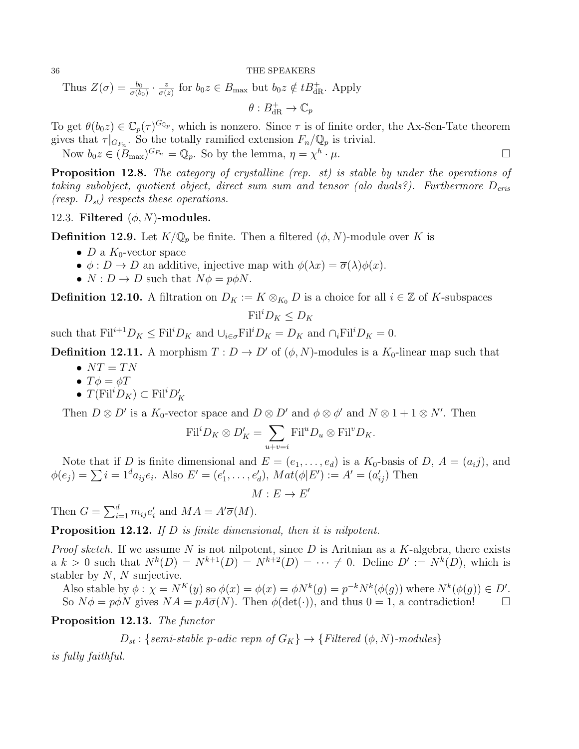Thus  $Z(\sigma) = \frac{b_0}{\sigma(b_0)} \cdot \frac{z}{\sigma(z)}$  $\frac{z}{\sigma(z)}$  for  $b_0z \in B_{\text{max}}$  but  $b_0z \notin tB_{\text{dR}}^+$ . Apply

 $\theta: B_{\text{dR}}^+ \to \mathbb{C}_p$ 

To get  $\theta(b_0z) \in \mathbb{C}_p(\tau)^{G_{\mathbb{Q}_p}}$ , which is nonzero. Since  $\tau$  is of finite order, the Ax-Sen-Tate theorem gives that  $\tau|_{G_{F_n}}$ . So the totally ramified extension  $F_n/\mathbb{Q}_p$  is trivial.

Now  $b_0 z \in (B_{\text{max}})^{G_{F_n}} = \mathbb{Q}_p$ . So by the lemma,  $\eta = \chi^h$  $\cdot \mu$ .

Proposition 12.8. The category of crystalline (rep. st) is stable by under the operations of taking subobject, quotient object, direct sum sum and tensor (alo duals?). Furthermore  $D_{cris}$ (resp.  $D_{st}$ ) respects these operations.

12.3. Filtered  $(\phi, N)$ -modules.

**Definition 12.9.** Let  $K/\mathbb{Q}_p$  be finite. Then a filtered  $(\phi, N)$ -module over K is

- D a  $K_0$ -vector space
- $\phi: D \to D$  an additive, injective map with  $\phi(\lambda x) = \overline{\sigma}(\lambda)\phi(x)$ .
- $N: D \to D$  such that  $N\phi = p\phi N$ .

**Definition 12.10.** A filtration on  $D_K := K \otimes_{K_0} D$  is a choice for all  $i \in \mathbb{Z}$  of K-subspaces

$$
\mathrm{Fil}^i D_K \le D_K
$$

such that  $\text{Fil}^{i+1}D_K \leq \text{Fil}^iD_K$  and  $\cup_{i\in\sigma} \text{Fil}^iD_K = D_K$  and  $\cap_i \text{Fil}^iD_K = 0$ .

**Definition 12.11.** A morphism  $T: D \to D'$  of  $(\phi, N)$ -modules is a  $K_0$ -linear map such that

- $NT = TN$
- $T\phi = \phi T$
- $T(\mathrm{Fil}^i D_K) \subset \mathrm{Fil}^i D'_K$

Then  $D \otimes D'$  is a  $K_0$ -vector space and  $D \otimes D'$  and  $\phi \otimes \phi'$  and  $N \otimes 1 + 1 \otimes N'$ . Then

$$
\mathrm{Fil}^i D_K \otimes D'_K = \sum_{u+v=i} \mathrm{Fil}^u D_u \otimes \mathrm{Fil}^v D_K.
$$

Note that if D is finite dimensional and  $E = (e_1, \ldots, e_d)$  is a  $K_0$ -basis of D,  $A = (a_i j)$ , and  $\phi(e_j) = \sum i = 1^d a_{ij} e_i$ . Also  $E' = (e'_1, \ldots, e'_d)$ ,  $Mat(\phi | E') := A' = (a'_{ij})$  Then

 $M: E \to E'$ 

Then  $G = \sum_{i=1}^{d} m_{ij} e'_i$  and  $MA = A'\overline{\sigma}(M)$ .

Proposition 12.12. If D is finite dimensional, then it is nilpotent.

*Proof sketch.* If we assume N is not nilpotent, since D is Aritnian as a K-algebra, there exists a  $k > 0$  such that  $N^k(D) = N^{k+1}(D) = N^{k+2}(D) = \cdots \neq 0$ . Define  $D' := N^k(D)$ , which is stabler by  $N$ ,  $N$  surjective.

Also stable by  $\phi : \chi = N^K(y)$  so  $\phi(x) = \phi(x) = \phi N^k(g) = p^{-k} N^k(\phi(g))$  where  $N^k(\phi(g)) \in D'$ . So  $N\phi = p\phi N$  gives  $NA = pA\overline{\sigma}(N)$ . Then  $\phi(\det(\cdot))$ , and thus  $0 = 1$ , a contradiction!

Proposition 12.13. The functor

 $D_{st}$ : {semi-stable p-adic repn of  $G_K$ }  $\rightarrow$  {Filtered ( $\phi$ , N)-modules}

is fully faithful.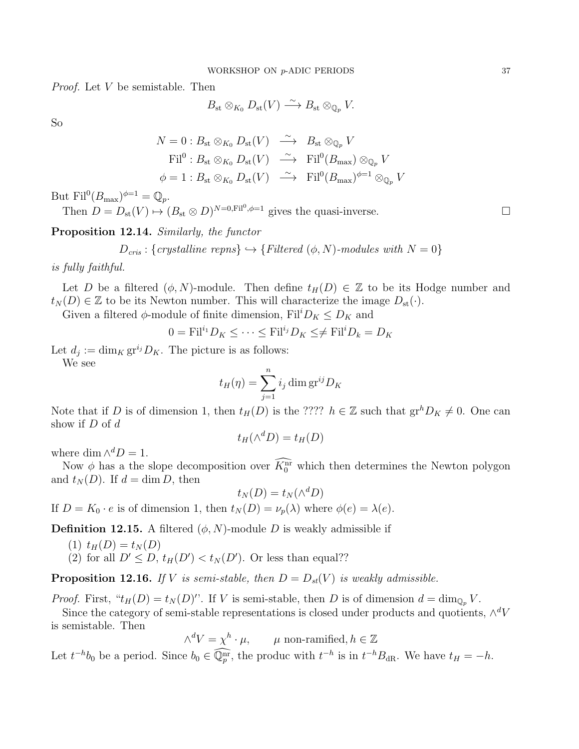Proof. Let V be semistable. Then

$$
B_{\rm st} \otimes_{K_0} D_{\rm st}(V) \stackrel{\sim}{\longrightarrow} B_{\rm st} \otimes_{\mathbb{Q}_p} V.
$$

So

$$
N = 0: B_{\text{st}} \otimes_{K_0} D_{\text{st}}(V) \longrightarrow B_{\text{st}} \otimes_{\mathbb{Q}_p} V
$$
  
\n
$$
\text{Fil}^0: B_{\text{st}} \otimes_{K_0} D_{\text{st}}(V) \longrightarrow \text{Fil}^0(B_{\text{max}}) \otimes_{\mathbb{Q}_p} V
$$
  
\n
$$
\phi = 1: B_{\text{st}} \otimes_{K_0} D_{\text{st}}(V) \longrightarrow \text{Fil}^0(B_{\text{max}})^{\phi=1} \otimes_{\mathbb{Q}_p} V
$$

But  $\mathrm{Fil}^0(B_{\max})^{\phi=1}=\mathbb{Q}_p.$ 

Then  $D = D_{\text{st}}(V) \mapsto (B_{\text{st}} \otimes D)^{N=0,\text{Fil}^0,\phi=1}$  gives the quasi-inverse.

Proposition 12.14. Similarly, the functor

$$
D_{cris}: \{crystal line \; repns\} \hookrightarrow \{Filtered \; (\phi, N)\text{-modules with } N = 0\}
$$

is fully faithful.

Let D be a filtered  $(\phi, N)$ -module. Then define  $t_H(D) \in \mathbb{Z}$  to be its Hodge number and  $t_N(D) \in \mathbb{Z}$  to be its Newton number. This will characterize the image  $D_{\rm st}(\cdot)$ .

Given a filtered  $\phi$ -module of finite dimension, Fil<sup>i</sup> $D_K \leq D_K$  and

$$
0 = \mathrm{Fil}^{i_1} D_K \le \dots \le \mathrm{Fil}^{i_j} D_K \le \ne \mathrm{Fil}^i D_k = D_K
$$

Let  $d_j := \dim_K gr^{i_j} D_K$ . The picture is as follows: We see

$$
t_H(\eta) = \sum_{j=1}^n i_j \dim \mathrm{gr}^{ij} D_K
$$

Note that if D is of dimension 1, then  $t_H(D)$  is the ????  $h \in \mathbb{Z}$  such that  $gr^hD_K \neq 0$ . One can show if  $D$  of  $d$ 

$$
t_H(\wedge^d D) = t_H(D)
$$

where dim  $\wedge^d D = 1$ .

Now  $\phi$  has a the slope decomposition over  $K_0^{\text{nr}}$  which then determines the Newton polygon and  $t_N(D)$ . If  $d = \dim D$ , then

$$
t_N(D) = t_N(\wedge^d D)
$$

If  $D = K_0 \cdot e$  is of dimension 1, then  $t_N(D) = \nu_p(\lambda)$  where  $\phi(e) = \lambda(e)$ .

**Definition 12.15.** A filtered  $(\phi, N)$ -module D is weakly admissible if

- $(1)$   $t_H(D) = t_N(D)$
- (2) for all  $D' \leq D$ ,  $t_H(D') < t_N(D')$ . Or less than equal??

**Proposition 12.16.** If V is semi-stable, then  $D = D_{st}(V)$  is weakly admissible.

*Proof.* First, " $t_H(D) = t_N(D)$ ". If V is semi-stable, then D is of dimension  $d = \dim_{\mathbb{Q}_p} V$ .

Since the category of semi-stable representations is closed under products and quotients,  $\wedge^d V$ is semistable. Then

$$
\wedge^d V = \chi^h \cdot \mu, \qquad \mu \text{ non-ramified}, h \in \mathbb{Z}
$$

Let  $t^{-h}b_0$  be a period. Since  $b_0 \in \mathbb{Q}_p^{\text{nr}}$ , the produc with  $t^{-h}$  is in  $t^{-h}B_{\text{dR}}$ . We have  $t_H = -h$ .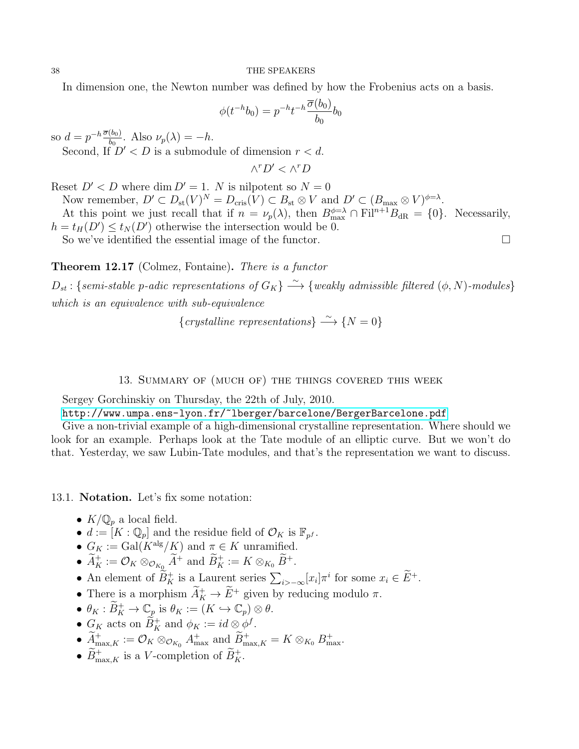In dimension one, the Newton number was defined by how the Frobenius acts on a basis.

$$
\phi(t^{-h}b_0) = p^{-h}t^{-h}\frac{\overline{\sigma}(b_0)}{b_0}b_0
$$

so  $d = p^{-h} \frac{\overline{\sigma}(b_0)}{b_0}$  $\frac{\omega_{00}}{b_0}$ . Also  $\nu_p(\lambda) = -h$ .

Second, If  $D' < D$  is a submodule of dimension  $r < d$ .

$$
\wedge^r D'<\wedge^r D
$$

Reset  $D' < D$  where dim  $D' = 1$ . N is nilpotent so  $N = 0$ 

Now remember,  $D' \subset D_{st}(V)^N = D_{cris}(V) \subset B_{st} \otimes V$  and  $D' \subset (B_{\max} \otimes V)^{\phi=\lambda}$ . At this point we just recall that if  $n = \nu_p(\lambda)$ , then  $B_{\text{max}}^{\phi=\lambda} \cap \text{Fil}^{n+1}B_{\text{dR}} = \{0\}$ . Necessarily,  $h = t_H(D') \le t_N(D')$  otherwise the intersection would be 0.

So we've identified the essential image of the functor.  $\Box$ 

Theorem 12.17 (Colmez, Fontaine). There is a functor

 $D_{st}$ : {semi-stable p-adic representations of  $G_K$ }  $\stackrel{\sim}{\longrightarrow}$  {weakly admissible filtered ( $\phi$ , N)-modules} which is an equivalence with sub-equivalence

{crystalline representations}  $\stackrel{\sim}{\longrightarrow}$  {N = 0}

### 13. Summary of (much of) the things covered this week

<span id="page-37-0"></span>Sergey Gorchinskiy on Thursday, the 22th of July, 2010.

<http://www.umpa.ens-lyon.fr/~lberger/barcelone/BergerBarcelone.pdf>

Give a non-trivial example of a high-dimensional crystalline representation. Where should we look for an example. Perhaps look at the Tate module of an elliptic curve. But we won't do that. Yesterday, we saw Lubin-Tate modules, and that's the representation we want to discuss.

13.1. Notation. Let's fix some notation:

- $K/\mathbb{Q}_p$  a local field.
- $d := [K : \mathbb{Q}_p]$  and the residue field of  $\mathcal{O}_K$  is  $\mathbb{F}_{p^f}$ .
- $G_K := \text{Gal}(K^{\text{alg}}/K)$  and  $\pi \in K$  unramified.
- $\widetilde{A}_K^+ := \mathcal{O}_K \otimes_{\mathcal{O}_{K_0}} \widetilde{A}^+$  and  $\widetilde{B}_K^+ := K \otimes_{K_0} \widetilde{B}^+.$
- An element of  $\widetilde{B}_K^+$  is a Laurent series  $\sum_{i\geq -\infty} [x_i] \pi^i$  for some  $x_i \in \widetilde{E}^+$ .
- There is a morphism  $\widetilde{A}^+_K \to \widetilde{E}^+$  given by reducing modulo  $\pi$ .
- $\theta_K : \widetilde{B}_K^+ \to \mathbb{C}_p$  is  $\theta_K := (K \hookrightarrow \mathbb{C}_p) \otimes \theta$ .
- $G_K$  acts on  $\widetilde{B}_K^+$  and  $\phi_K := id \otimes \phi^f$ .
- $\widetilde{A}^+_{\max,K} := \mathcal{O}_K \otimes_{\mathcal{O}_{K_0}} A^+_{\max}$  and  $\widetilde{B}^+_{\max,K} = K \otimes_{K_0} B^+_{\max}$ .
- $\widetilde{B}^+_{\text{max},K}$  is a V-completion of  $\widetilde{B}^+_{K}$ .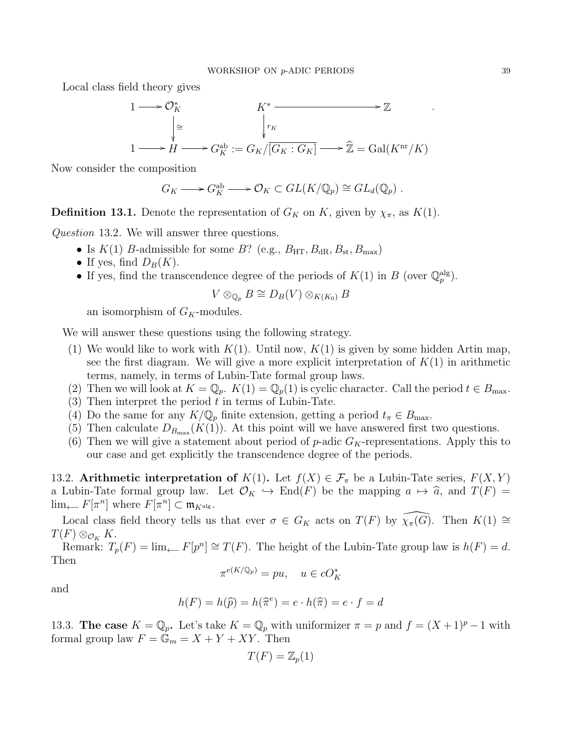Local class field theory gives

$$
1 \longrightarrow \mathcal{O}_K^*
$$
\n
$$
\downarrow^{\cong}
$$
\n
$$
1 \longrightarrow H \longrightarrow G_K^{\text{ab}} := G_K / \overline{[G_K : G_K]} \longrightarrow \widehat{\mathbb{Z}} = \text{Gal}(K^{\text{nr}}/K)
$$

Now consider the composition

$$
G_K \longrightarrow G_K^{\text{ab}} \longrightarrow \mathcal{O}_K \subset GL(K/\mathbb{Q}_p) \cong GL_d(\mathbb{Q}_p) .
$$

**Definition 13.1.** Denote the representation of  $G_K$  on K, given by  $\chi_{\pi}$ , as  $K(1)$ .

Question 13.2. We will answer three questions.

- Is  $K(1)$  B-admissible for some B? (e.g.,  $B_{\text{HT}}, B_{\text{dR}}, B_{\text{st}}, B_{\text{max}}$ )
- If yes, find  $D_B(K)$ .
- If yes, find the transcendence degree of the periods of  $K(1)$  in B (over  $\mathbb{Q}_p^{\text{alg}}$ ).

$$
V \otimes_{\mathbb{Q}_p} B \cong D_B(V) \otimes_{K(K_0)} B
$$

an isomorphism of  $G_K$ -modules.

We will answer these questions using the following strategy.

- (1) We would like to work with  $K(1)$ . Until now,  $K(1)$  is given by some hidden Artin map, see the first diagram. We will give a more explicit interpretation of  $K(1)$  in arithmetic terms, namely, in terms of Lubin-Tate formal group laws.
- (2) Then we will look at  $K = \mathbb{Q}_p$ .  $K(1) = \mathbb{Q}_p(1)$  is cyclic character. Call the period  $t \in B_{\text{max}}$ .
- (3) Then interpret the period  $t$  in terms of Lubin-Tate.
- (4) Do the same for any  $K/\mathbb{Q}_p$  finite extension, getting a period  $t_\pi \in B_{\text{max}}$ .
- (5) Then calculate  $D_{B_{\text{max}}}(K(1))$ . At this point will we have answered first two questions.
- (6) Then we will give a statement about period of  $p$ -adic  $G_K$ -representations. Apply this to our case and get explicitly the transcendence degree of the periods.

13.2. Arithmetic interpretation of  $K(1)$ . Let  $f(X) \in \mathcal{F}_{\pi}$  be a Lubin-Tate series,  $F(X, Y)$ a Lubin-Tate formal group law. Let  $\mathcal{O}_K \hookrightarrow \text{End}(F)$  be the mapping  $a \mapsto \hat{a}$ , and  $T(F) =$  $\lim_{n \to \infty} F[\pi^n]$  where  $F[\pi^n] \subset \mathfrak{m}_{K^{\mathrm{alg}}}.$ 

Local class field theory tells us that ever  $\sigma \in G_K$  acts on  $T(F)$  by  $\widehat{\chi_\pi(G)}$ . Then  $K(1) \cong$  $T(F) \otimes_{\mathcal{O}_K} K$ .

Remark:  $T_p(F) = \lim_{\leftarrow} F[p^n] \cong T(F)$ . The height of the Lubin-Tate group law is  $h(F) = d$ . Then

$$
\pi^{e(K/\mathbb{Q}_p)} = pu, \quad u \in cO_K^*
$$

and

$$
h(F) = h(\widehat{p}) = h(\widehat{\pi}^e) = e \cdot h(\widehat{\pi}) = e \cdot f = d
$$

13.3. The case  $K = \mathbb{Q}_p$ . Let's take  $K = \mathbb{Q}_p$  with uniformizer  $\pi = p$  and  $f = (X + 1)^p - 1$  with formal group law  $F = \mathbb{G}_m = X + Y + XY$ . Then

$$
T(F) = \mathbb{Z}_p(1)
$$

.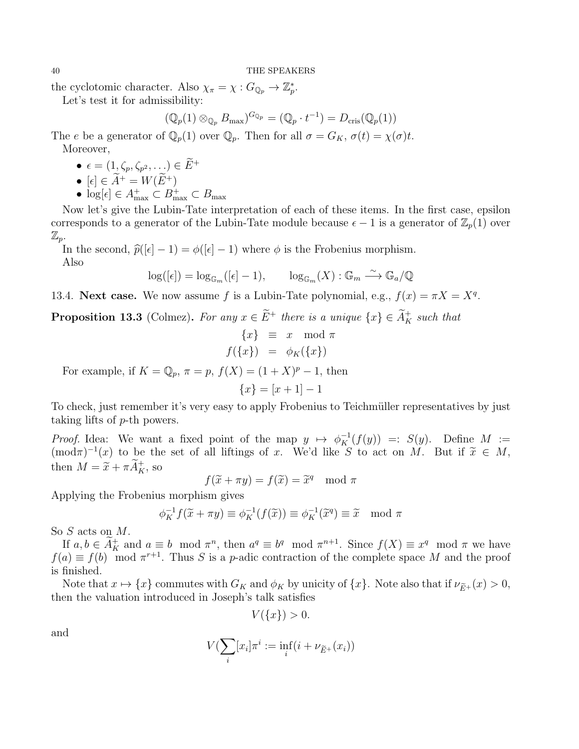the cyclotomic character. Also  $\chi_{\pi} = \chi : G_{\mathbb{Q}_p} \to \mathbb{Z}_p^*$ .

Let's test it for admissibility:

$$
(\mathbb{Q}_p(1) \otimes_{\mathbb{Q}_p} B_{\text{max}})^{G_{\mathbb{Q}_p}} = (\mathbb{Q}_p \cdot t^{-1}) = D_{\text{cris}}(\mathbb{Q}_p(1))
$$

The e be a generator of  $\mathbb{Q}_p(1)$  over  $\mathbb{Q}_p$ . Then for all  $\sigma = G_K$ ,  $\sigma(t) = \chi(\sigma)t$ . Moreover,

- $\bullet\ \epsilon=(1,\zeta_p,\zeta_{p^2},\ldots)\in E^+$
- $[\epsilon] \in \widetilde{A}^+ = W(\widetilde{E}^+)$
- $log[\epsilon] \in A_{\max}^+ \subset B_{\max}^+ \subset B_{\max}$

Now let's give the Lubin-Tate interpretation of each of these items. In the first case, epsilon corresponds to a generator of the Lubin-Tate module because  $\epsilon - 1$  is a generator of  $\mathbb{Z}_p(1)$  over  $\mathbb{Z}_p$ .

In the second,  $\hat{p}(|\epsilon| - 1) = \phi(|\epsilon| - 1)$  where  $\phi$  is the Frobenius morphism. Also

$$
\log([\epsilon]) = \log_{\mathbb{G}_m}([\epsilon] - 1), \qquad \log_{\mathbb{G}_m}(X) : \mathbb{G}_m \xrightarrow{\sim} \mathbb{G}_a/\mathbb{Q}
$$

13.4. Next case. We now assume f is a Lubin-Tate polynomial, e.g.,  $f(x) = \pi X = X^q$ .

**Proposition 13.3** (Colmez). For any  $x \in E^+$  there is a unique  $\{x\} \in \tilde{A}_K^+$  such that

$$
\begin{array}{rcl}\n\{x\} & \equiv & x \mod \pi \\
f(\{x\}) & = & \phi_K(\{x\})\n\end{array}
$$

For example, if  $K = \mathbb{Q}_p$ ,  $\pi = p$ ,  $f(X) = (1 + X)^p - 1$ , then

$$
\{x\} = [x+1] - 1
$$

To check, just remember it's very easy to apply Frobenius to Teichmüller representatives by just taking lifts of p-th powers.

*Proof.* Idea: We want a fixed point of the map  $y \mapsto \phi_K^{-1}(f(y)) =: S(y)$ . Define  $M :=$  $(\text{mod}\pi)^{-1}(x)$  to be the set of all liftings of x. We'd like S to act on M. But if  $\tilde{x} \in M$ , then  $M = \widetilde{x} + \pi \widetilde{A}_K^+$ , so

$$
f(\widetilde{x} + \pi y) = f(\widetilde{x}) = \widetilde{x}^q \mod \pi
$$

Applying the Frobenius morphism gives

$$
\phi_K^{-1} f(\widetilde{x} + \pi y) \equiv \phi_K^{-1}(f(\widetilde{x})) \equiv \phi_K^{-1}(\widetilde{x}^q) \equiv \widetilde{x} \mod \pi
$$

So *S* acts on *M*.

If  $a, b \in A_K^+$  and  $a \equiv b \mod \pi^n$ , then  $a^q \equiv b^q \mod \pi^{n+1}$ . Since  $f(X) \equiv x^q \mod \pi$  we have  $f(a) \equiv f(b) \mod \pi^{r+1}$ . Thus S is a p-adic contraction of the complete space M and the proof is finished.

Note that  $x \mapsto \{x\}$  commutes with  $G_K$  and  $\phi_K$  by unicity of  $\{x\}$ . Note also that if  $\nu_{\widetilde{E}^+}(x) > 0$ , then the valuation introduced in Joseph's talk satisfies

$$
V(\{x\})>0.
$$

and

$$
V(\sum_{i} [x_i] \pi^i := \inf_{i} (i + \nu_{\widetilde{E}^+}(x_i))
$$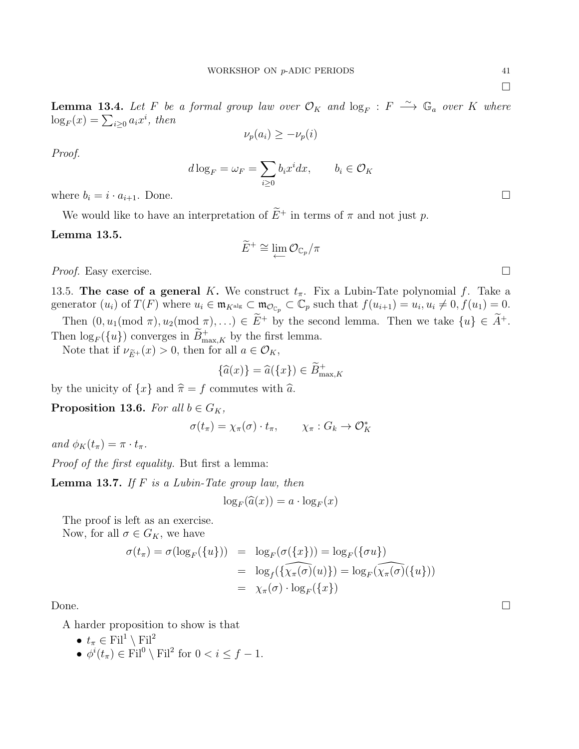**Lemma 13.4.** Let F be a formal group law over  $\mathcal{O}_K$  and  $\log_F : F \longrightarrow \mathbb{G}_a$  over K where  $\log_F(x) = \sum_{i \geq 0} a_i x^i$ , then

$$
\nu_p(a_i) \ge -\nu_p(i)
$$

Proof.

$$
d\log_F = \omega_F = \sum_{i\geq 0} b_i x^i dx, \qquad b_i \in \mathcal{O}_K
$$

where  $b_i = i \cdot a_{i+1}$ . Done.

We would like to have an interpretation of  $\widetilde{E}^+$  in terms of  $\pi$  and not just p.

### Lemma 13.5.

$$
\widetilde{E}^+\cong \lim\limits_{\longleftarrow} \mathcal{O}_{\mathbb{C}_p}/\pi
$$

*Proof.* Easy exercise.  $\Box$ 

13.5. The case of a general K. We construct  $t_{\pi}$ . Fix a Lubin-Tate polynomial f. Take a generator  $(u_i)$  of  $T(F)$  where  $u_i \in \mathfrak{m}_{K^{\text{alg}}} \subset \mathfrak{m}_{\mathcal{O}_{\mathbb{C}_p}} \subset \mathbb{C}_p$  such that  $f(u_{i+1}) = u_i, u_i \neq 0, f(u_1) = 0$ .

Then  $(0, u_1 \text{ (mod } \pi), u_2 \text{ (mod } \pi), \ldots) \in \widetilde{E}^+$  by the second lemma. Then we take  $\{u\} \in \widetilde{A}^+$ . Then  $\log_F({u})$  converges in  $\widetilde{B}^+_{\max,K}$  by the first lemma.

Note that if  $\nu_{\widetilde{E}^+}(x) > 0$ , then for all  $a \in \mathcal{O}_K$ ,

$$
\{\widehat{a}(x)\} = \widehat{a}(\{x\}) \in \widetilde{B}^+_{\max,K}
$$

by the unicity of  $\{x\}$  and  $\hat{\pi} = f$  commutes with  $\hat{a}$ .

**Proposition 13.6.** For all  $b \in G_K$ ,

$$
\sigma(t_{\pi}) = \chi_{\pi}(\sigma) \cdot t_{\pi}, \qquad \chi_{\pi} : G_k \to \mathcal{O}_K^*
$$

and  $\phi_K(t_\pi) = \pi \cdot t_\pi$ .

Proof of the first equality. But first a lemma:

**Lemma 13.7.** If  $F$  is a Lubin-Tate group law, then

$$
\log_F(\widehat{a}(x)) = a \cdot \log_F(x)
$$

The proof is left as an exercise.

Now, for all  $\sigma \in G_K$ , we have

$$
\sigma(t_{\pi}) = \sigma(\log_F(\{u\})) = \log_F(\sigma(\{x\})) = \log_F(\{\sigma u\})
$$
  
= 
$$
\log_f(\{\widehat{\chi_{\pi}(\sigma)}(u)\}) = \log_F(\widehat{\chi_{\pi}(\sigma)}(\{u\}))
$$
  
= 
$$
\chi_{\pi}(\sigma) \cdot \log_F(\{x\})
$$

Done.  $\Box$ 

A harder proposition to show is that

- $t_{\pi} \in \mathrm{Fil}^1 \setminus \mathrm{Fil}^2$
- $\phi^i(t_\pi) \in \text{Fil}^0 \setminus \text{Fil}^2$  for  $0 < i \leq f 1$ .

 $\Box$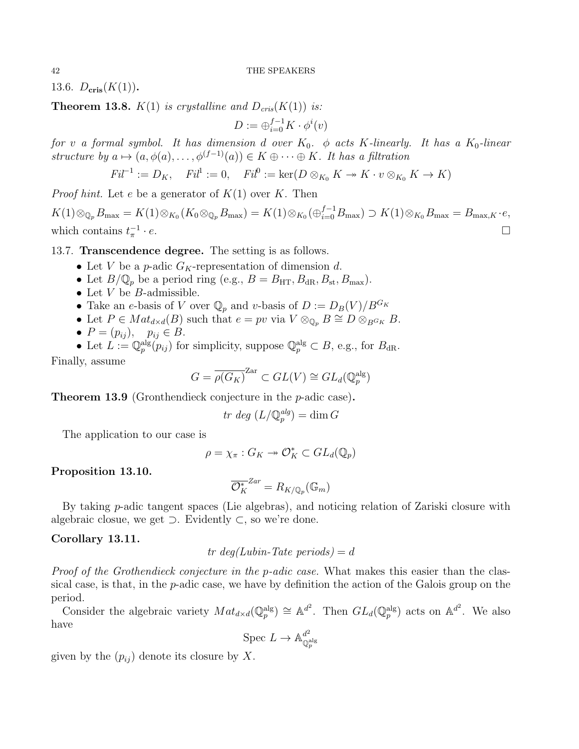13.6.  $D_{\text{cris}}(K(1)).$ 

**Theorem 13.8.**  $K(1)$  is crystalline and  $D_{cris}(K(1))$  is:

 $D := \bigoplus_{i=0}^{f-1} K \cdot \phi^i(v)$ 

for v a formal symbol. It has dimension d over  $K_0$ .  $\phi$  acts K-linearly. It has a  $K_0$ -linear structure by  $a \mapsto (a, \phi(a), \ldots, \phi^{(f-1)}(a)) \in K \oplus \cdots \oplus K$ . It has a filtration

$$
Fil^{-1} := D_K, \quad Fil^1 := 0, \quad Fil^0 := \ker(D \otimes_{K_0} K \to K \cdot v \otimes_{K_0} K \to K)
$$

*Proof hint.* Let e be a generator of  $K(1)$  over K. Then

 $K(1) \otimes_{\mathbb{Q}_p} B_{\text{max}} = K(1) \otimes_{K_0} (K_0 \otimes_{\mathbb{Q}_p} B_{\text{max}}) = K(1) \otimes_{K_0} (\oplus_{i=0}^{f-1} B_{\text{max}}) \supset K(1) \otimes_{K_0} B_{\text{max}} = B_{\text{max},K} \cdot e,$ which contains  $t_{\pi}^{-1}$  $\cdot e$ .

### 13.7. Transcendence degree. The setting is as follows.

- Let V be a p-adic  $G_K$ -representation of dimension d.
- Let  $B/\mathbb{Q}_p$  be a period ring (e.g.,  $B = B_{\text{HT}}, B_{\text{dR}}, B_{\text{st}}, B_{\text{max}}$ ).
- Let  $V$  be  $B$ -admissible.
- Take an e-basis of V over  $\mathbb{Q}_p$  and v-basis of  $D := D_B(V)/B^{G_K}$
- Let  $P \in Mat_{d \times d}(B)$  such that  $e = pv$  via  $V \otimes_{\mathbb{Q}_p} B \cong D \otimes_{B^G K} B$ .
- $P = (p_{ij}), \quad p_{ij} \in B.$
- Let  $L := \mathbb{Q}_p^{\text{alg}}(p_{ij})$  for simplicity, suppose  $\mathbb{Q}_p^{\text{alg}} \subset B$ , e.g., for  $B_{\text{dR}}$ .

Finally, assume

$$
G = \overline{\rho(G_K)}^{\text{Zar}} \subset GL(V) \cong GL_d(\mathbb{Q}_p^{\text{alg}})
$$

Theorem 13.9 (Gronthendieck conjecture in the p-adic case).

$$
tr \deg (L/\mathbb{Q}_p^{alg}) = \dim G
$$

The application to our case is

$$
\rho = \chi_{\pi} : G_K \twoheadrightarrow \mathcal{O}_K^* \subset GL_d(\mathbb{Q}_p)
$$

Proposition 13.10.

$$
\overline{\mathcal{O}_K^*}^{Zar}=R_{K/\mathbb{Q}_p}(\mathbb{G}_m)
$$

By taking p-adic tangent spaces (Lie algebras), and noticing relation of Zariski closure with algebraic closue, we get  $\supset$ . Evidently  $\subset$ , so we're done.

### Corollary 13.11.

tr  $deq(Lubin-Tate~periods) = d$ 

Proof of the Grothendieck conjecture in the p-adic case. What makes this easier than the classical case, is that, in the p-adic case, we have by definition the action of the Galois group on the period.

Consider the algebraic variety  $Mat_{d \times d}(\mathbb{Q}_p^{\text{alg}}) \cong \mathbb{A}^{d^2}$ . Then  $GL_d(\mathbb{Q}_p^{\text{alg}})$  acts on  $\mathbb{A}^{d^2}$ . We also have

$$
\mathrm{Spec} \; L \to \mathbb{A}^{d^2}_{\mathbb{Q}_p^{\mathrm{alg}}}
$$

given by the  $(p_{ij})$  denote its closure by X.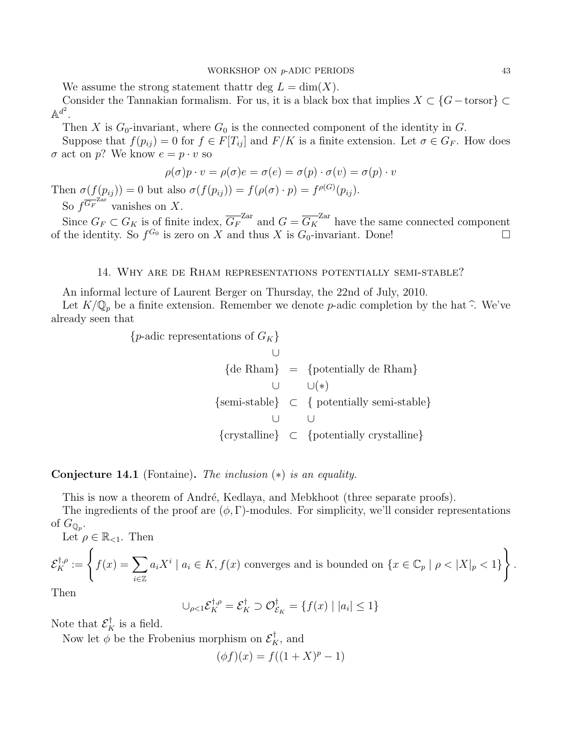We assume the strong statement thattr deg  $L = dim(X)$ .

Consider the Tannakian formalism. For us, it is a black box that implies  $X \subset \{G-\text{torsor}\}\subset$  $\mathbb{A}^{d^2}.$ 

Then X is  $G_0$ -invariant, where  $G_0$  is the connected component of the identity in G.

Suppose that  $f(p_{ij}) = 0$  for  $f \in F[T_{ij}]$  and  $F/K$  is a finite extension. Let  $\sigma \in G_F$ . How does  $\sigma$  act on p? We know  $e = p \cdot v$  so

$$
\rho(\sigma)p \cdot v = \rho(\sigma)e = \sigma(e) = \sigma(p) \cdot \sigma(v) = \sigma(p) \cdot v
$$

Then  $\sigma(f(p_{ij})) = 0$  but also  $\sigma(f(p_{ij})) = f(\rho(\sigma) \cdot p) = f^{\rho(G)}(p_{ij}).$ So  $f^{\overline{G_F}^{\text{Zar}}}$  vanishes on X.

Since  $G_F \subset G_K$  is of finite index,  $\overline{G_F}^{\text{Zar}}$  and  $G = \overline{G_K}^{\text{Zar}}$  have the same connected component of the identity. So  $f^{G_0}$  is zero on X and thus X is  $G_0$ -invariant. Done!

### 14. Why are de Rham representations potentially semi-stable?

<span id="page-42-0"></span>An informal lecture of Laurent Berger on Thursday, the 22nd of July, 2010.

Let  $K/\mathbb{Q}_p$  be a finite extension. Remember we denote p-adic completion by the hat  $\widehat{\cdot}$ . We've already seen that

{*p*-adic representations of 
$$
G_K
$$
}  
\n $\cup$   
\n{de Rham} = {potentially de Rham}  
\n $\cup$   
\n{semi-stable}  $\subset$  { potentially semi-stable}  
\n $\cup$   
\n{crystalline}  $\subset$  {potentially crystalline}

### **Conjecture 14.1** (Fontaine). The inclusion  $(*)$  is an equality.

This is now a theorem of André, Kedlaya, and Mebkhoot (three separate proofs).

The ingredients of the proof are  $(\phi, \Gamma)$ -modules. For simplicity, we'll consider representations of  $G_{\mathbb{Q}_p}$ .

Let  $\rho \in \mathbb{R}_{\leq 1}$ . Then

$$
\mathcal{E}_K^{\dagger,\rho} := \left\{ f(x) = \sum_{i \in \mathbb{Z}} a_i X^i \mid a_i \in K, f(x) \text{ converges and is bounded on } \{x \in \mathbb{C}_p \mid \rho < |X|_p < 1 \} \right\}.
$$

Then

$$
\bigcup_{\rho<1} \mathcal{E}_K^{\dagger,\rho} = \mathcal{E}_K^{\dagger} \supset \mathcal{O}_{\mathcal{E}_K}^{\dagger} = \{f(x) \mid |a_i| \le 1\}
$$

Note that  $\mathcal{E}_K^{\dagger}$  is a field.

Now let  $\phi$  be the Frobenius morphism on  $\mathcal{E}_K^{\dagger}$ , and

$$
(\phi f)(x) = f((1+X)^p - 1)
$$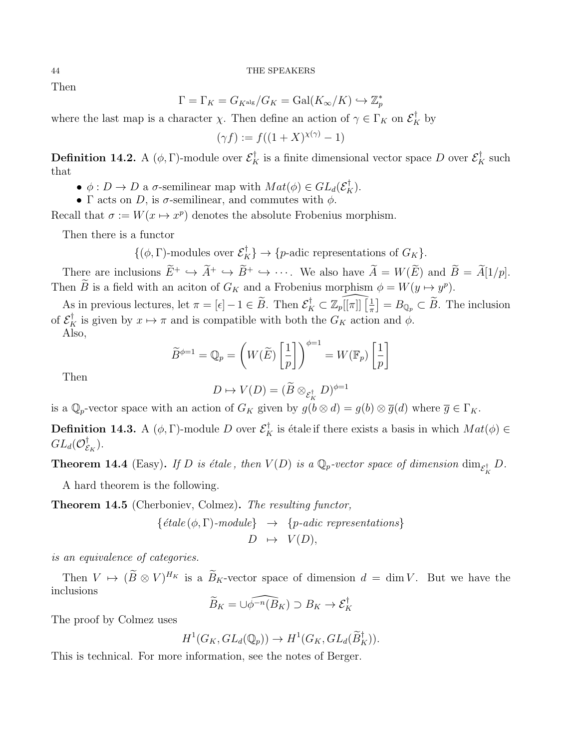Then

$$
\Gamma = \Gamma_K = G_{K^{\mathrm{alg}}}/G_K = \mathrm{Gal}(K_\infty/K) \hookrightarrow \mathbb{Z}_p^*
$$

where the last map is a character  $\chi$ . Then define an action of  $\gamma \in \Gamma_K$  on  $\mathcal{E}_K^{\dagger}$  by

$$
(\gamma f) := f((1+X)^{\chi(\gamma)} - 1)
$$

**Definition 14.2.** A ( $\phi$ , Γ)-module over  $\mathcal{E}_K^{\dagger}$  is a finite dimensional vector space D over  $\mathcal{E}_K^{\dagger}$  such that

- $\phi: D \to D$  a  $\sigma$ -semilinear map with  $Mat(\phi) \in GL_d(\mathcal{E}_K^{\dagger}).$
- Γ acts on D, is  $\sigma$ -semilinear, and commutes with  $\phi$ .

Recall that  $\sigma := W(x \mapsto x^p)$  denotes the absolute Frobenius morphism.

Then there is a functor

 $\{(\phi, \Gamma)$ -modules over  $\mathcal{E}_K^{\dagger}\}\to \{p\text{-adic representations of }G_K\}.$ 

There are inclusions  $\widetilde{E}^+ \hookrightarrow \widetilde{A}^+ \hookrightarrow \widetilde{B}^+ \hookrightarrow \cdots$ . We also have  $\widetilde{A} = W(\widetilde{E})$  and  $\widetilde{B} = \widetilde{A}[1/p]$ . Then  $\hat{B}$  is a field with an aciton of  $G_K$  and a Frobenius morphism  $\phi = W(y \mapsto y^p)$ .

As in previous lectures, let  $\pi = [\epsilon] - 1 \in \widetilde{B}$ . Then  $\mathcal{E}_K^{\dagger} \subset \mathbb{Z}_p[[\pi]] \left[\frac{1}{\pi}\right]$  $\left[\frac{1}{\pi}\right] = B_{\mathbb{Q}_p} \subset \widetilde{B}$ . The inclusion of  $\mathcal{E}_K^{\dagger}$  is given by  $x \mapsto \pi$  and is compatible with both the  $G_K$  action and  $\phi$ .

Also,

$$
\widetilde{B}^{\phi=1} = \mathbb{Q}_p = \left(W(\widetilde{E})\left[\frac{1}{p}\right]\right)^{\phi=1} = W(\mathbb{F}_p)\left[\frac{1}{p}\right]
$$

Then

$$
D \mapsto V(D) = (\widetilde{B} \otimes_{\mathcal{E}_K^{\dagger}} D)^{\phi=1}
$$

is a  $\mathbb{Q}_p$ -vector space with an action of  $G_K$  given by  $g(b \otimes d) = g(b) \otimes \overline{g}(d)$  where  $\overline{g} \in \Gamma_K$ .

**Definition 14.3.** A  $(\phi, \Gamma)$ -module D over  $\mathcal{E}_K^{\dagger}$  is étale if there exists a basis in which  $Mat(\phi) \in$  $GL_d(\mathcal O_{\mathcal E}^\dagger$  $_{\mathcal{E}_K}^{\intercal}).$ 

**Theorem 14.4** (Easy). If D is étale, then  $V(D)$  is a  $\mathbb{Q}_p$ -vector space of dimension  $\dim_{\mathcal{E}_K^{\dagger}} D$ .

A hard theorem is the following.

Theorem 14.5 (Cherboniev, Colmez). The resulting functor,

{étale 
$$
(\phi, \Gamma)
$$
-module}  $\rightarrow$  {*p*-adic representations}  
 $D \rightarrow V(D)$ ,

is an equivalence of categories.

Then  $V \mapsto (B \otimes V)^{H_K}$  is a  $B_K$ -vector space of dimension  $d = \dim V$ . But we have the inclusions

$$
\widetilde{B}_K = \bigcup \widehat{\phi^{-n}(B_K)} \supset B_K \to \mathcal{E}_K^{\dagger}
$$

The proof by Colmez uses

$$
H^1(G_K, GL_d(\mathbb{Q}_p)) \to H^1(G_K, GL_d(\widetilde{B}_K^{\dagger})).
$$

This is technical. For more information, see the notes of Berger.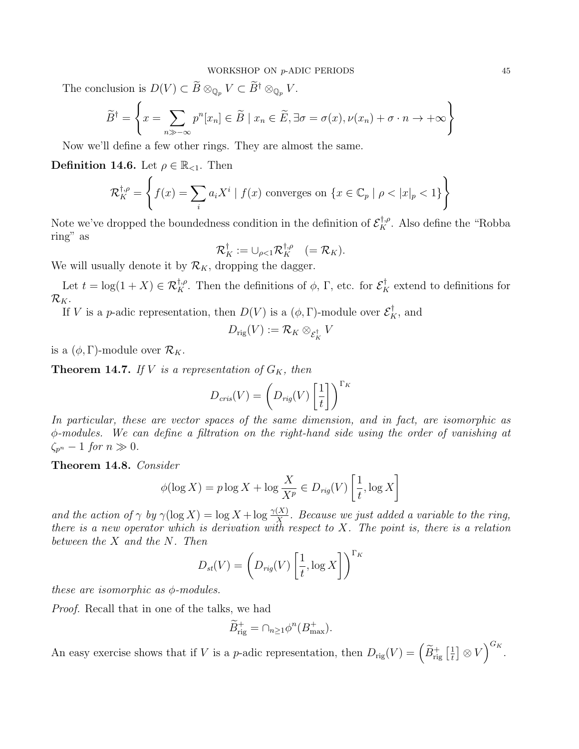The conclusion is  $D(V) \subset \widetilde{B} \otimes_{\mathbb{Q}_p} V \subset \widetilde{B}^{\dagger} \otimes_{\mathbb{Q}_p} V$ .

$$
\widetilde{B}^{\dagger} = \left\{ x = \sum_{n \gg -\infty} p^n [x_n] \in \widetilde{B} \mid x_n \in \widetilde{E}, \exists \sigma = \sigma(x), \nu(x_n) + \sigma \cdot n \to +\infty \right\}
$$

Now we'll define a few other rings. They are almost the same.

**Definition 14.6.** Let  $\rho \in \mathbb{R}_{\leq 1}$ . Then

$$
\mathcal{R}_K^{\dagger,\rho} = \left\{ f(x) = \sum_i a_i X^i \mid f(x) \text{ converges on } \{x \in \mathbb{C}_p \mid \rho < |x|_p < 1 \} \right\}
$$

Note we've dropped the boundedness condition in the definition of  $\mathcal{E}_K^{\dagger,\rho}$ . Also define the "Robba ring" as

$$
\mathcal{R}_K^{\dagger} := \cup_{\rho < 1} \mathcal{R}_K^{\dagger,\rho} \quad (= \mathcal{R}_K).
$$

We will usually denote it by  $\mathcal{R}_K$ , dropping the dagger.

Let  $t = \log(1 + X) \in \mathcal{R}_K^{\dagger,\rho}$ . Then the definitions of  $\phi$ ,  $\Gamma$ , etc. for  $\mathcal{E}_K^{\dagger}$  extend to definitions for  $\mathcal{R}_K$ .

If V is a *p*-adic representation, then  $D(V)$  is a  $(\phi, \Gamma)$ -module over  $\mathcal{E}_K^{\dagger}$ , and

$$
D_{\mathrm{rig}}(V):=\mathcal{R}_K\otimes_{\mathcal{E}_K^{\dagger}}V
$$

is a  $(\phi, \Gamma)$ -module over  $\mathcal{R}_K$ .

**Theorem 14.7.** If V is a representation of  $G_K$ , then

$$
D_{cris}(V) = \left(D_{rig}(V)\left[\frac{1}{t}\right]\right)^{\Gamma_K}
$$

In particular, these are vector spaces of the same dimension, and in fact, are isomorphic as φ-modules. We can define a filtration on the right-hand side using the order of vanishing at  $\zeta_{p^n} - 1$  for  $n \gg 0$ .

Theorem 14.8. Consider

$$
\phi(\log X) = p \log X + \log \frac{X}{X^p} \in D_{rig}(V) \left[ \frac{1}{t}, \log X \right]
$$

and the action of  $\gamma$  by  $\gamma(\log X) = \log X + \log \frac{\gamma(X)}{X}$ . Because we just added a variable to the ring, there is a new operator which is derivation with respect to X. The point is, there is a relation between the X and the N. Then

$$
D_{st}(V) = \left(D_{rig}(V) \left[\frac{1}{t}, \log X\right]\right)^{\Gamma_K}
$$

these are isomorphic as  $\phi$ -modules.

Proof. Recall that in one of the talks, we had

$$
\widetilde{B}^+_{\text{rig}} = \cap_{n \ge 1} \phi^n(B^+_{\text{max}}).
$$

An easy exercise shows that if V is a *p*-adic representation, then  $D_{\text{rig}}(V) = \left(\widetilde{B}^+_{\text{rig}}\left[\frac{1}{t}\right]\right)$  $\left[\frac{1}{t}\right] \otimes V\Big)^{G_K}.$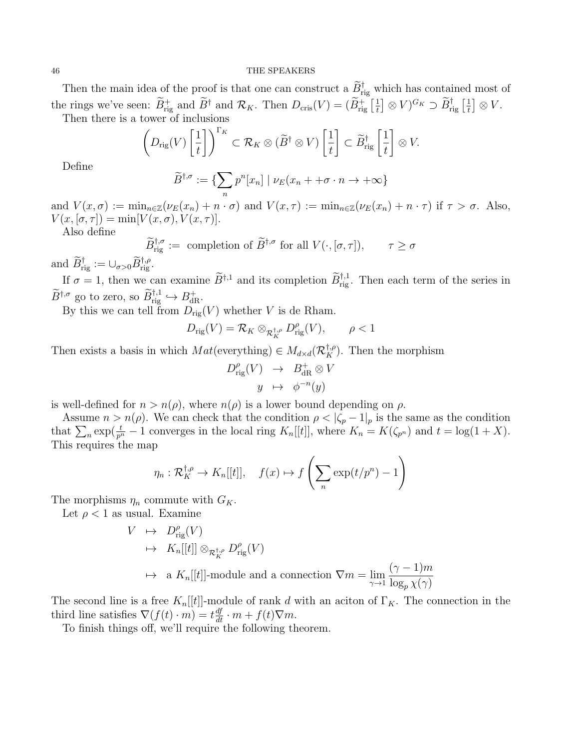Then the main idea of the proof is that one can construct a  $\tilde{B}^{\dagger}_{\text{rig}}$  which has contained most of the rings we've seen:  $\widetilde{B}^+_{\text{rig}}$  and  $\widetilde{B}^{\dagger}$  and  $\mathcal{R}_K$ . Then  $D_{\text{cris}}(V) = (\widetilde{B}^+_{\text{rig}})$  $\left[\frac{1}{t}\right] \otimes V)^{G_K} \supset \widetilde{B}^\dagger_{\mathrm{rig}}\left[\frac{1}{t}\right]$  $\frac{1}{t}$   $\big] \otimes V.$ Then there is a tower of inclusions

$$
\left(D_{\text{rig}}(V)\left[\frac{1}{t}\right]\right)^{\Gamma_K} \subset \mathcal{R}_K \otimes (\widetilde{B}^\dagger \otimes V)\left[\frac{1}{t}\right] \subset \widetilde{B}^\dagger_{\text{rig}}\left[\frac{1}{t}\right] \otimes V.
$$

Define

$$
\widetilde{B}^{\dagger,\sigma} := \{ \sum_{n} p^{n} [x_{n}] \mid \nu_{E}(x_{n} + +\sigma \cdot n \to +\infty \}
$$

and  $V(x, \sigma) := \min_{n \in \mathbb{Z}} (\nu_E(x_n) + n \cdot \sigma)$  and  $V(x, \tau) := \min_{n \in \mathbb{Z}} (\nu_E(x_n) + n \cdot \tau)$  if  $\tau > \sigma$ . Also,  $V(x,[\sigma,\tau]) = \min[V(x,\sigma),V(x,\tau)].$ 

Also define

$$
\widetilde{B}_{\text{rig}}^{\dagger,\sigma} := \text{ completion of } \widetilde{B}^{\dagger,\sigma} \text{ for all } V(\cdot,[\sigma,\tau]), \qquad \tau \ge \sigma
$$

and  $\widetilde{B}_{\text{rig}}^{\dagger} := \cup_{\sigma > 0} \widetilde{B}_{\text{rig}}^{\dagger,\rho}.$ 

If  $\sigma = 1$ , then we can examine  $\widetilde{B}^{\dagger,1}$  and its completion  $\widetilde{B}^{\dagger,1}_{\text{rig}}$ . Then each term of the series in  $\widetilde{B}^{\dagger,\sigma}$  go to zero, so  $\widetilde{B}^{\dagger,1}_{\text{rig}} \hookrightarrow B^+_{\text{dR}}$ .

By this we can tell from  $D_{\text{rig}}(V)$  whether V is de Rham.

$$
D_{\mathrm{rig}}(V) = \mathcal{R}_K \otimes_{\mathcal{R}_K^{\dagger,\rho}} D_{\mathrm{rig}}^{\rho}(V), \qquad \rho < 1
$$

Then exists a basis in which  $Mat(everything) \in M_{d \times d}(\mathcal{R}_K^{\dagger,\rho})$ . Then the morphism

$$
D_{\text{rig}}^{\rho}(V) \rightarrow B_{\text{dR}}^{+} \otimes V
$$

$$
y \mapsto \phi^{-n}(y)
$$

is well-defined for  $n > n(\rho)$ , where  $n(\rho)$  is a lower bound depending on  $\rho$ .

Assume  $n > n(\rho)$ . We can check that the condition  $\rho < |\zeta_p - 1|_p$  is the same as the condition that  $\sum_{n} \exp(\frac{t}{p^n} - 1)$  converges in the local ring  $K_n[[t]]$ , where  $K_n = K(\zeta_{p^n})$  and  $t = \log(1 + X)$ . This requires the map

$$
\eta_n : \mathcal{R}_K^{\dagger,\rho} \to K_n[[t]], \quad f(x) \mapsto f\left(\sum_n \exp(t/p^n) - 1\right)
$$

The morphisms  $\eta_n$  commute with  $G_K$ .

Let  $\rho < 1$  as usual. Examine

$$
V \mapsto D_{\text{rig}}^{\rho}(V)
$$
  
\n
$$
\mapsto K_n[[t]] \otimes_{\mathcal{R}_K^{\dagger,\rho}} D_{\text{rig}}^{\rho}(V)
$$
  
\n
$$
\mapsto a K_n[[t]]
$$
-module and a connection  $\nabla m = \lim_{\gamma \to 1} \frac{(\gamma - 1)m}{\log_p \chi(\gamma)}$ 

The second line is a free  $K_n[[t]]$ -module of rank d with an aciton of  $\Gamma_K$ . The connection in the third line satisfies  $\nabla (f(t) \cdot m) = t \frac{df}{dt} \cdot m + f(t) \nabla m$ .

To finish things off, we'll require the following theorem.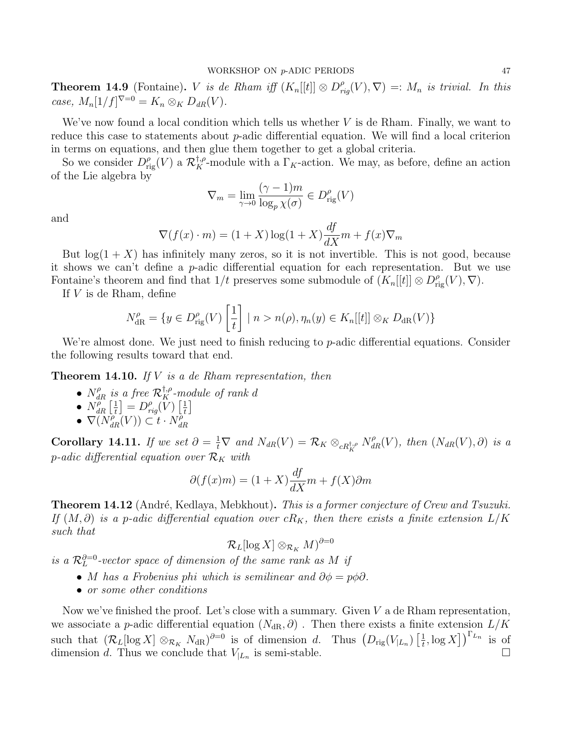**Theorem 14.9** (Fontaine). *V* is de Rham iff  $(K_n[[t]] \otimes D_{rig}^{\rho}(V), \nabla) =: M_n$  is trivial. In this case,  $M_n[1/f]^{V=0} = K_n \otimes_K D_{dR}(V)$ .

We've now found a local condition which tells us whether  $V$  is de Rham. Finally, we want to reduce this case to statements about p-adic differential equation. We will find a local criterion in terms on equations, and then glue them together to get a global criteria.

So we consider  $D_{\text{rig}}^{\rho}(V)$  a  $\mathcal{R}_K^{\dagger,\rho}$ -module with a  $\Gamma_K$ -action. We may, as before, define an action of the Lie algebra by

$$
\nabla_m = \lim_{\gamma \to 0} \frac{(\gamma - 1)m}{\log_p \chi(\sigma)} \in D_{\text{rig}}^{\rho}(V)
$$

and

$$
\nabla(f(x) \cdot m) = (1+X)\log(1+X)\frac{df}{dX}m + f(x)\nabla_m
$$

But  $log(1 + X)$  has infinitely many zeros, so it is not invertible. This is not good, because it shows we can't define a  $p$ -adic differential equation for each representation. But we use Fontaine's theorem and find that  $1/t$  preserves some submodule of  $(K_n[[t]] \otimes D_{\text{rig}}^{\rho}(V), \nabla)$ .

If  $V$  is de Rham, define

$$
N_{\text{dR}}^{\rho} = \{ y \in D_{\text{rig}}^{\rho}(V) \left[ \frac{1}{t} \right] \mid n > n(\rho), \eta_n(y) \in K_n[[t]] \otimes_K D_{\text{dR}}(V) \}
$$

We're almost done. We just need to finish reducing to p-adic differential equations. Consider the following results toward that end.

**Theorem 14.10.** If V is a de Rham representation, then

- $N_{dR}^{\rho}$  is a free  $\mathcal{R}_K^{\dagger,\rho}$ -module of rank d
- $\bullet$   $N_{dR}^{\mu}$   $\left[\frac{1}{t}\right]$  $\left[\frac{1}{t}\right] = D_{rig}^{\rho}(\hat{V})$   $\left[\frac{1}{t}\right]$  $\frac{1}{t}$
- $\bullet \ \nabla(N_{dR}^{\rho}(V)) \subset t \cdot N_{dR}^{\rho}$ dR

**Corollary 14.11.** If we set  $\partial = \frac{1}{t} \nabla$  and  $N_{dR}(V) = \mathcal{R}_K \otimes_{cR_{K}^{\dagger,\rho}} N_{dR}^{\rho}(V)$ , then  $(N_{dR}(V), \partial)$  is a p-adic differential equation over  $\mathcal{R}_K$  with

$$
\partial(f(x)m) = (1+X)\frac{df}{dX}m + f(X)\partial m
$$

**Theorem 14.12** (André, Kedlaya, Mebkhout). This is a former conjecture of Crew and Tsuzuki. If  $(M, \partial)$  is a p-adic differential equation over  $cR_K$ , then there exists a finite extension  $L/K$ such that

$$
\mathcal{R}_L[\log X]\otimes_{\mathcal{R}_K}M)^{\partial=0}
$$

is a  $\mathcal{R}_L^{\partial=0}$ -vector space of dimension of the same rank as M if

- M has a Frobenius phi which is semilinear and  $\partial \phi = p\phi \partial$ .
- or some other conditions

Now we've finished the proof. Let's close with a summary. Given  $V$  a de Rham representation, we associate a p-adic differential equation  $(N_{\rm dR}, \partial)$ . Then there exists a finite extension  $L/K$ such that  $(\mathcal{R}_L[\log X] \otimes_{\mathcal{R}_K} N_{\mathrm{dR}})^{\partial=0}$  is of dimension d. Thus  $(D_{\mathrm{rig}}(V_{|L_n})\left[\frac{1}{t}\right])$  $\left[\frac{1}{t}, \log X\right]$ <sup> $\left[\begin{array}{cc} L_n \\ h \end{array}\right]$  is of</sup> dimension d. Thus we conclude that  $V_{L_n}$  is semi-stable. is semi-stable.  $\Box$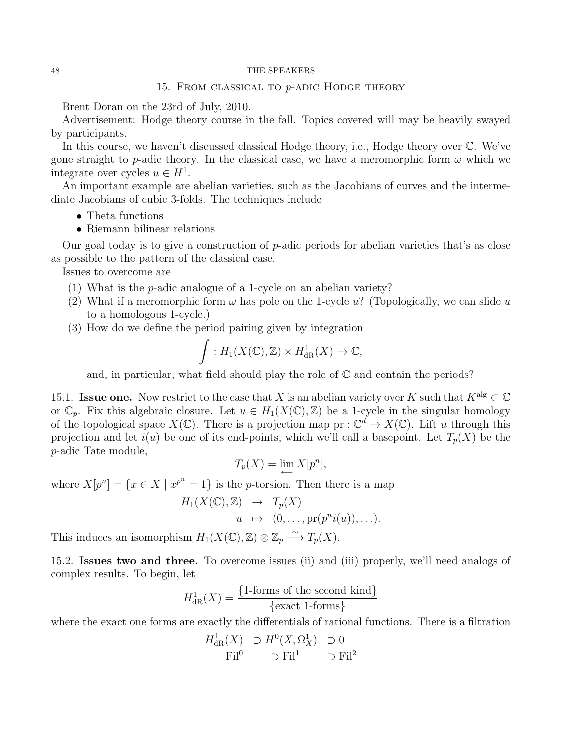### 15. From classical to p-adic Hodge theory

<span id="page-47-0"></span>Brent Doran on the 23rd of July, 2010.

Advertisement: Hodge theory course in the fall. Topics covered will may be heavily swayed by participants.

In this course, we haven't discussed classical Hodge theory, i.e., Hodge theory over C. We've gone straight to p-adic theory. In the classical case, we have a meromorphic form  $\omega$  which we integrate over cycles  $u \in H^1$ .

An important example are abelian varieties, such as the Jacobians of curves and the intermediate Jacobians of cubic 3-folds. The techniques include

- Theta functions
- Riemann bilinear relations

Our goal today is to give a construction of p-adic periods for abelian varieties that's as close as possible to the pattern of the classical case.

Issues to overcome are

- (1) What is the p-adic analogue of a 1-cycle on an abelian variety?
- (2) What if a meromorphic form  $\omega$  has pole on the 1-cycle u? (Topologically, we can slide u to a homologous 1-cycle.)
- (3) How do we define the period pairing given by integration

$$
\int : H_1(X(\mathbb{C}), \mathbb{Z}) \times H^1_{\text{dR}}(X) \to \mathbb{C},
$$

and, in particular, what field should play the role of  $\mathbb C$  and contain the periods?

15.1. **Issue one.** Now restrict to the case that X is an abelian variety over K such that  $K^{\text{alg}} \subset \mathbb{C}$ or  $\mathbb{C}_n$ . Fix this algebraic closure. Let  $u \in H_1(X(\mathbb{C}), \mathbb{Z})$  be a 1-cycle in the singular homology of the topological space  $X(\mathbb{C})$ . There is a projection map  $pr : \mathbb{C}^d \to X(\mathbb{C})$ . Lift u through this projection and let  $i(u)$  be one of its end-points, which we'll call a basepoint. Let  $T_p(X)$  be the p-adic Tate module,

$$
T_p(X) = \lim_{n \to \infty} X[p^n],
$$

where  $X[p^n] = \{x \in X \mid x^{p^n} = 1\}$  is the *p*-torsion. Then there is a map

$$
H_1(X(\mathbb{C}), \mathbb{Z}) \rightarrow T_p(X)
$$
  
  $u \mapsto (0, \dots, \text{pr}(p^n i(u)), \dots).$ 

This induces an isomorphism  $H_1(X(\mathbb{C}), \mathbb{Z}) \otimes \mathbb{Z}_p \longrightarrow T_p(X)$ .

15.2. Issues two and three. To overcome issues (ii) and (iii) properly, we'll need analogs of complex results. To begin, let

$$
H_{\text{dR}}^1(X) = \frac{\{1\text{-forms of the second kind}\}}{\{\text{exact 1-forms}\}}
$$

where the exact one forms are exactly the differentials of rational functions. There is a filtration

$$
H_{\text{dR}}^1(X) \supset H^0(X, \Omega_X^1) \supset 0
$$
  
Fil<sup>0</sup>  $\supset$  Fil<sup>1</sup>  $\supset$  Fil<sup>2</sup>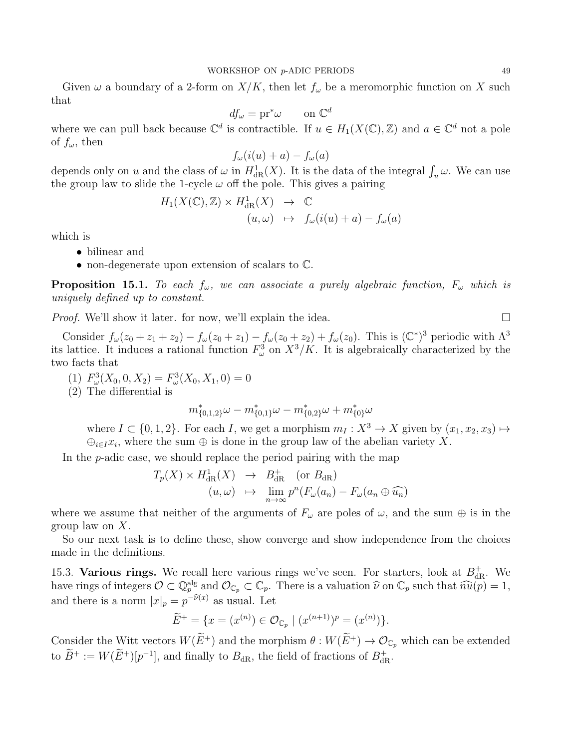Given  $\omega$  a boundary of a 2-form on  $X/K$ , then let  $f_{\omega}$  be a meromorphic function on X such that

$$
df_{\omega} = \mathrm{pr}^* \omega \qquad \text{on } \mathbb{C}^d
$$

where we can pull back because  $\mathbb{C}^d$  is contractible. If  $u \in H_1(X(\mathbb{C}), \mathbb{Z})$  and  $a \in \mathbb{C}^d$  not a pole of  $f_{\omega}$ , then

$$
f_{\omega}(i(u) + a) - f_{\omega}(a)
$$

depends only on u and the class of  $\omega$  in  $H^1_{\text{dR}}(X)$ . It is the data of the integral  $\int_u \omega$ . We can use the group law to slide the 1-cycle  $\omega$  off the pole. This gives a pairing

$$
H_1(X(\mathbb{C}), \mathbb{Z}) \times H^1_{dR}(X) \rightarrow \mathbb{C}
$$
  

$$
(u, \omega) \mapsto f_{\omega}(i(u) + a) - f_{\omega}(a)
$$

which is

- bilinear and
- non-degenerate upon extension of scalars to C.

**Proposition 15.1.** To each  $f_{\omega}$ , we can associate a purely algebraic function,  $F_{\omega}$  which is uniquely defined up to constant.

*Proof.* We'll show it later. for now, we'll explain the idea.  $\square$ 

Consider  $f_{\omega}(z_0 + z_1 + z_2) - f_{\omega}(z_0 + z_1) - f_{\omega}(z_0 + z_2) + f_{\omega}(z_0)$ . This is  $(\mathbb{C}^*)^3$  periodic with  $\Lambda^3$ its lattice. It induces a rational function  $F^3_\omega$  on  $X^3/K$ . It is algebraically characterized by the two facts that

(1)  $F_{\omega}^{3}(X_0, 0, X_2) = F_{\omega}^{3}(X_0, X_1, 0) = 0$ 

(2) The differential is

$$
m_{\{0,1,2\}}^*\omega-m_{\{0,1\}}^*\omega-m_{\{0,2\}}^*\omega+m_{\{0\}}^*\omega
$$

where  $I \subset \{0, 1, 2\}$ . For each I, we get a morphism  $m_I : X^3 \to X$  given by  $(x_1, x_2, x_3) \mapsto$  $\bigoplus_{i\in I}x_i$ , where the sum  $\bigoplus$  is done in the group law of the abelian variety X.

In the  $p$ -adic case, we should replace the period pairing with the map

$$
T_p(X) \times H_{\text{dR}}^1(X) \rightarrow B_{\text{dR}}^+ \text{ (or } B_{\text{dR}})
$$
  

$$
(u, \omega) \mapsto \lim_{n \to \infty} p^n(F_{\omega}(a_n) - F_{\omega}(a_n \oplus \widehat{u_n})
$$

where we assume that neither of the arguments of  $F_{\omega}$  are poles of  $\omega$ , and the sum  $\oplus$  is in the group law on X.

So our next task is to define these, show converge and show independence from the choices made in the definitions.

15.3. Various rings. We recall here various rings we've seen. For starters, look at  $B_{\text{dR}}^{+}$ . We have rings of integers  $\mathcal{O} \subset \mathbb{Q}_p^{\text{alg}}$  and  $\mathcal{O}_{\mathbb{C}_p} \subset \mathbb{C}_p$ . There is a valuation  $\widehat{\nu}$  on  $\mathbb{C}_p$  such that  $\widehat{nu}(p) = 1$ , and there is a norm  $|x|_p = p^{-\tilde{\nu}(x)}$  as usual. Let

$$
\widetilde{E}^+ = \{ x = (x^{(n)}) \in \mathcal{O}_{\mathbb{C}_p} \mid (x^{(n+1)})^p = (x^{(n)}) \}.
$$

Consider the Witt vectors  $W(\widetilde{E}^+)$  and the morphism  $\theta : W(\widetilde{E}^+) \to \mathcal{O}_{\mathbb{C}_p}$  which can be extended to  $B^+ := W(E^+)[p^{-1}]$ , and finally to  $B_{\rm dR}$ , the field of fractions of  $B_{\rm dR}^+$ .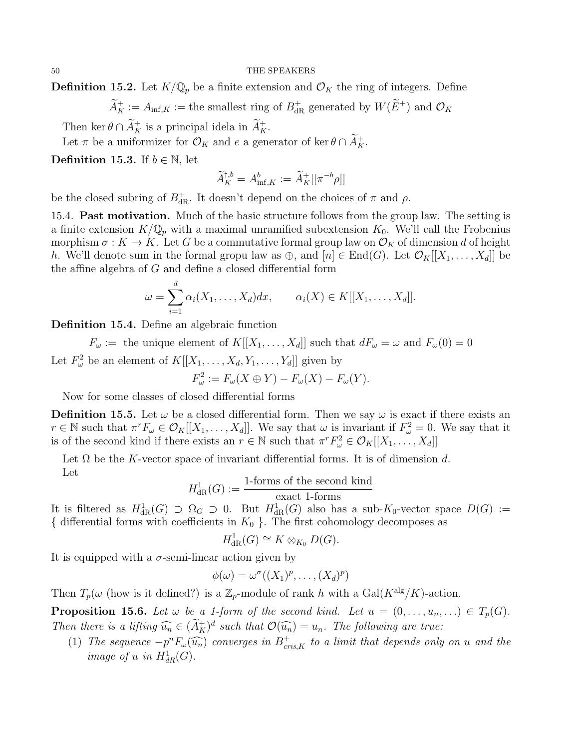**Definition 15.2.** Let  $K/\mathbb{Q}_p$  be a finite extension and  $\mathcal{O}_K$  the ring of integers. Define

 $\widetilde{A}_K^+ := A_{\text{inf},K} := \text{the smallest ring of } B_{\text{dR}}^+ \text{ generated by } W(E^+) \text{ and } \mathcal{O}_K$ 

Then ker  $\theta \cap \tilde{A}_K^+$  is a principal idela in  $\tilde{A}_K^+$ .

Let  $\pi$  be a uniformizer for  $\mathcal{O}_K$  and e a generator of ker  $\theta \cap \tilde{A}_K^+$ .

**Definition 15.3.** If  $b \in \mathbb{N}$ , let

$$
\widetilde{A}^{\dagger,b}_K = A^b_{{\rm inf},K} := \widetilde{A}^+_{K}[[\pi^{-b}\rho]]
$$

be the closed subring of  $B_{\rm dR}^+$ . It doesn't depend on the choices of  $\pi$  and  $\rho$ .

15.4. **Past motivation.** Much of the basic structure follows from the group law. The setting is a finite extension  $K/\mathbb{Q}_p$  with a maximal unramified subextension  $K_0$ . We'll call the Frobenius morphism  $\sigma: K \to K$ . Let G be a commutative formal group law on  $\mathcal{O}_K$  of dimension d of height h. We'll denote sum in the formal gropu law as  $\oplus$ , and  $[n] \in \text{End}(G)$ . Let  $\mathcal{O}_K[[X_1, \ldots, X_d]]$  be the affine algebra of G and define a closed differential form

$$
\omega = \sum_{i=1}^d \alpha_i(X_1,\ldots,X_d)dx, \qquad \alpha_i(X) \in K[[X_1,\ldots,X_d]].
$$

Definition 15.4. Define an algebraic function

 $F_{\omega} := \text{ the unique element of } K[[X_1, \ldots, X_d]] \text{ such that } dF_{\omega} = \omega \text{ and } F_{\omega}(0) = 0$ Let  $F_{\omega}^2$  be an element of  $K[[X_1,\ldots,X_d,Y_1,\ldots,Y_d]]$  given by

$$
F_{\omega}^2 := F_{\omega}(X \oplus Y) - F_{\omega}(X) - F_{\omega}(Y).
$$

Now for some classes of closed differential forms

**Definition 15.5.** Let  $\omega$  be a closed differential form. Then we say  $\omega$  is exact if there exists an  $r \in \mathbb{N}$  such that  $\pi^r F_\omega \in \mathcal{O}_K[[X_1,\ldots,X_d]]$ . We say that  $\omega$  is invariant if  $F_\omega^2 = 0$ . We say that it is of the second kind if there exists an  $r \in \mathbb{N}$  such that  $\pi^r F_\omega^2 \in \mathcal{O}_K[[X_1,\ldots,X_d]]$ 

Let  $\Omega$  be the K-vector space of invariant differential forms. It is of dimension d. Let

$$
H_{\text{dR}}^1(G) := \frac{\text{1-forms of the second kind}}{\text{exact 1-forms}}
$$

It is filtered as  $H^1_{\text{dR}}(G) \supset \Omega_G \supset 0$ . But  $H^1_{\text{dR}}(G)$  also has a sub-K<sub>0</sub>-vector space  $D(G) :=$ { differential forms with coefficients in  $K_0$  }. The first cohomology decomposes as

$$
H^1_{\rm dR}(G)\cong K\otimes_{K_0}D(G).
$$

It is equipped with a  $\sigma$ -semi-linear action given by

$$
\phi(\omega) = \omega^{\sigma}((X_1)^p, \ldots, (X_d)^p)
$$

Then  $T_p(\omega$  (how is it defined?) is a  $\mathbb{Z}_p$ -module of rank h with a Gal( $K^{\text{alg}}/K$ )-action.

**Proposition 15.6.** Let  $\omega$  be a 1-form of the second kind. Let  $u = (0, \ldots, u_n, \ldots) \in T_p(G)$ . Then there is a lifting  $\widehat{u}_n \in (\widetilde{A}_K^+)^d$  such that  $\mathcal{O}(\widehat{u}_n) = u_n$ . The following are true:

(1) The sequence  $-p^n F_{\omega}(\widehat{u_n})$  converges in  $B^+_{cris,K}$  to a limit that depends only on u and the image of u in  $H^1_{dR}(G)$ .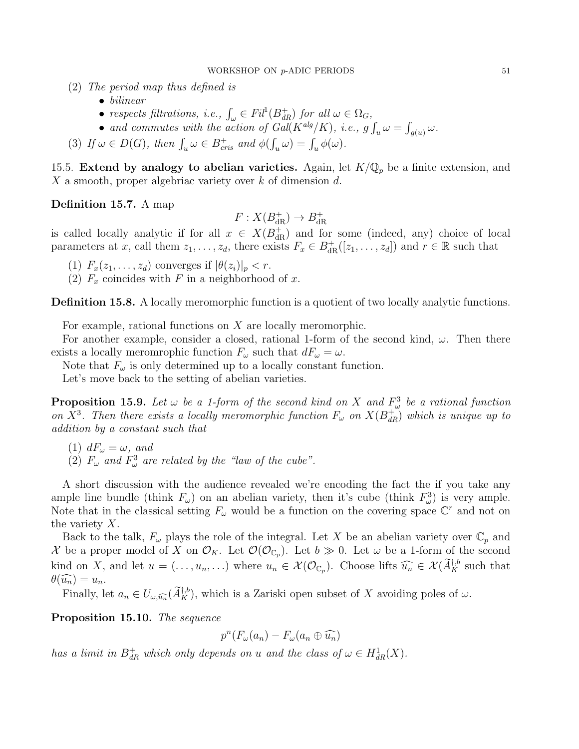- (2) The period map thus defined is
	- bilinear
	- respects filtrations, i.e.,  $\int_{\omega} \in Fil^1(B_{dR}^+)$  for all  $\omega \in \Omega_G$ ,
	- and commutes with the action of  $Gal(K^{alg}/K))$ , i.e.,  $g \int_u \omega = \int_{g(u)} \omega$ .
- (3) If  $\omega \in D(G)$ , then  $\int_u \omega \in B_{cris}^+$  and  $\phi(\int_u \omega) = \int_u \phi(\omega)$ .

15.5. Extend by analogy to abelian varieties. Again, let  $K/\mathbb{Q}_p$  be a finite extension, and X a smooth, proper algebriac variety over  $k$  of dimension  $d$ .

Definition 15.7. A map

$$
F: X(B_{\mathrm{dR}}^+) \to B_{\mathrm{dR}}^+
$$

is called locally analytic if for all  $x \in X(B_{\text{dR}}^+)$  and for some (indeed, any) choice of local parameters at x, call them  $z_1, \ldots, z_d$ , there exists  $F_x \in B_{\text{dR}}^+([z_1, \ldots, z_d])$  and  $r \in \mathbb{R}$  such that

- (1)  $F_x(z_1,\ldots,z_d)$  converges if  $|\theta(z_i)|_p < r$ .
- (2)  $F_x$  coincides with F in a neighborhood of x.

Definition 15.8. A locally meromorphic function is a quotient of two locally analytic functions.

For example, rational functions on X are locally meromorphic.

For another example, consider a closed, rational 1-form of the second kind,  $\omega$ . Then there exists a locally meromrophic function  $F_{\omega}$  such that  $dF_{\omega} = \omega$ .

Note that  $F_{\omega}$  is only determined up to a locally constant function.

Let's move back to the setting of abelian varieties.

**Proposition 15.9.** Let  $\omega$  be a 1-form of the second kind on X and  $F_{\omega}^3$  be a rational function on  $X^3$ . Then there exists a locally meromorphic function  $F_{\omega}$  on  $X(B_{dR}^+)$  which is unique up to addition by a constant such that

- (1)  $dF_{\omega} = \omega$ , and
- (2)  $F_{\omega}$  and  $F_{\omega}^3$  are related by the "law of the cube".

A short discussion with the audience revealed we're encoding the fact the if you take any ample line bundle (think  $F_{\omega}$ ) on an abelian variety, then it's cube (think  $F_{\omega}^3$ ) is very ample. Note that in the classical setting  $F_{\omega}$  would be a function on the covering space  $\mathbb{C}^r$  and not on the variety X.

Back to the talk,  $F_{\omega}$  plays the role of the integral. Let X be an abelian variety over  $\mathbb{C}_p$  and X be a proper model of X on  $\mathcal{O}_K$ . Let  $\mathcal{O}(\mathcal{O}_{\mathbb{C}_p})$ . Let  $b \gg 0$ . Let  $\omega$  be a 1-form of the second kind on X, and let  $u = (\ldots, u_n, \ldots)$  where  $u_n \in \mathcal{X}(\mathcal{O}_{\mathbb{C}_p})$ . Choose lifts  $\widehat{u_n} \in \mathcal{X}(\widetilde{A}_K^{\dagger, b}$  such that  $\theta(\widehat{u_n})=u_n.$ 

Finally, let  $a_n \in U_{\omega, \widehat{a_n}}(\widetilde{A}_K^{+,b})$ , which is a Zariski open subset of X avoiding poles of  $\omega$ .

Proposition 15.10. The sequence

$$
p^{n}(F_{\omega}(a_{n})-F_{\omega}(a_{n}\oplus \widehat{u_{n}})
$$

has a limit in  $B_{dR}^+$  which only depends on u and the class of  $\omega \in H_{dR}^1(X)$ .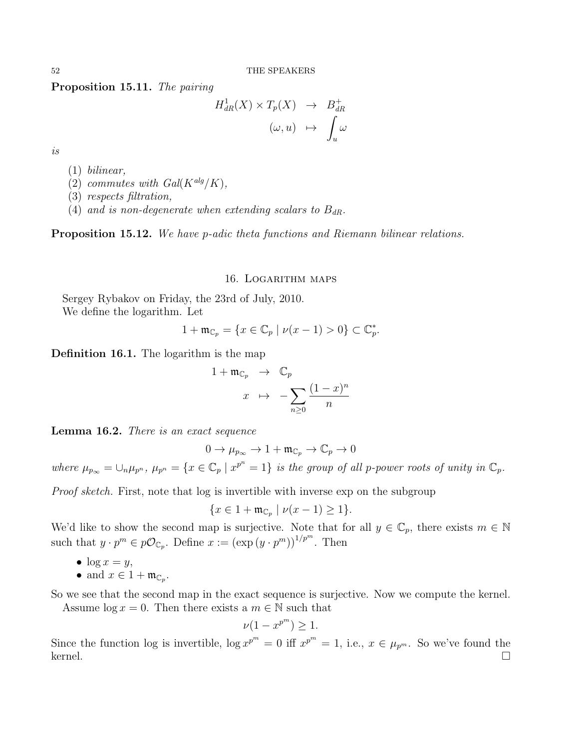Proposition 15.11. The pairing

$$
H_{dR}^1(X) \times T_p(X) \rightarrow B_{dR}^+ \qquad ( \omega, u) \rightarrow \int_u^{\infty} \omega
$$

is

- (1) bilinear,
- (2) commutes with  $Gal(K^{alg}/K),$
- (3) respects filtration,
- (4) and is non-degenerate when extending scalars to  $B_{dR}$ .

<span id="page-51-0"></span>Proposition 15.12. We have p-adic theta functions and Riemann bilinear relations.

#### 16. Logarithm maps

Sergey Rybakov on Friday, the 23rd of July, 2010. We define the logarithm. Let

$$
1 + \mathfrak{m}_{\mathbb{C}_p} = \{ x \in \mathbb{C}_p \mid \nu(x - 1) > 0 \} \subset \mathbb{C}_p^*.
$$

Definition 16.1. The logarithm is the map

$$
1 + \mathfrak{m}_{\mathbb{C}_p} \rightarrow \mathbb{C}_p
$$

$$
x \mapsto -\sum_{n\geq 0} \frac{(1-x)^n}{n}
$$

Lemma 16.2. There is an exact sequence

$$
0 \to \mu_{p_\infty} \to 1 + \mathfrak{m}_{\mathbb{C}_p} \to \mathbb{C}_p \to 0
$$

where  $\mu_{p_{\infty}} = \bigcup_n \mu_{p^n}$ ,  $\mu_{p^n} = \{x \in \mathbb{C}_p \mid x^{p^n} = 1\}$  is the group of all p-power roots of unity in  $\mathbb{C}_p$ .

Proof sketch. First, note that log is invertible with inverse exp on the subgroup

$$
\{x \in 1 + \mathfrak{m}_{\mathbb{C}_p} \mid \nu(x - 1) \ge 1\}.
$$

We'd like to show the second map is surjective. Note that for all  $y \in \mathbb{C}_p$ , there exists  $m \in \mathbb{N}$ such that  $y \cdot p^m \in p\mathcal{O}_{\mathbb{C}_p}$ . Define  $x := (\exp(y \cdot p^m))^{1/p^m}$ . Then

•  $\log x = y$ ,

• and 
$$
x \in 1 + \mathfrak{m}_{\mathbb{C}_p}
$$
.

So we see that the second map in the exact sequence is surjective. Now we compute the kernel. Assume  $\log x = 0$ . Then there exists a  $m \in \mathbb{N}$  such that

$$
\nu(1 - x^{p^m}) \ge 1.
$$

Since the function log is invertible,  $\log x^{p^m} = 0$  iff  $x^{p^m} = 1$ , i.e.,  $x \in \mu_{p^m}$ . So we've found the kernel. □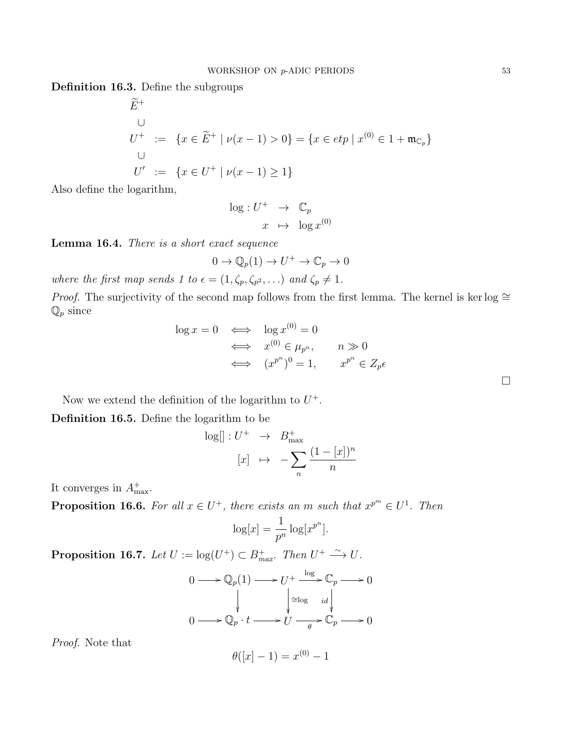Definition 16.3. Define the subgroups

$$
\widetilde{E}^{+}
$$
\n
$$
U^{+} := \{ x \in \widetilde{E}^{+} \mid \nu(x - 1) > 0 \} = \{ x \in etp \mid x^{(0)} \in 1 + \mathfrak{m}_{\mathbb{C}_p} \}
$$
\n
$$
U' := \{ x \in U^{+} \mid \nu(x - 1) \ge 1 \}
$$

Also define the logarithm,

$$
\log: U^+ \rightarrow \mathbb{C}_p
$$

$$
x \mapsto \log x^{(0)}
$$

Lemma 16.4. There is a short exact sequence

$$
0 \to \mathbb{Q}_p(1) \to U^+ \to \mathbb{C}_p \to 0
$$

where the first map sends 1 to  $\epsilon = (1, \zeta_p, \zeta_{p^2}, \ldots)$  and  $\zeta_p \neq 1$ .

*Proof.* The surjectivity of the second map follows from the first lemma. The kernel is ker log  $\cong$  $\mathbb{Q}_p$  since

$$
\log x = 0 \iff \log x^{(0)} = 0
$$
  

$$
\iff x^{(0)} \in \mu_{p^n}, \qquad n \gg 0
$$
  

$$
\iff (x^{p^n})^0 = 1, \qquad x^{p^n} \in Z_p \epsilon
$$

Now we extend the definition of the logarithm to  $U^+$ .

Definition 16.5. Define the logarithm to be

$$
\log[] : U^+ \rightarrow B^+_{\max}
$$

$$
[x] \mapsto -\sum_{n} \frac{(1-[x])^n}{n}
$$

It converges in  $A^+_{\text{max}}$ .

**Proposition 16.6.** For all  $x \in U^+$ , there exists an m such that  $x^{p^m} \in U^1$ . Then

$$
\log[x] = \frac{1}{p^n} \log[x^{p^n}].
$$

**Proposition 16.7.** Let  $U := \log(U^+) \subset B_{max}^+$ . Then  $U^+ \stackrel{\sim}{\longrightarrow} U$ .

$$
0 \longrightarrow \mathbb{Q}_p(1) \longrightarrow U^+ \xrightarrow{\log} \mathbb{C}_p \longrightarrow 0
$$
  

$$
\downarrow \qquad \qquad \downarrow \qquad \downarrow \qquad \downarrow
$$
  

$$
0 \longrightarrow \mathbb{Q}_p \cdot t \longrightarrow U \xrightarrow{\text{deg} \qquad id} \mathbb{Q}_p \longrightarrow 0
$$

Proof. Note that

$$
\theta([x]-1) = x^{(0)} - 1
$$

 $\Box$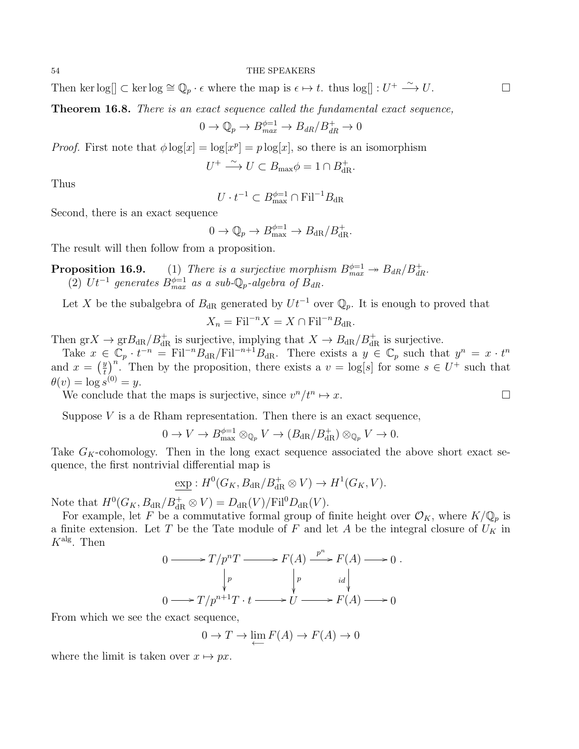Then ker  $log[] \subset \text{ker} \log \cong \mathbb{Q}_p \cdot \epsilon$  where the map is  $\epsilon \mapsto t$ . thus  $log[] : U^+ \xrightarrow{\sim} U$ .

Theorem 16.8. There is an exact sequence called the fundamental exact sequence,

$$
0 \to \mathbb{Q}_p \to B_{max}^{\phi=1} \to B_{dR}/B_{dR}^+ \to 0
$$

*Proof.* First note that  $\phi \log[x] = \log[x^p] = p \log[x]$ , so there is an isomorphism

 $U^+ \stackrel{\sim}{\longrightarrow} U \subset B_{\text{max}} \phi = 1 \cap B_{\text{dR}}^+$ .

Thus

$$
U \cdot t^{-1} \subset B_{\max}^{\phi=1} \cap \mathrm{Fil}^{-1}B_{\mathrm{dR}}
$$

Second, there is an exact sequence

$$
0 \to \mathbb{Q}_p \to B_{\text{max}}^{\phi=1} \to B_{\text{dR}}/B_{\text{dR}}^+.
$$

The result will then follow from a proposition.

**Proposition 16.9.** (1) There is a surjective morphism  $B_{max}^{\phi=1} \rightarrow B_{dR}/B_{dR}^+$ . (2)  $Ut^{-1}$  generates  $B_{max}^{\phi=1}$  as a sub- $\mathbb{Q}_p$ -algebra of  $B_{dR}$ .

Let X be the subalgebra of  $B_{\text{dR}}$  generated by  $Ut^{-1}$  over  $\mathbb{Q}_p$ . It is enough to proved that

$$
X_n = \mathrm{Fil}^{-n} X = X \cap \mathrm{Fil}^{-n} B_{\mathrm{dR}}.
$$

Then  $grX \to grB_{dR}/B_{dR}^+$  is surjective, implying that  $X \to B_{dR}/B_{dR}^+$  is surjective.

Take  $x \in \mathbb{C}_p \cdot t^{-n} = \text{Fil}^{-n} B_{dR}/\text{Fil}^{-n+1} B_{dR}$ . There exists a  $y \in \mathbb{C}_p$  such that  $y^n = x \cdot t^n$ and  $x = \left(\frac{y}{t}\right)$  $\left(\frac{y}{t}\right)^n$ . Then by the proposition, there exists a  $v = \log[s]$  for some  $s \in U^+$  such that  $\theta(v) = \log s^{(0)} = y.$ 

We conclude that the maps is surjective, since  $v^n/t^n \mapsto x$ .

Suppose  $V$  is a de Rham representation. Then there is an exact sequence,

$$
0 \to V \to B_{\text{max}}^{\phi=1} \otimes_{\mathbb{Q}_p} V \to (B_{\text{dR}}/B_{\text{dR}}^+) \otimes_{\mathbb{Q}_p} V \to 0.
$$

Take  $G_K$ -cohomology. Then in the long exact sequence associated the above short exact sequence, the first nontrivial differential map is

$$
\underline{\exp}: H^0(G_K, B_{\mathrm{dR}}/B_{\mathrm{dR}}^+\otimes V)\to H^1(G_K, V).
$$

Note that  $H^0(G_K, B_{\rm dR}/B_{\rm dR}^+\otimes V)=D_{\rm dR}(V)/{\rm Fil}^0D_{\rm dR}(V).$ 

For example, let F be a commutative formal group of finite height over  $\mathcal{O}_K$ , where  $K/\mathbb{Q}_p$  is a finite extension. Let T be the Tate module of F and let A be the integral closure of  $U_K$  in  $K^{\text{alg}}$ . Then

$$
0 \longrightarrow T/p^n T \longrightarrow F(A) \xrightarrow{p^n} F(A) \longrightarrow 0.
$$
  
\n
$$
\downarrow p \qquad \qquad \downarrow p \qquad id \downarrow
$$
  
\n
$$
0 \longrightarrow T/p^{n+1} T \cdot t \longrightarrow U \longrightarrow F(A) \longrightarrow 0
$$

From which we see the exact sequence,

$$
0 \to T \to \lim_{\longleftarrow} F(A) \to F(A) \to 0
$$

where the limit is taken over  $x \mapsto px$ .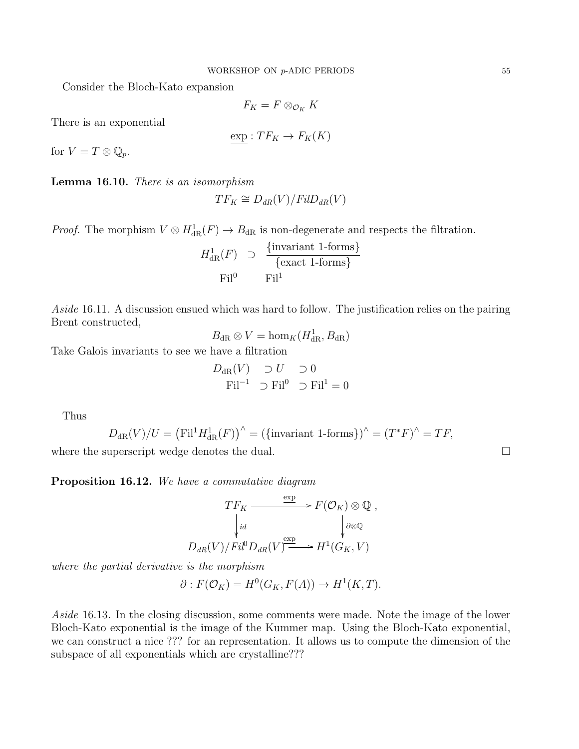Consider the Bloch-Kato expansion

$$
F_K = F \otimes_{\mathcal{O}_K} K
$$

There is an exponential

$$
\exp: TF_K \to F_K(K)
$$

for  $V = T \otimes \mathbb{Q}_p$ .

Lemma 16.10. There is an isomorphism

$$
TF_K \cong D_{dR}(V)/FilD_{dR}(V)
$$

*Proof.* The morphism  $V \otimes H_{dR}^1(F) \to B_{dR}$  is non-degenerate and respects the filtration.

$$
H_{\text{dR}}^1(F) \supset \frac{\{\text{invariant 1-forms}\}}{\{\text{exact 1-forms}\}}
$$
  
Fil<sup>0</sup> Fil<sup>1</sup>

Aside 16.11. A discussion ensued which was hard to follow. The justification relies on the pairing Brent constructed,

$$
B_{\mathrm{dR}} \otimes V = \hom_K(H_{\mathrm{dR}}^1, B_{\mathrm{dR}})
$$

Take Galois invariants to see we have a filtration

$$
D_{\text{dR}}(V) \supset U \supset 0
$$
  
\n
$$
\text{Fil}^{-1} \supset \text{Fil}^0 \supset \text{Fil}^1 = 0
$$

Thus

$$
D_{\mathrm{dR}}(V)/U = \left(\mathrm{Fil}^1 H^1_{\mathrm{dR}}(F)\right)^\wedge = \left(\{\text{invariant 1-forms}\}\right)^\wedge = \left(T^*F\right)^\wedge = TF,
$$

where the superscript wedge denotes the dual.  $\Box$ 

Proposition 16.12. We have a commutative diagram

$$
TF_K \xrightarrow{\exp} F(\mathcal{O}_K) \otimes \mathbb{Q} ,
$$

$$
\downarrow id \qquad \qquad \downarrow \otimes \mathbb{Q}
$$

$$
D_{dR}(V)/Fil^0D_{dR}(V) \xrightarrow{\exp} H^1(G_K, V)
$$

where the partial derivative is the morphism

$$
\partial: F(\mathcal{O}_K) = H^0(G_K, F(A)) \to H^1(K, T).
$$

Aside 16.13. In the closing discussion, some comments were made. Note the image of the lower Bloch-Kato exponential is the image of the Kummer map. Using the Bloch-Kato exponential, we can construct a nice ??? for an representation. It allows us to compute the dimension of the subspace of all exponentials which are crystalline???